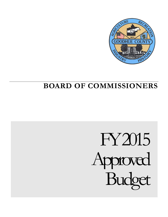

# **BOARD OF COMMISSIONERS**

# FY2015 Approved Budget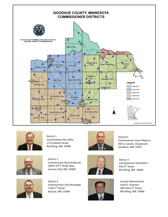



District 1 Commissioner Ron Allen 1713 Siewert Street Red Wing, MN 55066



District 4 Commissioner Jason Majerus 39111 County 2 Boulevard Goodhue, MN 55027



District 2 Commissioner Brad Anderson 10679 375<sup>th</sup> Street Way Cannon Falls, MN 55009



Commissioner Dan Rechtzigel 1140  $2^{nd}$  Street Kenyon, MN 55946





District 5 Commissioner Ted Seifert 633  $9<sup>th</sup>$  Street Red Wing, MN 55066

County Administrator Scott O. Arneson 509 West 5<sup>th</sup> Street Red Wing, MN 55066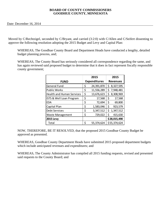#### **BOARD OF COUNTY COMMISSIONERS GOODHUE COUNTY, MINNESOTA**

Date: December 16, 2014

Moved by C/Rechtzigel, seconded by C/Bryant, and carried (3:2:0) with C/Allen and C/Seifert dissenting to approve the following resolution adopting the 2015 Budget and Levy and Capital Plan:

WHEREAS, The Goodhue County Board and Department Heads have conducted a lengthy, detailed budget planning process, and;

WHEREAS, The County Board has seriously considered all correspondence regarding the same, and has again reviewed said proposed budget to determine that it does in fact represent fiscally responsible county government;

|                                  | 2015                |    | 2015            |
|----------------------------------|---------------------|----|-----------------|
| <b>FUND</b>                      | <b>Expenditures</b> |    | <b>Revenues</b> |
| <b>General Fund</b>              | \$<br>24,391,870    | \$ | 8,327,595       |
| <b>Public Works</b>              | \$<br>11,556,289    | Ś  | 7,948,481       |
| <b>Health and Human Services</b> | \$<br>13,676,623    | Ś  | 8,308,969       |
| ISTS & Well Loan Program         | \$<br>17,568        | \$ | 17,568          |
| EDA                              | \$<br>72,694        | \$ | 69,800          |
| Capital Plan                     | \$<br>1,583,046     | \$ | 923,579         |
| <b>Debt Services</b>             | \$<br>3,347,512     | \$ | 1,347,512       |
| <b>Waste Management</b>          | \$<br>729,022       | Ś  | 415,630         |
| <b>2015 Levy</b>                 |                     |    | \$28,015,490    |
| Total                            | \$<br>55,374,624    |    | \$55,374,624    |

NOW, THEREFORE, BE IT RESOLVED, that the proposed 2015 Goodhue County Budget be approved as presented.

WHEREAS, Goodhue County Department Heads have submitted 2015 proposed department budgets which include anticipated revenues and expenditures; and

WHEREAS, The County Administrator has compiled all 2015 funding requests, revised and presented said requests to the County Board; and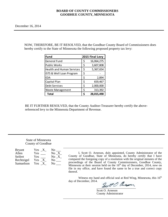#### **BOARD OF COUNTY COMMISSIONERS GOODHUE COUNTY, MINNESOTA**

NOW, THEREFORE, BE IT RESOLVED, that the Goodhue County Board of Commissioners does hereby certify to the State of Minnesota the following proposed property tax levy:

| <b>Fund</b>                      |    | 2015 Final Levy |
|----------------------------------|----|-----------------|
| <b>General Fund</b>              | \$ | 16,064,275      |
| <b>Public Works</b>              | \$ | 3,607,808       |
| <b>Health and Human Services</b> | \$ | 5,367,654       |
| ISTS & Well Loan Program         | \$ |                 |
| <b>EDA</b>                       | \$ | 2,894           |
| Capital Plan                     | \$ | 659,467         |
| <b>Debt Services</b>             | Ś  | 2,000,000       |
| <b>Waste Management</b>          | \$ | 313,392         |
| <b>Total</b>                     | ς  | 28,015,490      |

BE IT FURTHER RESOLVED, that the County Auditor-Treasurer hereby certify the abovereferenced levy to the Minnesota Department of Revenue.

#### State of Minnesota County of Goodhue

| <b>Bryant</b> | Yes X               | No                            |
|---------------|---------------------|-------------------------------|
| Allen         | Yes                 | No X                          |
| Seifert       | Yes.                | No X                          |
| Rechtzigel    | Yes<br>$\mathbf{X}$ | No the North Street Section 1 |
| Samuelson     | Yes                 | No                            |

I, Scott O. Arneson, duly appointed, County Administrator of the County of Goodhue, State of Minnesota, do hereby certify that I have compared the foregoing copy of a resolution with the original minutes of the proceedings of the Board of County Commissioners, Goodhue County, Minnesota at their session held on the  $16<sup>th</sup>$  day of December, 2014, now on file in my office, and have found the same to be a true and correct copy thereof.

Witness my hand and official seal at Red Wing, Minnesota, this  $16<sup>th</sup>$ day of December, 2014.

aucon  $\triangle$ 

Scott O. Arneson County Administrator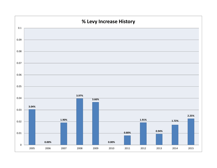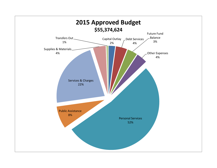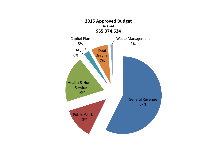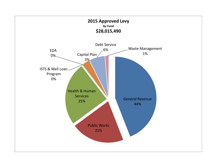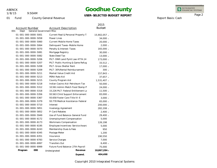1/8/15

9:50AM

### **Goodhue County**

**USER-SELECTED BUDGET REPORT**

INTEGRATED<br>FINANCIAL SYSTEMS

Report Basis: Cash

Page 2

|                                        |                                    | 2015          |
|----------------------------------------|------------------------------------|---------------|
| Account Number                         | <b>Account Description</b>         | <b>Budget</b> |
| 001<br>General Government Misc<br>Dept |                                    |               |
| 01-001-000-0000-5001                   | Current Real & Personal Property T | 15,902,057 -  |
| 01-001-000-0000-5058                   | Power Lines                        | 34,000 -      |
| 01-001-000-0000-5060                   | <b>Current Mobile Home Taxes</b>   | 20,000 -      |
| 01-001-000-0000-5064                   | Delinquent Taxes-Mobile Home       | $2,000 -$     |
| 01-001-000-0000-5070                   | Penalty & Interest-Taxes           | 165,000 -     |
| 01-001-000-0000-5081                   | Mortgage Registry                  | $30,000 -$    |
| 01-001-000-0000-5082                   | State Deed Tax                     | $13,000 -$    |
| 01-001-000-0000-5206                   | PILT-DNR Land Pymt Law 477A.14     | 173,000 -     |
| 01-001-000-0000-5207                   | PILT-Public Hunting & Game Refug   | $33,512 -$    |
| 01-001-000-0000-5208                   | <b>PILT-Gross Shelter Rent</b>     | $17,000 -$    |
| 01-001-000-0000-5209                   | PILT-30% Rental Reimbursement      | $300 -$       |
| 01-001-000-0000-5211                   | Market Value Credit Aid            | 157,843 -     |
| 01-001-000-0000-5213                   | PERA Rate Aid                      | $37,657 -$    |
| 01-001-000-0000-5215                   | County Program Aid                 | 1,531,407 -   |
| 01-001-000-0000-5218                   | Indian Casino Aid-Petroleum Tax    | $50,000 -$    |
| 01-001-000-0000-5312                   | 10.561 Admin Match Food Stamp P    | 24,000 -      |
| 01-001-000-0000-5318                   | 15.226 PILT-Federal Entitlement La | $11,500 -$    |
| 01-001-000-0000-5356                   | 93.563 Child Support Enforcement   | 83,000 -      |
| 01-001-000-0000-5367                   | 93.658 Foster Care Title IV-E      | $3,000 -$     |
| 01-001-000-0000-5379                   | 93.778 Medical Assistance-Federal  | 65,000 -      |
| 01-001-000-0000-5710                   | Interest                           | 200,000 -     |
| 01-001-000-0000-5851                   | <b>Invenergy Agreement</b>         | 282,208 -     |
| 01-001-000-0000-5852                   | P-Card Rebates                     | $2,400 -$     |
| 01-001-000-0000-5949                   | Use of Fund Balance-General Fund   | $29,400 -$    |
| 01-001-000-0000-6172                   | Unemployment Compensation          | 5,000         |
| 01-001-000-0000-6173                   | Workmans Compensation              | 126,198       |
| 01-001-000-0000-6195                   | Employee Incentives-Service Award  | 5,000         |
| 01-001-000-0000-6243                   | Membership Dues & Fees             | 950           |
| 01-001-000-0000-6345                   | Postage Meter                      | 1,200         |
| 01-001-000-0000-6351                   | Insurance                          | 190,550       |
| 01-001-000-0000-6783                   | Service Charges                    | 7,000         |
| 01-001-000-0000-6997                   | <b>Transfers Out</b>               | $6,400 -$     |
| 01-001-000-0000-6999                   | Future Fund Balance-27th Payroll   | 75,000        |
| Program<br>000                         | Revenue<br>Undesignated            | 18,867,284 -  |
|                                        | Expend.                            | 404.498       |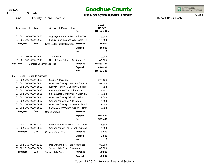1/8/15

9:50AM

### **Goodhue County**

### **USER-SELECTED BUDGET REPORT**

INTEGRATED<br>FINANCIAL SYSTEMS

Page 3

Report Basis: Cash

| <b>County General Revenue</b><br>01<br>Fund |  |
|---------------------------------------------|--|
|---------------------------------------------|--|

| <b>Account Number</b>                                                                         | <b>Account Description</b>                                                                            | Net                   | 2015<br><b>Budget</b><br>18,462,786 - |
|-----------------------------------------------------------------------------------------------|-------------------------------------------------------------------------------------------------------|-----------------------|---------------------------------------|
| 01-001-100-0000-5085<br>01-001-100-0000-6999<br>100<br>Program                                | Aggregate Material Production Tax<br>Future Fund Balance-Aggregate Pit<br>Reserve for Pit Restoration | Revenue               | $16,000 -$<br>16,000<br>$16,000 -$    |
|                                                                                               |                                                                                                       | Expend.<br><b>Net</b> | 16,000<br>0                           |
| 01-001-102-0000-5947<br>01-001-102-0000-5949<br>Dept<br>001<br><b>General Government Misc</b> | Transfers In<br>Use of Fund Balance-Ordinance Ent                                                     | Revenue               | 40,000<br>$40,000 -$<br>18,883,284 -  |
|                                                                                               |                                                                                                       | Expend.<br><b>Net</b> | 420,498<br>18,462,786 -               |
| 002<br>Outside Agencies<br>Dept                                                               |                                                                                                       |                       |                                       |
| 01-002-000-0000-6820                                                                          | <b>SELCO Allocation</b>                                                                               |                       | 476,424                               |
| 01-002-000-0000-6821                                                                          | Goodhue County Historical Soc Allo                                                                    |                       | 92,000                                |
| 01-002-000-0000-6822                                                                          | Kenyon Historical Society Allocatio                                                                   |                       | 500                                   |
| 01-002-000-0000-6823                                                                          | Cannon Valley Trail Allocation                                                                        |                       | 35,507                                |
| 01-002-000-0000-6825                                                                          | Soil & Water Conservation District,                                                                   |                       | 340,000                               |
| 01-002-000-0000-6826                                                                          | Goodhue County Fair Allocation                                                                        |                       | 22,000                                |
| 01-002-000-0000-6827                                                                          | Cannon Valley Fair Allocation                                                                         |                       | 5,000                                 |
| 01-002-000-0000-6829                                                                          | Goodhue County Humane Society A                                                                       |                       | 17,000                                |
| 01-002-000-0000-6830                                                                          | SEMCAC Community Action Agency                                                                        |                       | 5,000                                 |
| Program<br>000                                                                                | Undesignated                                                                                          | Revenue               |                                       |
|                                                                                               |                                                                                                       | Expend.               | 993,431                               |
|                                                                                               |                                                                                                       | <b>Net</b>            | 993,431                               |
| 01-002-010-0000-5260                                                                          | DNR-Cannon Valley Ski Trail Annu                                                                      |                       | $3,800 -$                             |
| 01-002-010-0000-6823                                                                          | Cannon Valley Trail Grant Payment                                                                     |                       | 3,800                                 |
| 010<br>Program                                                                                | Cannon Valley Trail                                                                                   | Revenue               | $3,800 -$                             |
|                                                                                               |                                                                                                       | Expend.               | 3,800                                 |
|                                                                                               |                                                                                                       | <b>Net</b>            | 0                                     |
| 01-002-015-0000-5263                                                                          | MN Snowmobile Trails Assistance F                                                                     |                       | 89,000 -                              |
| 01-002-015-0000-6824                                                                          | Snowmobile Grant Payments                                                                             |                       | 89,000                                |
| 015<br>Program                                                                                | Snowmobile Grant                                                                                      | Revenue               | 89,000 -                              |
|                                                                                               |                                                                                                       | Expend.               | 89,000                                |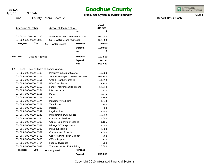1/8/15

9:50AM

### **Goodhue County**

**USER-SELECTED BUDGET REPORT**

INTEGRATED<br>FINANCIAL SYSTEMS

Report Basis: Cash

Page 4

|      | <b>Account Number</b> |                               |                     | <b>Account Description</b>   | <b>Net</b>                         | 2015<br><b>Budget</b><br>O |
|------|-----------------------|-------------------------------|---------------------|------------------------------|------------------------------------|----------------------------|
|      |                       | 01-002-020-0000-5270          |                     |                              | Water & Soil Resources Block Grant | $100,000 -$                |
|      |                       | 01-002-020-0000-6825          |                     | Soil & Water Grant Payments  |                                    | 100,000                    |
|      | Program               | 020                           | Soil & Water Grants |                              | Revenue                            | $100,000 -$                |
|      |                       |                               |                     |                              | Expend.                            | 100,000                    |
|      |                       |                               |                     |                              | Net                                | 0                          |
| Dept | 002                   | <b>Outside Agencies</b>       |                     |                              | Revenue                            | 192,800 -                  |
|      |                       |                               |                     |                              | Expend.                            | 1,186,231                  |
|      |                       |                               |                     |                              | <b>Net</b>                         | 993,431                    |
| 005  | Dept                  | County Board of Commissioners |                     |                              |                                    |                            |
|      |                       | 01-005-000-0000-6106          |                     | Per Diem in Lieu of Salaries |                                    | 10,000                     |
|      |                       | 01-005-000-0000-6107          |                     |                              | Salaries & Wages - Department Hea  | 103,740                    |
|      |                       | 01-005-000-0000-6151          |                     | Group Health Insurance       |                                    | 41,398                     |
|      |                       | 01-005-000-0000-6152          |                     | <b>HSA Contribution</b>      |                                    | 8,750                      |
|      |                       | 01-005-000-0000-6153          |                     | Family Insurance Supplement  |                                    | 52,918                     |
|      |                       | 01-005-000-0000-6154          |                     | Life Insurance               |                                    | 312                        |
|      |                       | 01-005-000-0000-6161          | PERA                |                              |                                    | 6,975                      |
|      |                       | 01-005-000-0000-6171          | <b>FICA</b>         |                              |                                    | 3,195                      |
|      |                       | 01-005-000-0000-6174          |                     | Mandatory Medicare           |                                    | 1,649                      |
|      |                       | 01-005-000-0000-6201          | Telephone           |                              |                                    | 100                        |
|      |                       | 01-005-000-0000-6203          | Postage             |                              |                                    | 80                         |
|      |                       | 01-005-000-0000-6242          | Legal Notices       |                              |                                    | 3,500                      |
|      |                       | 01-005-000-0000-6243          |                     | Membership Dues & Fees       |                                    | 16,892                     |
|      |                       | 01-005-000-0000-6284          |                     | <b>Contracted Services</b>   |                                    | 5,000                      |
|      |                       | 01-005-000-0000-6302          |                     | Copies/Copier Maintenance    |                                    | 1,106                      |
|      |                       | 01-005-000-0000-6331          |                     | Mileage & Transportation     |                                    | 4,000                      |
|      |                       | 01-005-000-0000-6332          |                     | Meals & Lodging              |                                    | 2,000                      |
|      |                       | 01-005-000-0000-6357          |                     | Conferences/Schools          |                                    | 2,000                      |
|      |                       | 01-005-000-0000-6402          |                     | Copy Machine Paper & Toner   |                                    | 250                        |
|      |                       | 01-005-000-0000-6405          |                     | Office Supplies              |                                    | 250                        |
|      |                       | 01-005-000-0000-6414          |                     | Food & Beverages             |                                    | 900                        |
|      |                       | 01-005-000-0000-6997          |                     | Transfers Out-1916 Building  |                                    | 10,000                     |
|      | Program               | 000                           | Undesignated        |                              | Revenue                            |                            |
|      |                       |                               |                     |                              | Expend.                            | 275,015                    |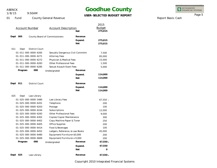1/8/15

9:50AM

### **Goodhue County**

### **USER-SELECTED BUDGET REPORT**

INTEGRATED<br>FINANCIAL SYSTEMS

Report Basis: Cash

Page 5

|                       |         |                       |                                  |                       | 2015          |
|-----------------------|---------|-----------------------|----------------------------------|-----------------------|---------------|
| <b>Account Number</b> |         |                       | <b>Account Description</b>       |                       | <b>Budget</b> |
|                       |         |                       |                                  | Net                   | 275,015       |
| Dept                  | 005     |                       | County Board of Commissioners    | Revenue               |               |
|                       |         |                       |                                  | Expend.               | 275,015       |
|                       |         |                       |                                  | Net                   | 275,015       |
| 011                   | Dept    | District Court        |                                  |                       |               |
|                       |         | 01-011-000-0000-6265  | Sexually Dangerous Civil Commitm |                       | 7,500         |
|                       |         | 01-011-000-0000-6271  | <b>Attorney Fees</b>             |                       | 85,000        |
|                       |         | 01-011-000-0000-6272  | Physician & Medical Fees         |                       | 15,000        |
|                       |         | 01-011-000-0000-6283  | <b>Other Professional Fees</b>   |                       | 1,500         |
|                       |         | 01-011-000-0000-6285  | Sexual Assault Exam Fees         |                       | 5,000         |
|                       | Program | 000                   | Undesignated                     | Revenue               |               |
|                       |         |                       |                                  |                       | 114,000       |
|                       |         |                       |                                  | Expend.<br><b>Net</b> | 114,000       |
|                       |         |                       |                                  |                       |               |
| Dept                  | 011     | <b>District Court</b> |                                  | Revenue               |               |
|                       |         |                       |                                  | Expend.               | 114,000       |
|                       |         |                       |                                  | <b>Net</b>            | 114,000       |
| 025                   | Dept    | Law Library           |                                  |                       |               |
|                       |         | 01-025-000-0000-5480  | Law Library Fees                 |                       | $67,550 -$    |
|                       |         | 01-025-000-0000-6201  | Telephone                        |                       | 200           |
|                       |         | 01-025-000-0000-6203  | Postage                          |                       | 100           |
|                       |         | 01-025-000-0000-6244  | Subscriptions                    |                       | 12,000        |
|                       |         | 01-025-000-0000-6283  | Other Professional Fees          |                       | 9,000         |
|                       |         | 01-025-000-0000-6302  | Copies/Copier Maintenance        |                       | 300           |
|                       |         | 01-025-000-0000-6402  | Copy Machine Paper & Toner       |                       | 250           |
|                       |         | 01-025-000-0000-6405  | <b>Office Supplies</b>           |                       | 200           |
|                       |         | 01-025-000-0000-6414  | Food & Beverages                 |                       | 100           |
|                       |         | 01-025-000-0000-6452  | Ledgers, Reference, & Law Books  |                       | 45,000        |
|                       |         | 01-025-000-0000-6480  | Equipment/Furniture<\$5,000      |                       | 200           |
|                       |         | 01-025-000-0000-6669  | Equipment/Furniture>=5,000       |                       | 200           |
|                       | Program | 000                   | Undesignated                     | Revenue               | $67,550 -$    |
|                       |         |                       |                                  | Expend.               | 67,550        |
|                       |         |                       |                                  | <b>Net</b>            | O             |
| Dept                  | 025     | Law Library           |                                  | Revenue               | $67,550 -$    |
|                       |         |                       |                                  |                       |               |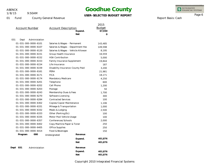1/8/15

9:50AM

### **Goodhue County**

### **USER-SELECTED BUDGET REPORT**

INTEGRATED<br>FINANCIAL SYSTEMS

Report Basis: Cash

Page 6

| <b>Account Number</b>        | <b>Account Description</b>         | Expend.<br><b>Net</b> | 2015<br><b>Budget</b><br>67,550<br>O |
|------------------------------|------------------------------------|-----------------------|--------------------------------------|
| 031<br>Dept<br>Administation |                                    |                       |                                      |
| 01-031-000-0000-6101         | Salaries & Wages - Permanent       |                       | 143,485                              |
| 01-031-000-0000-6107         | Salaries & Wages - Department Hea  |                       | 149,598                              |
| 01-031-000-0000-6120         | Salaries & Wages - Vehicle Allowan |                       | 8,195                                |
| 01-031-000-0000-6151         | Group Health Insurance             |                       | 16,559                               |
| 01-031-000-0000-6152         | <b>HSA Contribution</b>            |                       | 5,000                                |
| 01-031-000-0000-6153         | Family Insurance Supplement        |                       | 19,844                               |
| 01-031-000-0000-6154         | Life Insurance                     |                       | 187                                  |
| 01-031-000-0000-6159         | Disability Insurance-County Paid   |                       | 3,200                                |
| 01-031-000-0000-6161         | PERA                               |                       | 21,981                               |
| 01-031-000-0000-6171         | <b>FICA</b>                        |                       | 18,171                               |
| 01-031-000-0000-6174         | Mandatory Medicare                 |                       | 4,250                                |
| 01-031-000-0000-6201         | Telephone                          |                       | 600                                  |
| 01-031-000-0000-6202         | Cell Phone                         |                       | 1,200                                |
| 01-031-000-0000-6203         | Postage                            |                       | 50                                   |
| 01-031-000-0000-6243         | Membership Dues & Fees             |                       | 1,700                                |
| 01-031-000-0000-6270         | Software Licensing                 |                       | 300                                  |
| 01-031-000-0000-6284         | <b>Contracted Services</b>         |                       | 100                                  |
| 01-031-000-0000-6302         | Copies/Copier Maintenance          |                       | 1,106                                |
| 01-031-000-0000-6331         | Mileage & Transportation           |                       | 1,000                                |
| 01-031-000-0000-6332         | Meals & Lodging                    |                       | 2,500                                |
| 01-031-000-0000-6333         | Other (Parking, Etc)               |                       | 100                                  |
| 01-031-000-0000-6335         | Motor Pool Vehicle Usage           |                       | 100                                  |
| 01-031-000-0000-6357         | Conferences/Schools                |                       | 2,000                                |
| 01-031-000-0000-6402         | Copy Machine Paper & Toner         |                       | 250                                  |
| 01-031-000-0000-6405         | <b>Office Supplies</b>             |                       | 250                                  |
| 01-031-000-0000-6414         | Food & Beverages                   |                       | 150                                  |
| 000<br>Program               | Undesignated                       | Revenue               |                                      |
|                              |                                    | Expend.               | 401,876                              |
|                              |                                    | <b>Net</b>            | 401,876                              |
| Dept<br>031<br>Administation |                                    | Revenue               |                                      |
|                              |                                    | Expend.               | 401,876                              |
|                              |                                    | <b>Net</b>            | 401,876                              |
|                              |                                    |                       |                                      |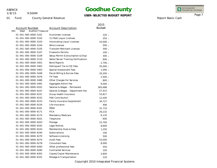1/8/15

9:50AM

# **Goodhue County**

### **USER-SELECTED BUDGET REPORT**

INTEGRATED<br>FINANCIAL SYSTEMS

Report Basis: Cash

Page 7

|                                  |                                      | 2015          |
|----------------------------------|--------------------------------------|---------------|
| <b>Account Number</b>            | <b>Account Description</b>           | <b>Budget</b> |
| Auditor/Treasurer<br>041<br>Dept |                                      |               |
| 01-041-000-0000-5101             | <b>Auctioneer Licenses</b>           | 220 -         |
| 01-041-000-0000-5102             | 3.2 Malt Liquor Licenses             | $250 -$       |
| 01-041-000-0000-5103             | Intoxicating Liquor Licenses         | $10,000 -$    |
| 01-041-000-0000-5104             | <b>Wine Licenses</b>                 | $500 -$       |
| 01-041-000-0000-5105             | <b>Transient Merchant Licenses</b>   | $300 -$       |
| 01-041-000-0000-5107             | <b>Fireworks Permits</b>             | $100 -$       |
| 01-041-000-0000-5109             | Setup Permit (Consumption & Disp)    | $300 -$       |
| 01-041-000-0000-5110             | Seller/Server Training Verifications | $600 -$       |
| 01-041-000-0000-5401             | <b>Bond Reports</b>                  | $2,700 -$     |
| 01-041-000-0000-5402             | Delinguent Tax & COJ Fees            | $35,000 -$    |
| 01-041-000-0000-5403             | Special Assessment Fees              | $1,000 -$     |
| 01-041-000-0000-5448             | Parcel Billing & Escrow Fees         | $20,200 -$    |
| 01-041-000-0000-5476             | <b>TIF Fees</b>                      | $2,500 -$     |
| 01-041-000-0000-5480             | Other Charges For Services           | $800 -$       |
| 01-041-000-0000-5481             | Aggregate Admin Fee                  | $6,000 -$     |
| 01-041-000-0000-6101             | Salaries & Wages - Permanent         | 365,688       |
| 01-041-000-0000-6107             | Salaries & Wages - Department Hea    | 57,415        |
| 01-041-000-0000-6151             | Group Health Insurance               | 53,817        |
| 01-041-000-0000-6152             | <b>HSA Contribution</b>              | 12,500        |
| 01-041-000-0000-6153             | <b>Family Insurance Supplement</b>   | 34,727        |
| 01-041-000-0000-6154             | Life Insurance                       | 406           |
| 01-041-000-0000-6161             | PERA                                 | 31,733        |
| 01-041-000-0000-6171             | <b>FICA</b>                          | 26,232        |
| 01-041-000-0000-6174             | Mandatory Medicare                   | 6,135         |
| 01-041-000-0000-6201             | Telephone                            | 600           |
| 01-041-000-0000-6203             | Postage                              | 15,700        |
| 01-041-000-0000-6242             | Legal Notices                        | 8,600         |
| 01-041-000-0000-6243             | Membership Dues & Fees               | 1,250         |
| 01-041-000-0000-6244             | Subscriptions                        | 100           |
| 01-041-000-0000-6270             | Software Licensing                   | 500           |
| 01-041-000-0000-6274             | <b>Audit Fees</b>                    | 53,000        |
| 01-041-000-0000-6278             | <b>Consultant Fees</b>               | 8,000         |
| 01-041-000-0000-6283             | Other professional fees              | 550           |
| 01-041-000-0000-6284             | <b>Contracted Services</b>           | 100           |
| 01-041-000-0000-6302             | Copies/Copier Maintenance            | 2,800         |
| 01-041-000-0000-6331             | Mileage & Transportation             | 120           |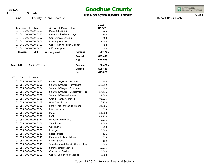9:50AM 1/8/15

### **Goodhue County**

### **USER-SELECTED BUDGET REPORT**

INTEGRATED<br>FINANCIAL SYSTEMS

Report Basis: Cash

Page 8

|      |                       |                      |                              |                                      | 2015          |
|------|-----------------------|----------------------|------------------------------|--------------------------------------|---------------|
|      | <b>Account Number</b> |                      | <b>Account Description</b>   |                                      | <b>Budget</b> |
|      |                       | 01-041-000-0000-6332 | Meals & Lodging              |                                      | 925           |
|      |                       | 01-041-000-0000-6335 | Motor Pool Vehicle Usage     |                                      | 800           |
|      |                       | 01-041-000-0000-6357 | Conferences/Schools          |                                      | 500           |
|      |                       | 01-041-000-0000-6401 | <b>Printing Services</b>     |                                      | 12,000        |
|      |                       | 01-041-000-0000-6402 | Copy Machine Paper & Toner   |                                      | 700           |
|      |                       | 01-041-000-0000-6405 | Office Supplies              |                                      | 600           |
|      | Program               | 000                  | Undesignated                 | Revenue                              | $80,470 -$    |
|      |                       |                      |                              | Expend.                              | 695,498       |
|      |                       |                      |                              | <b>Net</b>                           | 615,028       |
| Dept | 041                   | Auditor/Treasurer    |                              | Revenue                              | 80,470 -      |
|      |                       |                      |                              | Expend.                              | 695,498       |
|      |                       |                      |                              | <b>Net</b>                           | 615,028       |
| 055  | Dept                  | Assessor             |                              |                                      |               |
|      |                       | 01-055-000-0000-5480 | Other Charges for Services   |                                      | $500 -$       |
|      |                       | 01-055-000-0000-6101 | Salaries & Wages - Permanent |                                      | 620,592       |
|      |                       | 01-055-000-0000-6104 | Salaries & Wages - Overtime  |                                      | 500           |
|      |                       | 01-055-000-0000-6107 |                              | Salaries & Wages - Department Hea    | 57,415        |
|      |                       | 01-055-000-0000-6109 | Salaries & Wages-Longevity   |                                      | 2,600         |
|      |                       | 01-055-000-0000-6151 | Group Health Insurance       |                                      | 86,935        |
|      |                       | 01-055-000-0000-6152 | <b>HSA Contribution</b>      |                                      | 16,250        |
|      |                       | 01-055-000-0000-6153 | Family Insurance Supplement  |                                      | 24,805        |
|      |                       | 01-055-000-0000-6154 | Life Insurance               |                                      | 655           |
|      |                       | 01-055-000-0000-6161 | PERA                         |                                      | 51,083        |
|      |                       | 01-055-000-0000-6171 | <b>FICA</b>                  |                                      | 42,229        |
|      |                       | 01-055-000-0000-6174 | Mandatory Medicare           |                                      | 9,876         |
|      |                       | 01-055-000-0000-6201 | Telephone                    |                                      | 1,500         |
|      |                       | 01-055-000-0000-6202 | Cell Phone                   |                                      | 350           |
|      |                       | 01-055-000-0000-6203 | Postage                      |                                      | 6,000         |
|      |                       | 01-055-000-0000-6242 | Legal Notices                |                                      | 125           |
|      |                       | 01-055-000-0000-6243 | Membership Dues & Fees       |                                      | 825           |
|      |                       | 01-055-000-0000-6244 | Subscriptions                |                                      | 100           |
|      |                       | 01-055-000-0000-6245 |                              | State Required Registration or Licer | 500           |
|      |                       | 01-055-000-0000-6268 | Software Maintenance         |                                      | 12,275        |
|      |                       | 01-055-000-0000-6284 | <b>Contracted Services</b>   |                                      | 5,000         |
|      |                       | 01-055-000-0000-6302 | Copies/Copier Maintenance    |                                      | 3,600         |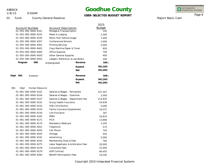01 Fund

1/8/15

9:50AM

County General Revenue

### **Goodhue County**

**USER-SELECTED BUDGET REPORT**

INTEGRATED<br>FINANCIAL SYSTEMS

Report Basis: Cash

Page 9

|                                               |                                                        | 2015<br><b>Budget</b> |
|-----------------------------------------------|--------------------------------------------------------|-----------------------|
| <b>Account Number</b><br>01-055-000-0000-6331 | <b>Account Description</b><br>Mileage & Transportation | 100                   |
| 01-055-000-0000-6332                          | Meals & Lodging                                        | 2,300                 |
| 01-055-000-0000-6335                          | Motor Pool Vehicle Usage                               | 7,000                 |
| 01-055-000-0000-6357                          | Conferences/Schools                                    | 2,000                 |
| 01-055-000-0000-6401                          | <b>Printing Services</b>                               | 5,000                 |
| 01-055-000-0000-6402                          | Copy Machine Paper & Toner                             | 650                   |
| 01-055-000-0000-6405                          | Office Supplies                                        | 700                   |
| 01-055-000-0000-6420                          | <b>Other General Supplies</b>                          | 400                   |
| 01-055-000-0000-6452                          | Ledgers, Reference, & Law Books                        | 200                   |
| Program<br>000                                | Revenue<br>Undesignated                                | $500 -$               |
|                                               | Expend.                                                | 961,565               |
|                                               | <b>Net</b>                                             | 961,065               |
| Dept<br>055<br>Assessor                       | Revenue                                                | $500 -$               |
|                                               | Expend.                                                | 961,565               |
|                                               | Net                                                    | 961,065               |
| 061<br>Human Resource<br>Dept                 |                                                        |                       |
| 01-061-000-0000-6101                          | Salaries & Wages - Permanent                           | 107,307               |
| 01-061-000-0000-6104                          | Salaries & Wages - Overtime                            | 2,000                 |
| 01-061-000-0000-6107                          | Salaries & Wages - Department Hea                      | 114,830               |
| 01-061-000-0000-6151                          | Group Health Insurance                                 | 24,839                |
| 01-061-000-0000-6152                          | <b>HSA Contribution</b>                                | 5,000                 |
| 01-061-000-0000-6153                          | Family Insurance Supplement                            | 16,537                |
| 01-061-000-0000-6154                          | Life Insurance                                         | 187                   |
| 01-061-000-0000-6161                          | PERA                                                   | 16,810                |
| 01-061-000-0000-6171                          | <b>FICA</b>                                            | 13,896                |
| 01-061-000-0000-6174                          | Mandatory Medicare                                     | 3,250                 |
| 01-061-000-0000-6201                          | Telephone                                              | 575                   |
| 01-061-000-0000-6202                          | Cell Phone                                             | 750                   |
| 01-061-000-0000-6203                          | Postage                                                | 450                   |
| 01-061-000-0000-6241                          | Advertising                                            | 5,000                 |
| 01-061-000-0000-6243                          | Membership Dues & Fees                                 | 760                   |
| 01-061-000-0000-6275                          | Labor Negotiator & Arbitration Fees                    | 20,000                |
| 01-061-000-0000-6278                          | <b>Consultant Fees</b>                                 | 22,000                |
| 01-061-000-0000-6279                          | <b>ADP Contract</b>                                    | 66,455                |
| 01-061-000-0000-6283                          | <b>Benefit Participation Fees</b>                      | 19,200                |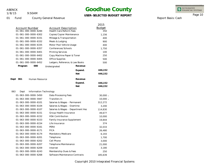01 Fund

1/8/15

9:50AM

County General Revenue

### **Goodhue County**

**USER-SELECTED BUDGET REPORT**

INTEGRATED<br>FINANCIAL SYSTEMS

Page 10

Report Basis: Cash

|                                         |                                   | 2015          |
|-----------------------------------------|-----------------------------------|---------------|
| Account Number                          | Account Description               | <b>Budget</b> |
| 01-061-000-0000-6284                    | <b>Health Care Reform Fees</b>    | 350           |
| 01-061-000-0000-6302                    | Copies/Copier Maintenance         | 1,156         |
| 01-061-000-0000-6331                    | Mileage & Transportation          | 400           |
| 01-061-000-0000-6332                    | Meals & Lodging                   | 900           |
| 01-061-000-0000-6335                    | Motor Pool Vehicle Usage          | 400           |
| 01-061-000-0000-6357                    | Conferences/Schools               | 1,750         |
| 01-061-000-0000-6401                    | <b>Printing Services</b>          | 100           |
| 01-061-000-0000-6402                    | Copy Machine Paper & Toner        | 250           |
| 01-061-000-0000-6405<br>Office Supplies |                                   | 500           |
| 01-061-000-0000-6452                    | Ledgers, Reference, & Law Books   | 500           |
| Program<br>000<br>Undesignated          | Revenue                           |               |
|                                         | Expend.                           | 446,152       |
|                                         | <b>Net</b>                        | 446,152       |
| Dept<br>061<br>Human Resource           | Revenue                           |               |
|                                         | Expend.                           | 446,152       |
|                                         | <b>Net</b>                        | 446,152       |
| 063<br>Information Technology<br>Dept   |                                   |               |
| 01-063-000-0000-5450                    | Data Processing Fees              | $30,000 -$    |
| Transfers In<br>01-063-000-0000-5947    |                                   | $10,000 -$    |
| 01-063-000-0000-6101                    | Salaries & Wages - Permanent      | 312,272       |
| 01-063-000-0000-6104                    | Salaries & Wages - Overtime       | 3,200         |
| 01-063-000-0000-6107                    | Salaries & Wages - Department Hea | 114,830       |
| 01-063-000-0000-6151                    | Group Health Insurance            | 49,677        |
| 01-063-000-0000-6152                    | <b>HSA Contribution</b>           | 10,000        |
| 01-063-000-0000-6153                    | Family Insurance Supplement       | 19,844        |
| 01-063-000-0000-6154<br>Life Insurance  |                                   | 374           |
| 01-063-000-0000-6161<br>PERA            |                                   | 32,033        |
| <b>FICA</b><br>01-063-000-0000-6171     |                                   | 26,480        |
| 01-063-000-0000-6174                    | Mandatory Medicare                | 6,193         |
| 01-063-000-0000-6201<br>Telephone       |                                   | 1,700         |
| 01-063-000-0000-6202<br>Cell Phone      |                                   | 3,000         |
| 01-063-000-0000-6207                    | Telephone Maintenance             | 21,000        |
| 01-063-000-0000-6209<br>Internet        |                                   | 3,180         |
| 01-063-000-0000-6243                    | Membership Dues & Fees            | 250           |
| 01-063-000-0000-6268                    | Software Maintenance Contracts    | 185,639       |

-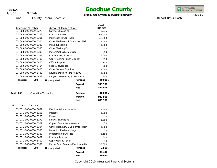01 Fund

1/8/15

9:50AM

County General Revenue

# **Goodhue County**

**USER-SELECTED BUDGET REPORT**

INTEGRATED<br>FINANCIAL SYSTEMS

Report Basis: Cash

Page 11

| ER-SELEUTED Bl |  |  |
|----------------|--|--|
|                |  |  |
|                |  |  |

|                          |                                |                                    | 2015          |
|--------------------------|--------------------------------|------------------------------------|---------------|
| <b>Account Number</b>    | <b>Account Description</b>     |                                    | <b>Budget</b> |
| 01-063-000-0000-6270     | Software Licensing             |                                    | 2,236         |
| 01-063-000-0000-6278     | <b>Consultant Fees</b>         |                                    | 61,000        |
| 01-063-000-0000-6301     | Maintenance Contracts          |                                    | 46,600        |
| 01-063-000-0000-6304     |                                | Other Machinery & Equipment Mair   | 1,000         |
| 01-063-000-0000-6332     | Meals & Lodging                |                                    | 1,000         |
| 01-063-000-0000-6333     | Other (Parking, Etc)           |                                    | 50            |
| 01-063-000-0000-6335     | Motor Pool Vehicle Usage       |                                    | 850           |
| 01-063-000-0000-6357     | Conferences/Schools            |                                    | 5,000         |
| 01-063-000-0000-6402     | Copy Machine Paper & Toner     |                                    | 350           |
| 01-063-000-0000-6405     | Office Supplies                |                                    | 350           |
| 01-063-000-0000-6414     | Food & Beverages               |                                    | 500           |
| 01-063-000-0000-6420     | Other General Supplies         |                                    | 4,000         |
| 01-063-000-0000-6432     | Equipment/Furniture <\$1000    |                                    | 1,000         |
| 01-063-000-0000-6452     |                                | Ledgers, Reference, & Law Books    | 300           |
| 000<br>Program           | Undesignated                   | Revenue                            | $40,000 -$    |
|                          |                                | Expend.                            | 913,908       |
|                          |                                | <b>Net</b>                         | 873,908       |
| Dept<br>063              | Information Technology         | Revenue                            | $40,000 -$    |
|                          |                                | Expend.                            | 913,908       |
|                          |                                | <b>Net</b>                         | 873,908       |
| 071<br>Elections<br>Dept |                                |                                    |               |
| 01-071-000-0000-5859     | <b>Election Reimbursements</b> |                                    | $1,500 -$     |
| 01-071-000-0000-6203     | Postage                        |                                    | 1,200         |
| 01-071-000-0000-6205     | Freight                        |                                    | 50            |
| 01-071-000-0000-6270     | Software Licensing             |                                    | 1,600         |
| 01-071-000-0000-6302     | Copies/Copier Maintenance      |                                    | 50            |
| 01-071-000-0000-6304     |                                | Other Machinery & Equipment Mair   | 1,600         |
| 01-071-000-0000-6335     | Motor Pool Vehicle Usage       |                                    | 50            |
| 01-071-000-0000-6382     | Programming Charges            |                                    | 1,100         |
| 01-071-000-0000-6401     | <b>Printing Services</b>       |                                    | 800           |
| 01-071-000-0000-6402     | Copy Paper & Toner             |                                    | 40            |
| 01-071-000-0000-6999     |                                | Future Fund Balance-Election Activ | 35,000        |
| 000<br>Program           | Undesignated                   | Revenue                            | $1,500 -$     |
|                          |                                | Expend.                            | 41,490        |
|                          |                                | <b>Net</b>                         | 39,990        |
|                          |                                |                                    |               |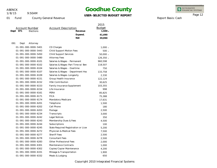1/8/15

### 9:50AM

### **Goodhue County**

### **USER-SELECTED BUDGET REPORT**

INTEGRATED<br>FINANCIAL SYSTEMS

Report Basis: Cash

Page 12

| <b>Account Number</b><br>Dept<br>Elections<br>071 | <b>Account Description</b><br>Revenue | 2015<br><b>Budget</b><br>$1,500 -$ |
|---------------------------------------------------|---------------------------------------|------------------------------------|
|                                                   | Expend.                               | 41,490                             |
|                                                   | <b>Net</b>                            | 39,990                             |
| 091<br>Dept<br>Attorney                           |                                       |                                    |
| 01-091-000-0000-5401                              | CD Charges                            | $1,000 -$                          |
| 01-091-000-0000-5443                              | <b>Child Support Motion Fees</b>      | $500 -$                            |
| 01-091-000-0000-5450                              | <b>Child Support Services</b>         | $50,000 -$                         |
| 01-091-000-0000-5480                              | <b>Attorney Fees</b>                  | $126,350 -$                        |
| 01-091-000-0000-6101                              | Salaries & Wages - Permanent          | 960,598                            |
| 01-091-000-0000-6102                              | Salaries & Wages-Part Time w/Ben      | 118,507                            |
| 01-091-000-0000-6104                              | Salaries & Wages - Overtime           | 750                                |
| 01-091-000-0000-6107                              | Salaries & Wages - Department Hea     | 133,758                            |
| 01-091-000-0000-6109                              | Salaries & Wages-Longevity            | 2,330                              |
| 01-091-000-0000-6151                              | Group Health Insurance                | 122,124                            |
| 01-091-000-0000-6152                              | <b>HSA Contribution</b>               | 30,625                             |
| 01-091-000-0000-6153                              | Family Insurance Supplement           | 103,355                            |
| 01-091-000-0000-6154                              | Life Insurance                        | 998                                |
| 01-091-000-0000-6161                              | PERA                                  | 85,825                             |
| 01-091-000-0000-6171                              | <b>FICA</b>                           | 75,388                             |
| 01-091-000-0000-6174                              | Mandatory Medicare                    | 17,631                             |
| 01-091-000-0000-6201                              | Telephone                             | 1,500                              |
| 01-091-000-0000-6202                              | Cell Phone                            | 180                                |
| 01-091-000-0000-6203                              | Postage                               | 2,500                              |
| 01-091-000-0000-6234                              | Transcripts                           | 3,000                              |
| 01-091-000-0000-6242                              | Legal Notices                         | 350                                |
| 01-091-000-0000-6243                              | Membership Dues & Fees                | 4,500                              |
| 01-091-000-0000-6244                              | Subscriptions                         | 100                                |
| 01-091-000-0000-6245                              | State Required Registration or Licer  | 5,200                              |
| 01-091-000-0000-6272                              | Physician & Medical Fees              | 7,500                              |
| 01-091-000-0000-6277                              | <b>Sheriff Fees</b>                   | 2,500                              |
| 01-091-000-0000-6278                              | <b>Consultant Fees</b>                | 2,500                              |
| 01-091-000-0000-6283                              | <b>Other Professional Fees</b>        | 2,000                              |
| 01-091-000-0000-6301                              | Maintenance Contracts                 | 1,000                              |
| 01-091-000-0000-6302                              | Copies/Copier Maintenance             | 4,200                              |
| 01-091-000-0000-6331                              | Mileage & Transportation              | 1,900                              |
| 01-091-000-0000-6332                              | Meals & Lodging                       | 650                                |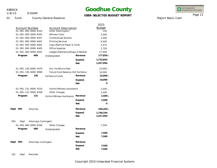1/8/15

101 Dept Recorder

9:50AM

### **Goodhue County**

### **USER-SELECTED BUDGET REPORT**

INTEGRATED<br>FINANCIAL SYSTEMS

Report Basis: Cash

Page 13

| <b>Account Number</b><br><b>Account Description</b><br>01-091-000-0000-6333<br>Other (Parking, Etc)<br><b>Witness Costs</b><br>01-091-000-0000-6355<br>01-091-000-0000-6357<br>Conferences/Schools<br><b>Printing Services</b><br>01-091-000-0000-6401 |                                     | <b>Budget</b><br>150<br>2,000<br>3,500 |
|--------------------------------------------------------------------------------------------------------------------------------------------------------------------------------------------------------------------------------------------------------|-------------------------------------|----------------------------------------|
|                                                                                                                                                                                                                                                        |                                     |                                        |
|                                                                                                                                                                                                                                                        |                                     |                                        |
|                                                                                                                                                                                                                                                        |                                     |                                        |
|                                                                                                                                                                                                                                                        |                                     | 6,500                                  |
| Copy Machine Paper & Toner<br>01-091-000-0000-6402                                                                                                                                                                                                     |                                     | 2,475                                  |
| <b>Office Supplies</b><br>01-091-000-0000-6405                                                                                                                                                                                                         |                                     | 2,750                                  |
| 01-091-000-0000-6452                                                                                                                                                                                                                                   | Ledgers, Reference, Mcaps & Westlav | 27,000                                 |
| 000<br>Program<br>Undesignated                                                                                                                                                                                                                         | Revenue                             | 177,850 -                              |
|                                                                                                                                                                                                                                                        | Expend.                             | 1,735,844                              |
|                                                                                                                                                                                                                                                        | <b>Net</b>                          | 1,557,994                              |
| 01-091-130-0000-5479<br>Dui-Forfeiture Fees                                                                                                                                                                                                            |                                     | $10,000 -$                             |
| 01-091-130-0000-6999                                                                                                                                                                                                                                   | Future Fund Balance-DUI Forfeiture  | 10,000                                 |
| Program<br>130<br>Forfeiture Funds                                                                                                                                                                                                                     | Revenue                             | 10,000 -                               |
|                                                                                                                                                                                                                                                        | Expend.                             | 10,000                                 |
|                                                                                                                                                                                                                                                        | <b>Net</b>                          | $\Omega$                               |
| 01-091-131-0000-5510<br>Victim/Witness Assistance                                                                                                                                                                                                      |                                     | $2,500 -$                              |
| 01-091-131-0000-6358<br>Other Charges                                                                                                                                                                                                                  |                                     | 2,500                                  |
| Program<br>131<br>Victim/Witness Assistance                                                                                                                                                                                                            | Revenue                             | $2,500 -$                              |
|                                                                                                                                                                                                                                                        | Expend.                             | 2,500                                  |
|                                                                                                                                                                                                                                                        | <b>Net</b>                          | 0                                      |
| Dept<br>091<br>Attorney                                                                                                                                                                                                                                | Revenue                             | 190,350 -                              |
|                                                                                                                                                                                                                                                        | Expend.                             | 1,748,344                              |
|                                                                                                                                                                                                                                                        | <b>Net</b>                          | 1,557,994                              |
| 093<br>Attorneys Contingent<br>Dept                                                                                                                                                                                                                    |                                     |                                        |
| 01-093-000-0000-6358<br>Other Charges                                                                                                                                                                                                                  |                                     | 7,500                                  |
| 000<br>Program<br>Undesignated                                                                                                                                                                                                                         | Revenue                             |                                        |
|                                                                                                                                                                                                                                                        | Expend.                             | 7,500                                  |
|                                                                                                                                                                                                                                                        | <b>Net</b>                          | 7,500                                  |
| Dept<br>093<br>Attorneys Contingent                                                                                                                                                                                                                    | Revenue                             |                                        |
|                                                                                                                                                                                                                                                        | Expend.                             | 7,500                                  |
|                                                                                                                                                                                                                                                        | <b>Net</b>                          | 7,500                                  |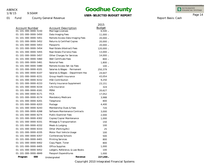1/8/15

9:50AM

### **Goodhue County**

### **USER-SELECTED BUDGET REPORT**

3,988 800 4,400 720 3,000 2,000 1,000 150 100 25 100 500 800 800 1,000 100 1,000 INTEGRATED<br>FINANCIAL SYSTEMS

Page 14

01 Fund County General Revenue

| Account Number                 | Account Description               | 2015<br><b>Budget</b> |
|--------------------------------|-----------------------------------|-----------------------|
| $01 - 101 - 000 - 0000 - 5150$ | Marriage Licenses                 | $6,500 -$             |
| 01-101-000-0000-5450           | Data Imaging Fees                 | 11,000 -              |
| 01-101-000-0000-5451           | Remote Access Data Imaging Fees   | $20,000 -$            |
| 01-101-000-0000-5452           | Returns & Certified Copies        | $20,000 -$            |
| 01-101-000-0000-5453           | Passports                         | $20,000 -$            |
| 01-101-000-0000-5454           | Real Estate (Abstract) Fees       | 120,000 -             |
| 01-101-000-0000-5455           | Real Estate (Torrens) Fees        | 13,000 -              |
| 01-101-000-0000-5457           | Other Charges for Services        | $14,000 -$            |
| 01-101-000-0000-5460           | <b>Well Certificate Fees</b>      | $800 -$               |
| 01-101-000-0000-5461           | Notorial Fees                     | $1,800 -$             |
| 01-101-000-0000-5480           | Remote Access Set-Up Fees         | $100 -$               |
| 01-101-000-0000-6101           | Salaries & Wages - Permanent      | 250,379               |
| 01-101-000-0000-6107           | Salaries & Wages - Department Hea | 24,647                |
| 01-101-000-0000-6151           | Group Health Insurance            | 43,054                |
| 01-101-000-0000-6152           | <b>HSA Contribution</b>           | 9,250                 |
| 01-101-000-0000-6153           | Family Insurance Supplement       | 23,151                |
| 01-101-000-0000-6154           | Life Insurance                    | 324                   |
| 01-101-000-0000-6161           | PERA                              | 20,627                |
| 01-101-000-0000-6171           | <b>FICA</b>                       | 17,052                |
| 01-101-000-0000-6174           | Mandatory Medicare                | 3,988                 |
| 01-101-000-0000-6201           | Telephone                         | 800                   |
| 01-101-000-0000-6203           | Postage                           | 4,400                 |
| 01-101-000-0000-6243           | Membership Dues & Fees            | 720                   |
| 01-101-000-0000-6268           | Software Maintenance Contracts    | 3,000                 |
| 01-101-000-0000-6274           | <b>Public Examiner Fees</b>       | 2,000                 |
| 01-101-000-0000-6302           | Copies/Copier Maintenance         | 1,000                 |
| 01-101-000-0000-6331           | Mileage & Transportation          | 150                   |
| 01-101-000-0000-6332           | Meals & Lodging                   | 100                   |
| 01-101-000-0000-6333           | Other (Parking, Etc)              | 25                    |
| 01-101-000-0000-6335           | Motor Pool Vehicle Usage          | 100                   |

01-101-000-0000-6357 Conferences/Schools 01-101-000-0000-6401 Printing Services 01-101-000-0000-6402 Copy Paper, Toner 01-101-000-0000-6405 Office Supplies

01-101-000-0000-6849 Passport Expenditures

01-101-000-0000-6452 Ledgers, Reference, & Law Books

Program 000 Undesignated **Revenue** 

Copyright 2010 Integrated Financial Systems

**- 227,200**

Report Basis: Cash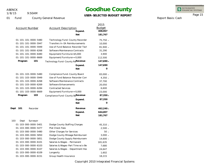01 Fund

1/8/15

9:50AM

### **Goodhue County**

**USER-SELECTED BUDGET REPORT**

INTEGRATED<br>FINANCIAL SYSTEMS

Page 15

Report Basis: Cash

| <b>Account Number</b>                                                                                                                                                                                                                                                   | <b>Account Description</b><br>Expend.<br><b>Net</b>                                                                                                                                                                                                                                                  | 2015<br><b>Budget</b><br>408,967<br>181,767                                                                                           |
|-------------------------------------------------------------------------------------------------------------------------------------------------------------------------------------------------------------------------------------------------------------------------|------------------------------------------------------------------------------------------------------------------------------------------------------------------------------------------------------------------------------------------------------------------------------------------------------|---------------------------------------------------------------------------------------------------------------------------------------|
| 01-101-101-0000-5480<br>01-101-101-0000-5947<br>01-101-101-0000-5949<br>01-101-101-0000-6268<br>01-101-101-0000-6480<br>01-101-101-0000-6669<br>101<br>Program                                                                                                          | Technology Fund-County Recorder<br>Transfers In-EA Reimbursements<br>Use of Fund Balance-Recorder Tech<br>Software Maintenance Contracts<br>Equipment/Furniture<\$5,000<br>Equipment/Furniture>=5,000<br>Technology Fund-County ReRevenue<br>Expend.<br><b>Net</b>                                   | 75,750 -<br>10,000<br>81,940 -<br>31,290<br>3,900<br>112,500<br>147,690 -<br>147,690<br>$\Omega$                                      |
| 01-101-103-0000-5480<br>01-101-103-0000-5949<br>01-101-103-0000-6268<br>01-101-103-0000-6269<br>01-101-103-0000-6284<br>01-101-103-0000-6669<br>103<br>Program<br>Dept<br>101<br>Recorder                                                                               | Compliance Fund-County Board<br>Use of Fund Balance-Recorder Com<br>Software Maintenance Contracts<br>Software Enhancements<br><b>Contracted Services</b><br>Equipment/Furniture>=5,000<br>Compliance Fund-County BoRevenue<br>Expend.<br><b>Net</b><br>Revenue<br>Expend.<br><b>Net</b>             | 83,000 -<br>$4,350 -$<br>37,700<br>20,050<br>6,600<br>23,000<br>$87,350 -$<br>87,350<br>$\Omega$<br>$462,240 -$<br>644,007<br>181,767 |
| 103<br>Dept<br>Surveyor<br>01-103-000-0000-5401<br>01-103-000-0000-5477<br>01-103-000-0000-5480<br>01-103-000-0000-5850<br>01-103-000-0000-5851<br>01-103-000-0000-6101<br>01-103-000-0000-6103<br>01-103-000-0000-6107<br>01-103-000-0000-6109<br>01-103-000-0000-6151 | Dodge County Staffing Charges<br>Plat Check Fees<br>Other Charges for Services<br>Dodge County Mileage Reimbursem<br>Dodge County Supply Reimbursem<br>Salaries & Wages - Permanent<br>Salaries & Wages-Part Time w/o Be<br>Salaries & Wages - Department Hea<br>Longevity<br>Group Health Insurance | $45,310 -$<br>$2,500 -$<br>$50 -$<br>$3,000 -$<br>14,600 -<br>181,635<br>7,680<br>24,647<br>1,602<br>18,215                           |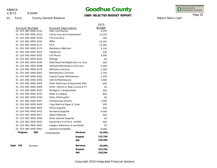1/8/15

01 Fund

9:50AM

County General Revenue

### **Goodhue County**

### **USER-SELECTED BUDGET REPORT**

INTEGRATED<br>FINANCIAL SYSTEMS

Page 16

Report Basis: Cash

|      |                       |          |                                 |                                      | 2015          |
|------|-----------------------|----------|---------------------------------|--------------------------------------|---------------|
|      | <b>Account Number</b> |          | <b>Account Description</b>      |                                      | <b>Budget</b> |
|      | 01-103-000-0000-6152  |          | <b>HSA Contribution</b>         |                                      | 4,250         |
|      | 01-103-000-0000-6153  |          | Family Insurance Supplement     |                                      | 13,229        |
|      | 01-103-000-0000-6154  |          | Life Insurance                  |                                      | 200           |
|      | 01-103-000-0000-6161  |          | PERA                            |                                      | 16,167        |
|      | 01-103-000-0000-6171  |          | <b>FICA</b>                     |                                      | 13,365        |
|      | 01-103-000-0000-6174  |          | Mandatory Medicare              |                                      | 3,126         |
|      | 01-103-000-0000-6201  |          | Telephone                       |                                      | 550           |
|      | 01-103-000-0000-6202  |          | Cell Phone                      |                                      | 3,000         |
|      | 01-103-000-0000-6203  |          | Postage                         |                                      | 50            |
|      | 01-103-000-0000-6245  |          |                                 | State Required Registration or Licer | 450           |
|      | 01-103-000-0000-6268  |          | Software Maintenance Contracts  |                                      | 5,300         |
|      | 01-103-000-0000-6270  |          | Software Licensing              |                                      | 1,500         |
|      | 01-103-000-0000-6301  |          | Maintenance Contracts           |                                      | 2,750         |
|      | 01-103-000-0000-6302  |          | Copies/Copier Maintenance       |                                      | 2,200         |
|      | 01-103-000-0000-6303  |          | Vehicle Maintenance             |                                      | 1,000         |
|      | 01-103-000-0000-6304  |          |                                 | Other Machinery & Equipment Mair     | 400           |
|      | 01-103-000-0000-6309  |          |                                 | Other-Vehicle or Boat License & Tit  | 50            |
|      | 01-103-000-0000-6331  |          | Mileage & Transportation        |                                      | 500           |
|      | 01-103-000-0000-6332  |          | Meals & Lodging                 |                                      | 800           |
|      | 01-103-000-0000-6333  |          | Other (Parking, Etc)            |                                      | 50            |
|      | 01-103-000-0000-6357  |          | Conferences/Schools             |                                      | 1,000         |
|      | 01-103-000-0000-6402  |          | Copy Machine Paper & Toner      |                                      | 500           |
|      | 01-103-000-0000-6405  |          | Office Supplies                 |                                      | 500           |
|      | 01-103-000-0000-6412  |          | <b>Surveying Supplies</b>       |                                      | 4,000         |
|      | 01-103-000-0000-6417  |          | Safety Materials                |                                      | 450           |
|      | 01-103-000-0000-6420  |          | Other General Supplies          |                                      | 50            |
|      | 01-103-000-0000-6432  |          | Equipment/Furniture <\$1000     |                                      | 500           |
|      | 01-103-000-0000-6452  |          | Ledgers, Reference, & Law Books |                                      | 50            |
|      | 01-103-000-0000-6567  |          | Gasoline (Unleaded)             |                                      | 6,000         |
|      | Program               | 000      | Undesignated                    | Revenue                              | 65,460 -      |
|      |                       |          |                                 | Expend.                              | 315,766       |
|      |                       |          |                                 | Net                                  | 250,306       |
| Dept | 103                   | Surveyor |                                 | Revenue                              | $65,460 -$    |
|      |                       |          |                                 | Expend.                              | 315,766       |
|      |                       |          |                                 | <b>Net</b>                           | 250,306       |
|      |                       |          |                                 |                                      |               |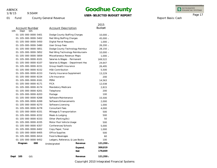1/8/15

9:50AM

### **Goodhue County**

**USER-SELECTED BUDGET REPORT**

INTEGRATED<br>FINANCIAL SYSTEMS

Page 17

Report Basis: Cash

01 Fund

| <b>County General Revenue</b> |
|-------------------------------|
|                               |

|                       |     |                                    |            | 2015          |
|-----------------------|-----|------------------------------------|------------|---------------|
| Account Number<br>105 |     | <b>Account Description</b>         |            | <b>Budget</b> |
| Dept<br><b>GIS</b>    |     |                                    |            |               |
| 01-105-000-0000-5401  |     | Dodge County Staffing Charges      |            | $10,000 -$    |
| 01-105-000-0000-5402  |     | Red Wing Staffing Charges          |            | 45,000 -      |
| 01-105-000-0000-5450  |     | Digital Parcel Requests            |            | $1,000 -$     |
| 01-105-000-0000-5480  |     | User Group Fees                    |            | $26,200 -$    |
| 01-105-000-0000-5851  |     | Dodge County Technology Reimbur    |            | $28,150 -$    |
| 01-105-000-0000-5852  |     | Red Wing Technology Reimbursem     |            | $10,000 -$    |
| 01-105-000-0000-5859  |     | Miscellaneous Revenue-Maps         |            | $1,000 -$     |
| 01-105-000-0000-6101  |     | Salaries & Wages - Permanent       |            | 169,522       |
| 01-105-000-0000-6107  |     | Salaries & Wages - Department Hea  |            | 24,647        |
| 01-105-000-0000-6151  |     | Group Health Insurance             |            | 26,495        |
| 01-105-000-0000-6152  |     | <b>HSA Contribution</b>            |            | 5,500         |
| 01-105-000-0000-6153  |     | <b>Family Insurance Supplement</b> |            | 13,229        |
| 01-105-000-0000-6154  |     | Life Insurance                     |            | 200           |
| 01-105-000-0000-6161  |     | PERA                               |            | 14,563        |
| 01-105-000-0000-6171  |     | <b>FICA</b>                        |            | 12,038        |
| 01-105-000-0000-6174  |     | Mandatory Medicare                 |            | 2,815         |
| 01-105-000-0000-6201  |     | Telephone                          |            | 200           |
| 01-105-000-0000-6203  |     | Postage                            |            | 100           |
| 01-105-000-0000-6268  |     | Software Maintenance               |            | 15,500        |
| 01-105-000-0000-6269  |     | Software Enhancements              |            | 2,000         |
| 01-105-000-0000-6270  |     | Software Licensing                 |            | 1,000         |
| 01-105-000-0000-6278  |     | <b>Consultant Fees</b>             |            | 4,000         |
| 01-105-000-0000-6331  |     | Mileage & Transportation           |            | 500           |
| 01-105-000-0000-6332  |     | Meals & Lodging                    |            | 500           |
| 01-105-000-0000-6333  |     | Other (Parking, Etc)               |            | 50            |
| 01-105-000-0000-6335  |     | Motor Pool Vehicle Usage           |            | 500           |
| 01-105-000-0000-6357  |     | Conferences/Schools                |            | 5,000         |
| 01-105-000-0000-6402  |     | Copy Paper, Toner                  |            | 1,000         |
| 01-105-000-0000-6405  |     | Office Supplies                    |            | 500           |
| 01-105-000-0000-6414  |     | Food & Beverages                   |            | 60            |
| 01-105-000-0000-6452  |     | Ledgers, Reference, & Law Books    |            | 100           |
| Program               | 000 | Undesignated                       | Revenue    | $121,350 -$   |
|                       |     |                                    | Expend.    | 300,019       |
|                       |     |                                    | <b>Net</b> | 178,669       |
| 105<br>GIS<br>Dept    |     |                                    | Revenue    | $121,350 -$   |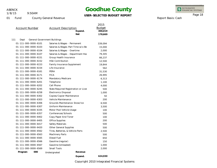111

1/8/15

9:50AM

### **Goodhue County**

### **USER-SELECTED BUDGET REPORT**

INTEGRATED<br>FINANCIAL SYSTEMS

Report Basis: Cash

Page 18

|                       |                                      | 2015          |
|-----------------------|--------------------------------------|---------------|
| <b>Account Number</b> | <b>Account Description</b>           | <b>Budget</b> |
|                       | Expend.                              | 300,019       |
|                       | <b>Net</b>                           | 178,669       |
| Dept                  | <b>General Government Buildings</b>  |               |
| 01-111-000-0000-6101  | Salaries & Wages - Permanent         | 339,094       |
| 01-111-000-0000-6103  | Salaries & Wages-Part Time w/o Be    | 15,000        |
| 01-111-000-0000-6104  | Salaries & Wages - Overtime          | 2,000         |
| 01-111-000-0000-6107  | Salaries & Wages - Department Hea    | 79,305        |
| 01-111-000-0000-6151  | Group Health Insurance               | 66,237        |
| 01-111-000-0000-6152  | <b>HSA Contribution</b>              | 12,500        |
| 01-111-000-0000-6153  | <b>Family Insurance Supplement</b>   | 19,844        |
| 01-111-000-0000-6154  | Life Insurance                       | 562           |
| 01-111-000-0000-6161  | PERA                                 | 31,530        |
| 01-111-000-0000-6171  | <b>FICA</b>                          | 26,995        |
| 01-111-000-0000-6174  | Mandatory Medicare                   | 6,313         |
| 01-111-000-0000-6201  | Telephone                            | 1,100         |
| 01-111-000-0000-6202  | Cell Phone                           | 4,000         |
| 01-111-000-0000-6245  | State Required Registration or Licer | 500           |
| 01-111-000-0000-6258  | <b>Electronics Disposal</b>          | 1,000         |
| 01-111-000-0000-6302  | Copies/Copier Maintenance            | 50            |
| 01-111-000-0000-6303  | Vehicle Maintenance                  | 200           |
| 01-111-000-0000-6306  | Grounds Maintenance-Snow/Ice         | 6,500         |
| 01-111-000-0000-6307  | Uniform Maintenance                  | 3,500         |
| 01-111-000-0000-6335  | Motor Pool Vehicle Usage             | 100           |
| 01-111-000-0000-6357  | Conferences/Schools                  | 500           |
| 01-111-000-0000-6402  | Copy Paper And Toner                 | 100           |
| 01-111-000-0000-6405  | <b>Office Supplies</b>               | 200           |
| 01-111-000-0000-6417  | Safety Materials                     | 500           |
| 01-111-000-0000-6420  | <b>Other General Supplies</b>        | 500           |
| 01-111-000-0000-6562  | Tires, Batteries, & Vehicle Parts    | 2,500         |
| 01-111-000-0000-6563  | Machinery Parts                      | 500           |
| 01-111-000-0000-6565  | Diesel Fuel                          | 650           |
| 01-111-000-0000-6566  | Gasoline (regular)                   | 150           |
| 01-111-000-0000-6567  | Gasoline (Unleaded)                  | 1,000         |
| 01-111-000-0000-6569  | Small Tools                          | 2,000         |
| 000<br>Program        | Undesignated                         | Revenue       |
|                       | Expend.                              | 624,930       |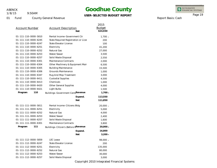1/8/15

9:50AM

### **Goodhue County**

### **USER-SELECTED BUDGET REPORT**

INTEGRATED<br>FINANCIAL SYSTEMS

Report Basis: Cash

Page 19

| <b>Account Number</b> |     | <b>Account Description</b>           | <b>Net</b>                           | 2015<br><b>Budget</b><br>624,930 |
|-----------------------|-----|--------------------------------------|--------------------------------------|----------------------------------|
| 01-111-110-0000-5810  |     | Rental Income-Government Ctr         |                                      | $1,700 -$                        |
| 01-111-110-0000-6245  |     |                                      | State Required Registration or Licer |                                  |
| 01-111-110-0000-6247  |     | <b>State Elevator License</b>        |                                      | 100                              |
| 01-111-110-0000-6251  |     | Electricity                          |                                      |                                  |
| 01-111-110-0000-6252  |     | Natural Gas                          |                                      | 27,000                           |
| 01-111-110-0000-6253  |     | Water/Sewer                          |                                      | 3,500                            |
| 01-111-110-0000-6257  |     | Solid Waste Disposal                 |                                      | 2,550                            |
| 01-111-110-0000-6301  |     | Maintenance Contracts                |                                      | 2,000                            |
| 01-111-110-0000-6304  |     | Other Machinery & Equipment Mair     |                                      | 6,500                            |
| 01-111-110-0000-6305  |     | <b>Building Maintenance</b>          |                                      | 15,500                           |
| 01-111-110-0000-6306  |     | Grounds Maintenance                  |                                      | 1,000                            |
| 01-111-110-0000-6347  |     | Rug And Mop Treatment                |                                      | 3,000                            |
| 01-111-110-0000-6411  |     | <b>Custodial Supplies</b>            |                                      | 4,500                            |
| 01-111-110-0000-6413  |     | Chemicals                            |                                      | 1,000                            |
| 01-111-110-0000-6420  |     | <b>Other General Supplies</b>        |                                      | 4,000                            |
| 01-111-110-0000-6421  |     | Light Bulbs                          |                                      | 1,500                            |
| Program               | 110 | Buildings-Government CenteRevenue    |                                      | $1,700 -$                        |
|                       |     |                                      | Expend.                              | 113,550                          |
|                       |     |                                      | <b>Net</b>                           | 111,850                          |
| 01-111-111-0000-5811  |     | Rental Income-Citizens Bldg          |                                      | 20,000 -                         |
| 01-111-111-0000-6251  |     | Electricity                          |                                      | 5,000                            |
| 01-111-111-0000-6252  |     | Natural Gas                          |                                      | 4,000                            |
| 01-111-111-0000-6253  |     | Water/Sewer                          |                                      | 2,400                            |
| 01-111-111-0000-6257  |     | Solid Waste Disposal                 |                                      | 1,600                            |
| 01-111-111-0000-6301  |     | Maintenance Contracts                |                                      | 3,800                            |
| Program               | 111 | Buildings-Citizen's (Before RRevenue |                                      | 20,000 -                         |
|                       |     |                                      | Expend.                              | 16,800                           |
|                       |     |                                      | <b>Net</b>                           | $3,200 -$                        |
| 01-111-112-0000-5859  |     | <b>LEC</b> Lease                     |                                      | 98,000 -                         |
| 01-111-112-0000-6247  |     | <b>State Elevator License</b>        |                                      | 200                              |
| 01-111-112-0000-6251  |     | Electricity                          |                                      | 135,000                          |
| 01-111-112-0000-6252  |     | Natural Gas                          |                                      | 80,000                           |
| 01-111-112-0000-6253  |     | Water/Sewer                          |                                      | 30,000                           |
| 01-111-112-0000-6257  |     | Solid Waste Disposal                 |                                      | 3,000                            |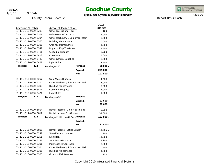01 Fund

1/8/15

9:50AM

01-111-112-0000-6304

Account Number **Account Description** 

County General Revenue

01-111-112-0000-6283 Other Professional Fees 01-111-112-0000-6301 Maintenance Contracts

Other Machinery & Equipment Mair

Other Machinery & Equipment Mair

### **Goodhue County**

#### **USER-SELECTED BUDGET REPORT**

2015 Budget

> 100 15,000 5,000

INTEGRATED<br>FINANCIAL SYSTEMS

Page 20

Report Basis: Cash

| 01-111-112-0000-6305 | <b>Building Maintenance</b>         |            | 10,000      |
|----------------------|-------------------------------------|------------|-------------|
| 01-111-112-0000-6306 | <b>Grounds Maintenance</b>          |            | 1,000       |
| 01-111-112-0000-6347 | Rug And Mop Treatment               |            | 1,500       |
| 01-111-112-0000-6411 | <b>Custodial Supplies</b>           |            | 2,500       |
| 01-111-112-0000-6413 | Chemicals                           |            | 5,000       |
| 01-111-112-0000-6420 | Other General Supplies              |            | 5,000       |
| 01-111-112-0000-6421 | Light Bulbs                         |            | 2,500       |
| Program<br>112       | Buildings-LEC                       | Revenue    | $98,000 -$  |
|                      |                                     | Expend.    | 295,800     |
|                      |                                     | <b>Net</b> | 197,800     |
| 01-111-113-0000-6257 | Solid Waste Disposal                |            | 4,600       |
| 01-111-113-0000-6304 | Other Machinery & Equipment Mair    |            | 5,000       |
| 01-111-113-0000-6305 | <b>Building Maintenance</b>         |            | 7,000       |
| 01-111-113-0000-6411 | <b>Custodial Supplies</b>           |            | 5,000       |
| 01-111-113-0000-6421 | Light Bulbs                         |            | 1,000       |
| Program<br>113       | Buildings-ADC                       | Revenue    |             |
|                      |                                     | Expend.    | 22,600      |
|                      |                                     | <b>Net</b> | 22,600      |
| 01-111-114-0000-5814 | Rental Income-Public Health Bldg    |            | $70,000 -$  |
| 01-111-114-0000-5817 | Rental Income-Phs Garage            |            | $52,800 -$  |
| 114<br>Program       | Buildings-Public Health ServRevenue |            | 122,800 -   |
|                      |                                     | Expend.    |             |
|                      |                                     | <b>Net</b> | $122,800 -$ |
| 01-111-116-0000-5816 | Rental Income-Justice Center        |            | $11,785 -$  |
|                      |                                     |            |             |

01-111-116-0000-6247 State Elevator License

01-111-116-0000-6257 Solid Waste Disposal 01-111-116-0000-6301 Maintenance Contracts

01-111-116-0000-6305 Building Maintenance 01-111-116-0000-6306 Grounds Maintenance

01-111-116-0000-6251 Electricity

01-111-116-0000-6304

300 41,000 1,200 3,800 500 4,000 250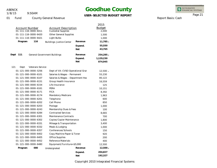9:50AM 1/8/15

# **Goodhue County**

### **USER-SELECTED BUDGET REPORT**

INTEGRATED<br>FINANCIAL SYSTEMS

Report Basis: Cash

Page 21

|                                                                          | $\frac{1}{2}$                                                                            |         |                                         |
|--------------------------------------------------------------------------|------------------------------------------------------------------------------------------|---------|-----------------------------------------|
| Account Number<br>$01 - 111 - 116 - 0000 - 6411$<br>01-111-116-0000-6420 | <b>Account Description</b><br><b>Custodial Supplies</b><br><b>Other General Supplies</b> |         | 2015<br><b>Budget</b><br>2,000<br>1,500 |
| 01-111-116-0000-6421                                                     | Light Bulbs                                                                              |         | 1,000                                   |
| 116<br>Program                                                           | <b>Buildings-Justice Center</b>                                                          | Revenue | $11,785 -$                              |
|                                                                          |                                                                                          | Expend. | 55,550                                  |
|                                                                          |                                                                                          | Net     | 43,765                                  |
| Dept<br>111                                                              | General Government Buildings                                                             | Revenue | 254,285 –                               |
|                                                                          |                                                                                          | Expend. | 1,129,230                               |
|                                                                          |                                                                                          | Net     | 874,945                                 |
| 121<br><b>Veterans Service</b><br>Dept                                   |                                                                                          |         |                                         |
| 01-121-000-0000-5256                                                     | Dept of VA-CVSO Operational Grar                                                         |         | $12,500 -$                              |
| 01-121-000-0000-6101                                                     | Salaries & Wages - Permanent                                                             |         | 55,230                                  |
| 01-121-000-0000-6107                                                     | Salaries & Wages - Department Hea                                                        |         | 80,122                                  |
| 01-121-000-0000-6151                                                     | Group Health Insurance                                                                   |         | 16,559                                  |
| 01-121-000-0000-6154                                                     | Life Insurance                                                                           |         | 125                                     |
| 01-121-000-0000-6161                                                     | PERA                                                                                     |         | 10,151                                  |
| 01-121-000-0000-6171                                                     | <b>FICA</b>                                                                              |         | 8,392                                   |
| 01-121-000-0000-6174                                                     | Mandatory Medicare                                                                       |         | 1,963                                   |
| 01-121-000-0000-6201                                                     | Telephone                                                                                |         | 600                                     |
| 01-121-000-0000-6202                                                     | Cell Phone                                                                               |         | 850                                     |
| 01-121-000-0000-6203                                                     | Postage                                                                                  |         | 1,000                                   |
| 01-121-000-0000-6243                                                     | Membership Dues & Fees                                                                   |         | 100                                     |
| 01-121-000-0000-6284                                                     | <b>Contracted Services</b>                                                               |         | 8,665                                   |
| 01-121-000-0000-6301                                                     | Maintenance Contracts                                                                    |         | 700                                     |
| 01-121-000-0000-6302                                                     | Copies/Copier Maintenance                                                                |         | 1,800                                   |
| 01-121-000-0000-6331                                                     | Mileage & Transportation                                                                 |         | 3,400                                   |
| 01-121-000-0000-6332                                                     | Meals & Lodging                                                                          |         | 1,000                                   |
| 01-121-000-0000-6357                                                     | Conferences/Schools                                                                      |         | 150                                     |
| 01-121-000-0000-6402                                                     | Copy Machine Paper & Toner                                                               |         | 920                                     |
| 01-121-000-0000-6405                                                     | <b>Office Supplies</b>                                                                   |         | 200                                     |
| 01-121-000-0000-6452                                                     | Reference Materials                                                                      |         | 400                                     |
| 01-121-000-0000-6480                                                     | Equipment/Furniture<\$5,000                                                              |         | 12,500                                  |
| 000<br>Program                                                           | Undesignated                                                                             | Revenue | $12,500 -$                              |
|                                                                          |                                                                                          | Expend. | 204,827                                 |
|                                                                          |                                                                                          | Net     | 192,327                                 |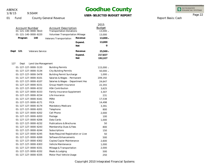9:50AM 1/8/15

### **Goodhue County**

### **USER-SELECTED BUDGET REPORT**

INTEGRATED<br>FINANCIAL SYSTEMS

#### 01 Fund County General Revenue

| <b>Account Number</b> | 01-121-140-0000-5610    | <b>Account Description</b><br><b>Transportation Donations</b> |            | 2015<br><b>Budget</b><br>$13,000 -$ |
|-----------------------|-------------------------|---------------------------------------------------------------|------------|-------------------------------------|
|                       | 01-121-140-0000-6220    | Volunteer Transportation Mileage                              |            | 13,000                              |
| Program               | 140                     | Veterans Transportation                                       | Revenue    | $13,000 -$                          |
|                       |                         |                                                               | Expend.    | 13,000                              |
|                       |                         |                                                               | <b>Net</b> | 0                                   |
| Dept<br>121           | <b>Veterans Service</b> |                                                               | Revenue    | $25,500 -$                          |
|                       |                         |                                                               | Expend.    | 217,827                             |
|                       |                         |                                                               | <b>Net</b> | 192,327                             |
| 127<br>Dept           | Land Use Management     |                                                               |            |                                     |
|                       | 01-127-127-0000-5133    | <b>Building Permits</b>                                       |            | $115,000 -$                         |
|                       | 01-127-127-0000-5134    | <b>City Building Permits</b>                                  |            | $50,000 -$                          |
|                       | 01-127-127-0000-5478    | <b>Building Permit Surcharge</b>                              |            | $1,000 -$                           |
|                       | 01-127-127-0000-6101    | Salaries & Wages - Permanent                                  |            | 209,192                             |
|                       | 01-127-127-0000-6107    | Salaries & Wages - Department Hea                             |            | 24,647                              |
|                       | 01-127-127-0000-6151    | Group Health Insurance                                        |            | 22,355                              |
|                       | 01-127-127-0000-6152    | <b>HSA Contribution</b>                                       |            | 3,625                               |
|                       | 01-127-127-0000-6153    | Family Insurance Supplement                                   |            | 3,307                               |
|                       | 01-127-127-0000-6154    | Life Insurance                                                |            | 231                                 |
|                       | 01-127-127-0000-6161    | PERA                                                          |            | 17,538                              |
|                       | 01-127-127-0000-6171    | <b>FICA</b>                                                   |            | 14,498                              |
|                       | 01-127-127-0000-6174    | Mandatory Medicare                                            |            | 3,391                               |
|                       | 01-127-127-0000-6201    | Telephone                                                     |            | 800                                 |
|                       | 01-127-127-0000-6202    | Cell Phone                                                    |            | 2,000                               |
|                       | 01-127-127-0000-6203    | Postage                                                       |            | 100                                 |
|                       | 01-127-127-0000-6206    | Data Cards                                                    |            | 1,000                               |
|                       | 01-127-127-0000-6232    | <b>Publications &amp; Brochures</b>                           |            | 50                                  |
|                       | 01-127-127-0000-6243    | Membership Dues & Fees                                        |            | 800                                 |
|                       | 01-127-127-0000-6244    | Subscriptions                                                 |            | 150                                 |
|                       | 01-127-127-0000-6245    | State Required Registration or Licer                          |            | 50                                  |
|                       | 01-127-127-0000-6269    | Software Enhancements                                         |            | 500                                 |
|                       | 01-127-127-0000-6302    | Copies/Copier Maintenance                                     |            | 2,600                               |
|                       | 01-127-127-0000-6303    | Vehicle Maintenance                                           |            | 1,000                               |
|                       | 01-127-127-0000-6331    | Mileage & Transportation                                      |            | 2,000                               |
|                       | 01-127-127-0000-6332    | Meals & Lodging                                               |            | 500                                 |
|                       | 01-127-127-0000-6335    | Motor Pool Vehicle Usage                                      |            | 250                                 |

Report Basis: Cash

Page 22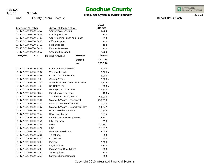1/8/15

9:50AM

### **Goodhue County**

### **USER-SELECTED BUDGET REPORT**

INTEGRATED<br>FINANCIAL SYSTEMS

Report Basis: Cash

Page 23

|                       |                                   |                              | 2015          |
|-----------------------|-----------------------------------|------------------------------|---------------|
| <b>Account Number</b> | <b>Account Description</b>        |                              | <b>Budget</b> |
| 01-127-127-0000-6357  | Conferences/Schools               |                              | 1,500         |
| 01-127-127-0000-6401  | <b>Printing Services</b>          |                              |               |
| 01-127-127-0000-6402  |                                   | Copy Machine Paper And Toner |               |
| 01-127-127-0000-6405  | Office Supplies                   |                              | 800           |
| 01-127-127-0000-6412  | <b>Field Supplies</b>             |                              |               |
| 01-127-127-0000-6414  | Food & Beverages                  |                              | 100           |
| 01-127-127-0000-6567  | Gasoline (Unleaded)               |                              | 7,500         |
| 127<br>Program        | <b>Building Activities</b>        | Revenue                      | 166,000 -     |
|                       |                                   | Expend.                      | 321,134       |
|                       |                                   | <b>Net</b>                   | 155,134       |
| 01-127-128-0000-5135  | <b>Conditional Use Permits</b>    |                              | $4,000 -$     |
| 01-127-128-0000-5137  | <b>Variance Permits</b>           |                              | $6,000 -$     |
| 01-127-128-0000-5138  | Change Of Zone Permits            |                              | $1,000 -$     |
| 01-127-128-0000-5139  | <b>Zoning Permits</b>             |                              | $2,000 -$     |
| 01-127-128-0000-5270  | Water & Soil Resources-Block Gran |                              | $2,772 -$     |
| 01-127-128-0000-5480  | Re-Notice Fee                     |                              |               |
| 01-127-128-0000-5482  | Mining Registration Fees          |                              | $21,600 -$    |
| 01-127-128-0000-5859  | Miscellaneous Revenue             |                              | $100 -$       |
| 01-127-128-0000-5947  |                                   | Transfers In-Salary Reimb    |               |
| 01-127-128-0000-6101  |                                   | Salaries & Wages - Permanent |               |
| 01-127-128-0000-6106  | Per Diem in Lieu of Salaries      |                              | 9,000         |
| 01-127-128-0000-6107  | Salaries & Wages - Department Hea |                              | 24,647        |
| 01-127-128-0000-6151  | Group Health Insurance            |                              | 30,634        |
| 01-127-128-0000-6152  | <b>HSA Contribution</b>           |                              | 7,375         |
| 01-127-128-0000-6153  | Family Insurance Supplement       |                              | 23,151        |
| 01-127-128-0000-6154  | Life Insurance                    |                              | 293           |
| 01-127-128-0000-6161  | PERA                              |                              | 20,361        |
| 01-127-128-0000-6171  | <b>FICA</b>                       |                              | 16,832        |
| 01-127-128-0000-6174  | <b>Mandatory Medicare</b>         |                              | 3,936         |
| 01-127-128-0000-6201  | Telephone                         |                              | 800           |
| 01-127-128-0000-6202  | Cell Phone                        |                              | 650           |
| 01-127-128-0000-6203  | Postage                           |                              | 2,500         |
| 01-127-128-0000-6242  | Legal Notices                     |                              | 2,500         |
| 01-127-128-0000-6243  | Membership Dues & Fees            |                              | 600           |
| 01-127-128-0000-6244  | Subscriptions                     |                              | 300           |
| 01-127-128-0000-6269  | Software Enhancements             |                              | 500           |
|                       |                                   |                              |               |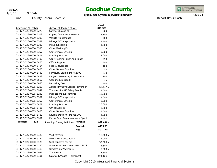1/8/15

01 Fund

9:50AM

County General Revenue

### **Goodhue County**

### **USER-SELECTED BUDGET REPORT**

2015

INTEGRATED<br>FINANCIAL SYSTEMS

Report Basis: Cash

Page 24

| <b>Account Number</b> |                                     | <b>Account Description</b>          |            |
|-----------------------|-------------------------------------|-------------------------------------|------------|
| 01-127-128-0000-6270  | Software Licensing                  |                                     | 600        |
| 01-127-128-0000-6302  | Copies/Copier Maintenance           |                                     | 2,700      |
| 01-127-128-0000-6303  | Vehicle Maintenance                 |                                     |            |
| 01-127-128-0000-6331  | Mileage & Transportation            |                                     | 5,500      |
| 01-127-128-0000-6332  | Meals & Lodging                     |                                     | 1,000      |
| 01-127-128-0000-6333  | Other (Parking, Etc)                |                                     |            |
| 01-127-128-0000-6357  | Conferences/Schools                 |                                     | 3,000      |
| 01-127-128-0000-6401  | <b>Printing Services</b>            |                                     | 2,000      |
| 01-127-128-0000-6402  | Copy Machine Paper And Toner        |                                     | 250        |
| 01-127-128-0000-6405  | <b>Office Supplies</b>              |                                     | 900        |
| 01-127-128-0000-6414  | Food & Beverages                    |                                     | 100        |
| 01-127-128-0000-6420  | Other General Supplies              |                                     | 50         |
| 01-127-128-0000-6432  | Furniture/Equipment <\$1000         |                                     | 630        |
| 01-127-128-0000-6452  | Ledgers, Reference, & Law Books     |                                     | 100        |
| 01-127-128-0000-6567  | Gasoline (Unleaded)                 |                                     | 75         |
| 01-127-128-0000-6850  | <b>Recording Fees</b>               |                                     | 500        |
| 01-127-128-0005-5217  |                                     | Aquatic Invasive Species Preventior |            |
| 01-127-128-0005-5947  |                                     | Transfers In-AIS Salary Reimb       |            |
| 01-127-128-0005-6232  | <b>Publications &amp; Brochures</b> |                                     | 10,000     |
| 01-127-128-0005-6331  | Mileage & Transportation            |                                     | 1,000      |
| 01-127-128-0005-6357  | Conferences/Schools                 |                                     | 2,000      |
| 01-127-128-0005-6401  | <b>Printing Services</b>            |                                     | 10,000     |
| 01-127-128-0005-6405  | <b>Office Supplies</b>              |                                     | 3,000      |
| 01-127-128-0005-6420  | <b>Other General Supplies</b>       |                                     | 5,000      |
| 01-127-128-0005-6480  | Equipment/Furniture<\$5,000         |                                     | 4,900      |
| 01-127-128-0005-6999  | Future Fund Balance-Aquatic Speci   |                                     | 11,547     |
| 128<br>Program        | Planning/Zoning Activities          | Revenue                             | 146,119 -  |
|                       |                                     | Expend.                             | 447,289    |
|                       |                                     | <b>Net</b>                          | 301,170    |
| 01-127-129-0000-5123  | <b>Well Permits</b>                 |                                     | $16,500 -$ |
| 01-127-129-0000-5124  | Well Maintenance Permit             |                                     | $4,000 -$  |
| 01-127-129-0000-5125  | Septic System Permit                |                                     |            |
| 01-127-129-0000-5270  | Water & Soil Resources-MPCA SSTS    |                                     | $18,600 -$ |
| 01-127-129-0000-5413  | <b>Olmsted Co Water Kits</b>        |                                     | $5,000 -$  |
| 01-127-129-0000-5947  | Transfers In                        |                                     | $7,500 -$  |
| 01-127-129-0000-6101  | Salaries & Wages - Permanent        |                                     | 124,126    |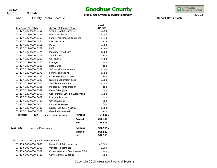01 Fund

1/8/15

9:50AM

County General Revenue

# **Goodhue County**

### **USER-SELECTED BUDGET REPORT**

INTEGRATED<br>FINANCIAL SYSTEMS

Page 25

Report Basis: Cash

|                                           |                                     |                                                  | 2015          |
|-------------------------------------------|-------------------------------------|--------------------------------------------------|---------------|
| <b>Account Number</b>                     | <b>Account Description</b>          |                                                  | <b>Budget</b> |
| 01-127-129-0000-6151                      | Group Health Insurance              |                                                  | 16,559        |
| 01-127-129-0000-6152                      | <b>HSA Contribution</b>             |                                                  | 5,000         |
| 01-127-129-0000-6153                      | Family Insurance Supplement         |                                                  | 19,844        |
| 01-127-129-0000-6154                      | Life Insurance                      |                                                  | 125           |
| 01-127-129-0000-6161                      | PERA                                |                                                  | 9,309         |
| 01-127-129-0000-6171                      | <b>FICA</b>                         |                                                  | 7,696         |
| 01-127-129-0000-6174                      | Mandatory Medicare                  |                                                  | 1,800         |
| 01-127-129-0000-6201                      | Telephone                           |                                                  | 250           |
| 01-127-129-0000-6202                      | Cell Phone                          |                                                  | 2,000         |
| 01-127-129-0000-6203                      | Postage                             |                                                  | 500           |
| 01-127-129-0000-6206                      | Data Cards                          |                                                  | 100           |
| 01-127-129-0000-6269                      | Software Enhancements               |                                                  | 1,000         |
| 01-127-129-0000-6270                      | Software Licensing                  |                                                  | 1,000         |
| 01-127-129-0000-6283                      | <b>Other Professional Fees</b>      |                                                  | 900           |
| 01-127-129-0000-6285                      | Nursing/Laboratory Fees             |                                                  | 2,800         |
| 01-127-129-0000-6303                      | Vehicle Maintenance                 |                                                  | 1,000         |
| 01-127-129-0000-6331                      | Mileage & Transportation            |                                                  | 100           |
| 01-127-129-0000-6332                      | Meals & Lodging                     |                                                  | 600           |
| 01-127-129-0000-6357                      | Conferences/Schools/Workshops       |                                                  | 2,200         |
| 01-127-129-0000-6401                      | <b>Printing Services</b>            |                                                  | 550           |
| 01-127-129-0000-6405                      | Office Supplies                     |                                                  | 300           |
| 01-127-129-0000-6414                      | Food & Beverages                    |                                                  | 600           |
| 01-127-129-0000-6432                      | Equip/Furniture $<$ \$1000          |                                                  | 1,300         |
| 01-127-129-0000-6567                      | Gasoline (Unleaded)                 |                                                  | 750           |
| 129<br>Program                            | <b>Environmental Health</b>         | Revenue                                          | 84,600 -      |
|                                           |                                     | Expend.                                          | 200,409       |
|                                           |                                     | <b>Net</b>                                       | 115,809       |
| Dept<br>127<br>Land Use Management        |                                     | Revenue                                          | 396,719 -     |
|                                           |                                     | Expend.                                          | 968,832       |
|                                           |                                     | <b>Net</b>                                       | 572,113       |
| 130<br>County Vehicles-Motor Pool<br>Dept |                                     |                                                  |               |
|                                           |                                     |                                                  | 46,600 -      |
| 01-130-000-0000-5859                      |                                     | Motor Pool Reimbursements<br>Vehicle Maintenance |               |
| 01-130-000-0000-6303                      |                                     |                                                  |               |
| 01-130-000-0000-6309                      | Other-Vehicle or Boat License & Tit |                                                  | 300           |
| 01-130-000-0000-6420                      | <b>Other General Supplies</b>       |                                                  | 300           |

**-**

**-**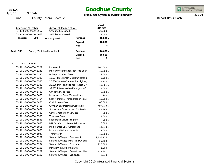9:50AM 1/8/15

### **Goodhue County**

### **USER-SELECTED BUDGET REPORT**

INTEGRATED<br>FINANCIAL SYSTEMS

#### 01 Fund County General Revenue

| <b>Account Number</b> | 01-130-000-0000-6567 | <b>Account Description</b><br>Gasoline (Unleaded) |                                     | 2015<br><b>Budget</b><br>23,000 |
|-----------------------|----------------------|---------------------------------------------------|-------------------------------------|---------------------------------|
|                       | 01-130-000-0000-6663 | <b>Vehicles Purchased</b>                         |                                     | 15,000                          |
| Program               | 000                  | Undesignated                                      | Revenue                             | 46,600 -                        |
|                       |                      |                                                   | Expend.                             | 46,600                          |
|                       |                      |                                                   | <b>Net</b>                          | 0                               |
| Dept<br>130           |                      | County Vehicles-Motor Pool                        | Revenue                             | $46,600 -$                      |
|                       |                      |                                                   | Expend.                             | 46,600                          |
|                       |                      |                                                   | <b>Net</b>                          | $\Omega$                        |
| 201<br>Dept           | Sheriff              |                                                   |                                     |                                 |
|                       | 01-201-000-0000-5221 | Police Aid                                        |                                     | 260,000 -                       |
|                       | 01-201-000-0000-5243 |                                                   | Police Officer Standards/Trng Boar  | 15,000 -                        |
|                       | 01-201-000-0000-5246 | <b>Bulletproof Vest-State</b>                     |                                     | $2,500 -$                       |
|                       | 01-201-000-0000-5322 |                                                   | 16.607 Bulletproof Vest Partnership | $2,500 -$                       |
|                       | 01-201-000-0000-5336 |                                                   | 20.600 State & Community Highway    | 39,330 -                        |
|                       | 01-201-000-0000-5338 |                                                   | 20.608 Min Penalties for Repeat DW  | 19,601 -                        |
|                       | 01-201-000-0000-5397 |                                                   | 97.055 Interoperable Emergency Cc   | $1,000 -$                       |
|                       | 01-201-000-0000-5462 | <b>Officer Service Fees</b>                       |                                     | $5,000 -$                       |
|                       | 01-201-000-0000-5463 | Investigator Fees-Welfare Fraud                   |                                     | $200 -$                         |
|                       | 01-201-000-0000-5464 |                                                   | Sheriff Inmate Transportation Fees  | $10,000 -$                      |
|                       | 01-201-000-0000-5465 | Civil Process Fees                                |                                     | 66,000 -                        |
|                       | 01-201-000-0000-5466 | City Law Enforcement Contracts                    |                                     | 407,712 -                       |
|                       | 01-201-000-0000-5467 |                                                   | School Law Enforcement Contracts    | 43,896 -                        |
|                       | 01-201-000-0000-5480 | Other Charges For Services                        |                                     | $500 -$                         |
|                       | 01-201-000-0000-5536 | <b>Trespass Fines</b>                             |                                     | $4,000 -$                       |
|                       | 01-201-000-0000-5538 | Suspended Driver Program                          |                                     | $200 -$                         |
|                       | 01-201-000-0000-5850 |                                                   | MN Dot Verizon Lease Reimbursem     | $6,000 -$                       |
|                       | 01-201-000-0000-5851 | Mobile Data User Agreement                        |                                     | $11,730 -$                      |
|                       | 01-201-000-0000-5860 | Insurance Reimbursements                          |                                     | $2,000 -$                       |
|                       | 01-201-000-0000-5947 | Transfers In                                      |                                     | $15,000 -$                      |
|                       | 01-201-000-0000-6101 | Salaries & Wages - Permanent                      |                                     | 2,733,176                       |
|                       | 01-201-000-0000-6102 |                                                   | Salaries & Wages-Part Time w/ Ben   | 59,403                          |
|                       | 01-201-000-0000-6104 | Salaries & Wages - Overtime                       |                                     | 210,000                         |
|                       | 01-201-000-0000-6106 | Per Diem in Lieu of Salaries                      |                                     | 1,000                           |
|                       | 01-201-000-0000-6107 |                                                   | Salaries & Wages - Department Hea   | 129,841                         |
|                       | 01-201-000-0000-6109 | Salaries & Wages - Longevity                      |                                     | 2,330                           |

Report Basis: Cash

Page 26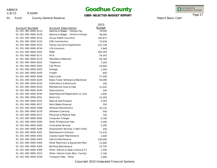1/8/15

9:50AM

### **Goodhue County**

### **USER-SELECTED BUDGET REPORT**

INTEGRATED<br>FINANCIAL SYSTEMS

Report Basis: Cash

Page 27

|                                |                                         | 2015          |
|--------------------------------|-----------------------------------------|---------------|
| <b>Account Number</b>          | <b>Account Description</b>              | <b>Budget</b> |
| $01 - 201 - 000 - 0000 - 6114$ | Salaries & Wages - Holiday Pay          | 78,000        |
| 01-201-000-0000-6118           | Salaries & Wages - Uniform Allowar      | 36,000        |
| 01-201-000-0000-6151           | Group Health Insurance                  | 345,672       |
| 01-201-000-0000-6152           | <b>HSA Contribution</b>                 | 75,938        |
| 01-201-000-0000-6153           | Family Insurance Supplement             | 201,748       |
| 01-201-000-0000-6154           | Life Insurance                          | 2,948         |
| 01-201-000-0000-6161           | PERA                                    | 490,395       |
| 01-201-000-0000-6171           | <b>FICA</b>                             | 24,303        |
| 01-201-000-0000-6174           | Mandatory Medicare                      | 40,769        |
| 01-201-000-0000-6201           | Telephone                               | 7,200         |
| 01-201-000-0000-6202           | Cell Phone                              | 24,000        |
| 01-201-000-0000-6203           | Postage                                 | 2,300         |
| 01-201-000-0000-6205           | Freight                                 | 600           |
| 01-201-000-0000-6206           | Data Cards                              | 17,500        |
| 01-201-000-0000-6229           | Radio Tower Software & Maintenan        | 56,000        |
| 01-201-000-0000-6232           | <b>Publications &amp; Brochures</b>     | 100           |
| 01-201-000-0000-6243           | Membership Dues & Fees                  | 11,025        |
| 01-201-000-0000-6244           | Subscriptions                           | 100           |
| 01-201-000-0000-6245           | State Required Registration or Licer    | 1,600         |
| 01-201-000-0000-6251           | Electricity                             | 14,300        |
| 01-201-000-0000-6252           | Natural Gas/Propane                     | 2,365         |
| 01-201-000-0000-6257           | Solid Waste Disposal                    | 350           |
| 01-201-000-0000-6268           | Software Maintenance                    | 20,725        |
| 01-201-000-0000-6270           | Software Licensing                      | 500           |
| 01-201-000-0000-6272           | Physician & Medical Fees                | 750           |
| 01-201-000-0000-6282           | Computer Charges                        | 4,700         |
| 01-201-000-0000-6283           | <b>Other Professional Fees</b>          | 3,200         |
| 01-201-000-0000-6284           | <b>Contracted Services</b>              | 5,200         |
| 01-201-000-0000-6290           | <b>Employment Services-Credit Check</b> | 200           |
| 01-201-000-0000-6301           | Maintenance Contracts                   | 73,470        |
| 01-201-000-0000-6302           | Copies/Copier Maintenance               | 2,500         |
| 01-201-000-0000-6303           | Vehicle Maintenance                     | 100,000       |
| 01-201-000-0000-6304           | Other Machinery & Equipment Mair        | 11,000        |
| 01-201-000-0000-6305           | <b>Building Maintenance</b>             | 25,750        |
| 01-201-000-0000-6309           | Other-Vehicle or Boat License & Tit     | 1,500         |
| 01-201-000-0000-6315           | Other-Vehicle Costs (Non-County)        | 2,700         |
| 01-201-000-0000-6330           | Transport Fees - Other                  | 1,000         |
|                                |                                         |               |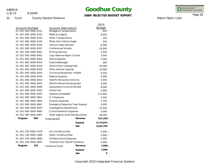1/8/15

01 Fund

9:50AM

County General Revenue

# **Goodhue County**

### **USER-SELECTED BUDGET REPORT**

INTEGRATED<br>FINANCIAL SYSTEMS

Report Basis: Cash

Page 28

|                       |     |                                         |            | 2015          |
|-----------------------|-----|-----------------------------------------|------------|---------------|
| <b>Account Number</b> |     | Account Description                     |            | <b>Budget</b> |
| 01-201-000-0000-6331  |     | Mileage & Transportation                |            | 600           |
| 01-201-000-0000-6332  |     | Meals & Lodging                         |            | 9,500         |
| 01-201-000-0000-6333  |     | Other Transportation                    |            | 100           |
| 01-201-000-0000-6335  |     | Motor Pool Vehicle Usage                |            | 100           |
| 01-201-000-0000-6342  |     | Verizon Lease Payment                   |            | 6,000         |
| 01-201-000-0000-6357  |     | Conferences/Schools                     |            | 22,000        |
| 01-201-000-0000-6401  |     | <b>Printing Services</b>                |            | 2,000         |
| 01-201-000-0000-6402  |     | Copy Machine Paper & Toner              |            | 3,000         |
| 01-201-000-0000-6405  |     | Office Supplies                         |            | 2,500         |
| 01-201-000-0000-6414  |     | Food & Beverages                        |            | 300           |
| 01-201-000-0000-6416  |     | Ammunition & Range Fees                 |            | 20,000        |
| 01-201-000-0000-6420  |     | Other General Supplies                  |            | 10,000        |
| 01-201-000-0000-6432  |     | Furniture/Equipment <\$1000             |            | 8,500         |
| 01-201-000-0000-6434  |     | <b>Medical Supplies</b>                 |            | 2,000         |
| 01-201-000-0000-6453  |     | <b>Sheriffs Personnel Uniforms</b>      |            | 3,500         |
| 01-201-000-0000-6454  |     | Sheriffs Personnel Equipment            |            | 3,000         |
| 01-201-000-0000-6480  |     | Equipment/Furniture<\$5,000             |            | 8,000         |
| 01-201-000-0000-6565  |     | Diesel Fuel                             |            | 5,900         |
| 01-201-000-0000-6567  |     | Gasoline (Unleaded)                     |            | 172,000       |
| 01-201-000-0000-6851  |     | K-9 Expenses                            |            | 4,500         |
| 01-201-000-0000-6855  |     | <b>Forensic Expenses</b>                |            | 2,720         |
| 01-201-000-0000-6867  |     | Emergency Response Team Expense         |            | 3,000         |
| 01-201-000-0000-6870  |     | Investigative Expenditures              |            | 12,000        |
| 01-201-000-0000-6883  |     | Crime Prevention Expenses               |            | 5,000         |
| 01-201-000-0000-6897  |     | Other Agency Grant Reimbursemer         |            | 46,496        |
| Program               | 000 | Undesignated                            | Revenue    | 912,169       |
|                       |     |                                         | Expend.    | 5,174,874     |
|                       |     |                                         | <b>Net</b> | 4,262,705     |
| 01-201-130-0000-5479  |     | Dui-Forfeiture Fees                     |            | 5,000         |
| 01-201-130-0000-5480  |     | Other-Forfeiture Fees                   |            | 2,000         |
| 01-201-130-0000-6882  |     | Forfeiture Fund Expenses                |            | 2,000         |
| 01-201-130-0000-6997  |     | <b>Transfers Out-Sheriff Forfeiture</b> |            | 5,000         |
| Program               | 130 | Forfeiture Funds                        | Revenue    | 7,000         |
|                       |     |                                         | Expend.    | 7,000         |
|                       |     |                                         | <b>Net</b> | $\Omega$      |

**-**

 $\overline{\phantom{a}}$ -

**-**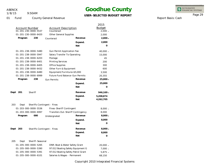1/8/15

### 9:50AM

### **Goodhue County**

### **USER-SELECTED BUDGET REPORT**

INTEGRATED<br>FINANCIAL SYSTEMS

Report Basis: Cash

Page 29

|                                 |                                   |                                    | 2015<br><b>Budget</b> |
|---------------------------------|-----------------------------------|------------------------------------|-----------------------|
| <b>Account Number</b>           | Counteract                        | <b>Account Description</b>         |                       |
| 01-201-230-0000-5537            |                                   |                                    | $2,000 -$             |
| 01-201-230-0000-6420            | <b>Other General Supplies</b>     |                                    | 2,000                 |
| 230<br>Program                  | Counteract                        | Revenue                            | $2,000 -$             |
|                                 |                                   | Expend.                            | 2,000                 |
|                                 |                                   | <b>Net</b>                         | O                     |
| 01-201-238-0000-5480            | <b>Gun Permit Application Fee</b> |                                    | $40,000 -$            |
| 01-201-238-0000-5947            | Salary Transfer To Operating      |                                    | 15,000                |
| 01-201-238-0000-6203            | Postage                           |                                    | 45                    |
| 01-201-238-0000-6401            | <b>Printing Services</b>          |                                    | 200                   |
| 01-201-238-0000-6405            | <b>Office Supplies</b>            |                                    | 300                   |
| 01-201-238-0000-6432            | Other Furn & Equipment            |                                    | 600                   |
| 01-201-238-0000-6480            | Equipment/Furniture<\$5,000       |                                    | 3,500                 |
| 01-201-238-0000-6999            | Future Fund Balance-Gun Permits   |                                    | 20,355                |
| Program<br>238                  | <b>Gun Permits</b>                | Revenue                            | $25,000 -$            |
|                                 |                                   | Expend.                            | 25,000                |
|                                 |                                   | <b>Net</b>                         | 0                     |
| Dept<br>201<br>Sheriff          |                                   | Revenue                            | $946,169 -$           |
|                                 |                                   | Expend.                            | 5,208,874             |
|                                 |                                   | <b>Net</b>                         | 4,262,705             |
|                                 |                                   |                                    |                       |
| 203<br>Dept                     | Sheriffs Contingent - Fines       |                                    |                       |
| 01-203-000-0000-5536            | Fines-Sheriff Contingent          |                                    | $8,000 -$             |
| 01-203-000-0000-6997            |                                   | Transfers Out-Sheriff Contingency  | 8,000                 |
| 000<br>Program                  | Undesignated                      | Revenue                            | $8,000 -$             |
|                                 |                                   | Expend.                            | 8,000                 |
|                                 |                                   | <b>Net</b>                         | 0                     |
| Dept<br>203                     | Sheriffs Contingent - Fines       | Revenue                            | $8,000 -$             |
|                                 |                                   | Expend.                            | 8,000                 |
|                                 |                                   | <b>Net</b>                         | O                     |
|                                 |                                   |                                    |                       |
| 205<br>Sheriff-Seasonal<br>Dept |                                   |                                    |                       |
| 01-205-000-0000-5265            | DNR-Boat & Water Safety Grant     |                                    | $20,000 -$            |
| 01-205-000-0000-5390            |                                   | 97.012 Boating Safety Equipment G  | 7,000 -               |
| 01-205-000-0000-5391            |                                   | 97.012 Boating Safety Patrol Grant | $5,875 -$             |
| 01-205-000-0000-6101            | Salaries & Wages - Permanent      |                                    | 68,150                |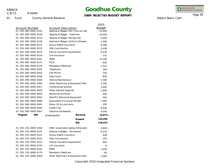1/8/15

9:50AM

## **Goodhue County**

### **USER-SELECTED BUDGET REPORT**

INTEGRATED<br>FINANCIAL SYSTEMS

Report Basis: Cash

Page 30

|                                             |                                                       |                                   |                              | 2015          |
|---------------------------------------------|-------------------------------------------------------|-----------------------------------|------------------------------|---------------|
| Account Number                              |                                                       | <b>Account Description</b>        |                              | <b>Budget</b> |
| 01-205-000-0000-6103                        |                                                       | Salaries & Wages-Part Time w/o Be |                              | 10,000        |
| 01-205-000-0000-6104                        |                                                       | Salaries & Wages - Overtime       |                              | 10,000        |
| 01-205-000-0000-6114                        |                                                       |                                   | Salaries & Wages-Holiday Pay |               |
| 01-205-000-0000-6118                        |                                                       | Salaries & Wages-Uniform Allowan  |                              | 1,000         |
| 01-205-000-0000-6151                        |                                                       | Group Health Insurance            |                              | 9,108         |
| 01-205-000-0000-6152                        |                                                       | <b>HSA Contribution</b>           |                              | 2,438         |
| 01-205-000-0000-6153                        |                                                       | Family Insurance Supplement       |                              | 8,434         |
| 01-205-000-0000-6154                        |                                                       | Life Insurance                    |                              | 131           |
| 01-205-000-0000-6161                        |                                                       | PERA                              |                              | 13,146        |
| 01-205-000-0000-6171                        |                                                       | <b>FICA</b>                       |                              | 620           |
| 01-205-000-0000-6174                        |                                                       | Mandatory Medicare                |                              | 1,322         |
| 01-205-000-0000-6201                        |                                                       | Telephone                         |                              | 300           |
| 01-205-000-0000-6202                        |                                                       | Cell Phone                        |                              | 750           |
| 01-205-000-0000-6206                        |                                                       | Data Cards                        |                              | 850           |
| 01-205-000-0000-6303                        |                                                       | Vehicle Maintenance               |                              | 1,500         |
| 01-205-000-0000-6304                        |                                                       | Other Machinery & Equipment Mair  |                              | 2,500         |
| 01-205-000-0000-6357<br>Conferences/Schools |                                                       | 3,000                             |                              |               |
|                                             | 01-205-000-0000-6420<br><b>Other General Supplies</b> |                                   | 1,800                        |               |
| 01-205-000-0000-6453                        |                                                       | Personnel Uniforms                |                              | 500           |
| 01-205-000-0000-6454                        |                                                       | Sheriff's Personnel Equipment     |                              | 500           |
| 01-205-000-0000-6480                        |                                                       | Equipment/Furniture<\$5,000       |                              | 7,000         |
| 01-205-000-0000-6561                        |                                                       | Motor Oil & Lubricants            |                              | 250           |
| 01-205-000-0000-6565                        |                                                       | Diesel Fuel                       |                              | 8,500         |
| 01-205-000-0000-6567                        |                                                       | Gasoline (Unleaded)               |                              | 4,500         |
| Program                                     | 000                                                   | Undesignated                      | Revenue                      | 32,875 -      |
|                                             |                                                       |                                   | Expend.                      | 159.299       |
|                                             |                                                       |                                   | <b>Net</b>                   | 126,424       |
| 01-205-235-0000-5264                        |                                                       | DNR-Snowmobile Safety Enforceme   |                              | 4,958 -       |
| 01-205-235-0000-6101                        |                                                       | Salaries & Wages - Permanent      |                              | 6,519         |
| 01-205-235-0000-6151                        |                                                       | Group Health Insurance            |                              | 828           |
| 01-205-235-0000-6152                        |                                                       | <b>HSA Contribution</b>           |                              | 250           |
| 01-205-235-0000-6153                        |                                                       | Family Insurance Supplement       |                              | 992           |
| 01-205-235-0000-6154                        |                                                       | Life Insurance                    |                              | 6             |
| 01-205-235-0000-6161                        |                                                       | PERA                              |                              | 1,056         |
| 01-205-235-0000-6174                        |                                                       | Mandatory Medicare                |                              | 95            |
| 01-205-235-0000-6304                        |                                                       | Other Machinery & Equipment Mair  |                              | 1,000         |
|                                             |                                                       |                                   |                              |               |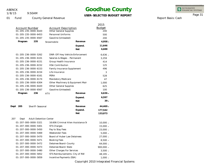1/8/15

### 9:50AM

## **Goodhue County**

### **USER-SELECTED BUDGET REPORT**

INTEGRATED<br>FINANCIAL SYSTEMS

Report Basis: Cash

Page 31

|      |                                                                                                |                                              |                               |                                    | 2015       |
|------|------------------------------------------------------------------------------------------------|----------------------------------------------|-------------------------------|------------------------------------|------------|
|      | <b>Account Description</b><br>Account Number<br>01-205-235-0000-6420<br>Other General Supplies |                                              | <b>Budget</b><br>200          |                                    |            |
|      | 01-205-235-0000-6453                                                                           |                                              |                               | Personnel Uniforms                 |            |
|      |                                                                                                | 01-205-235-0000-6567                         | Gasoline (Unleaded)           |                                    | 500<br>200 |
|      | Program                                                                                        | 235                                          | Snowmobile                    | Revenue                            | $4,958 -$  |
|      |                                                                                                |                                              |                               |                                    |            |
|      |                                                                                                |                                              |                               | Expend.<br><b>Net</b>              | 11,646     |
|      |                                                                                                |                                              |                               |                                    | 6,688      |
|      |                                                                                                | 01-205-236-0000-5262                         |                               | DNR-Off Hwy Vehicle Enforcement    | $6,636 -$  |
|      |                                                                                                | 01-205-236-0000-6101                         | Salaries & Wages - Permanent  |                                    | 3,259      |
|      |                                                                                                | 01-205-236-0000-6151                         | Group Health Insurance        |                                    | 414        |
|      |                                                                                                | 01-205-236-0000-6152                         | <b>HSA Contribution</b>       |                                    | 125        |
|      |                                                                                                | 01-205-236-0000-6153                         | Family Insurance Supplement   |                                    | 496        |
|      |                                                                                                | 01-205-236-0000-6154                         | Life Insurance                |                                    | 3          |
|      |                                                                                                | 01-205-236-0000-6161                         | PERA                          |                                    | 528        |
|      |                                                                                                | 01-205-236-0000-6174                         | Mandatory Medicare            |                                    | 47         |
|      |                                                                                                | 01-205-236-0000-6304                         |                               | Other Machinery & Equipment Mair   | 1,000      |
|      |                                                                                                | 01-205-236-0000-6420                         | <b>Other General Supplies</b> |                                    | 625        |
|      |                                                                                                | 01-205-236-0000-6567                         | Gasoline (Unleaded)           |                                    | 100        |
|      | Program                                                                                        | 236                                          | <b>ATV</b>                    | Revenue                            | $6,636 -$  |
|      |                                                                                                |                                              |                               | Expend.                            | 6,597      |
|      |                                                                                                |                                              |                               | <b>Net</b>                         | $39 -$     |
| Dept | 205                                                                                            | Sheriff-Seasonal                             |                               | Revenue                            | 44,469 -   |
|      |                                                                                                |                                              |                               | Expend.                            | 177,542    |
|      |                                                                                                |                                              |                               | <b>Net</b>                         | 133,073    |
|      |                                                                                                |                                              |                               |                                    |            |
| 207  | Dept                                                                                           | <b>Adult Detention Center</b>                |                               |                                    |            |
|      |                                                                                                | 01-207-000-0000-5321                         |                               | 16.606 Criminal Alien Assistance S | $10,000 -$ |
|      |                                                                                                | 01-207-000-0000-5401                         | STS Charges                   |                                    | $15,000 -$ |
|      |                                                                                                | 01-207-000-0000-5450                         | Pay to Stay Fees              |                                    | 23,000 -   |
|      |                                                                                                | 01-207-000-0000-5469                         | Weekender Fees                |                                    | $5,000 -$  |
|      |                                                                                                | 01-207-000-0000-5470                         | Board of Huber Law Detainees  |                                    | 27,000 -   |
|      |                                                                                                | 01-207-000-0000-5471                         | <b>Booking Fees</b>           |                                    | $8,500 -$  |
|      |                                                                                                | 01-207-000-0000-5472                         | Detainee Board-County         |                                    | 64,000 -   |
|      |                                                                                                | 01-207-000-0000-5473                         | Detainee Board-State          |                                    | 900,000 -  |
|      |                                                                                                | 01-207-000-0000-5480<br>01-207-000-0000-5852 | Other Charges For Services    |                                    | $3,500 -$  |
|      |                                                                                                | 01-207-000-0000-5859                         | Incentive Payments (SSA)      | STS Reimbursements-City of RW      | 48,195 -   |
|      |                                                                                                |                                              |                               |                                    | $1,000 -$  |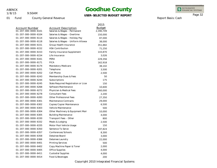1/8/15

9:50AM

## **Goodhue County**

### **USER-SELECTED BUDGET REPORT**

INTEGRATED<br>FINANCIAL SYSTEMS

Report Basis: Cash

Page 32

|                       |                                      | 2015          |
|-----------------------|--------------------------------------|---------------|
| <b>Account Number</b> | <b>Account Description</b>           | <b>Budget</b> |
| 01-207-000-0000-6101  | Salaries & Wages - Permanent         | 2,390,709     |
| 01-207-000-0000-6104  | Salaries & Wages - Overtime          | 150,000       |
| 01-207-000-0000-6114  | Salaries & Wages - Holiday Pay       | 87,000        |
| 01-207-000-0000-6118  | Salaries & Wages - Uniform Allowar   | 38,000        |
| 01-207-000-0000-6151  | Group Health Insurance               | 351,882       |
| 01-207-000-0000-6152  | <b>HSA Contribution</b>              | 71,250        |
| 01-207-000-0000-6153  | Family Insurance Supplement          | 143,870       |
| 01-207-000-0000-6154  | Life Insurance                       | 3,026         |
| 01-207-000-0000-6161  | PERA                                 | 229,356       |
| 01-207-000-0000-6171  | <b>FICA</b>                          | 162,918       |
| 01-207-000-0000-6174  | Mandatory Medicare                   | 38,102        |
| 01-207-000-0000-6201  | Telephone                            | 3,500         |
| 01-207-000-0000-6202  | Cell Phone                           | 2,500         |
| 01-207-000-0000-6243  | Membership Dues & Fees               | 50            |
| 01-207-000-0000-6244  | Subscriptions                        | 175           |
| 01-207-000-0000-6245  | State Required Registration or Licer | 150           |
| 01-207-000-0000-6268  | Software Maintenance                 | 10,600        |
| 01-207-000-0000-6272  | Physician & Medical Fees             | 260,000       |
| 01-207-000-0000-6278  | <b>Consultant Fees</b>               | 2,200         |
| 01-207-000-0000-6283  | <b>Other Professional Fees</b>       | 27,350        |
| 01-207-000-0000-6301  | Maintenance Contracts                | 29,000        |
| 01-207-000-0000-6302  | Copies/Copier Maintenance            | 6,500         |
| 01-207-000-0000-6303  | Vehicle Maintenance                  | 500           |
| 01-207-000-0000-6304  | Other Machinery & Equipment Mair     | 10,000        |
| 01-207-000-0000-6305  | <b>Building Maintenance</b>          | 4,000         |
| 01-207-000-0000-6330  | Transport Fees - Other               | 800           |
| 01-207-000-0000-6332  | Meals & Lodging                      | 2,500         |
| 01-207-000-0000-6335  | Motor Pool Vehicle Usage             | 150           |
| 01-207-000-0000-6350  | Sentence To Serve                    | 197,824       |
| 01-207-000-0000-6357  | Conferences/Schools                  | 8,300         |
| 01-207-000-0000-6358  | Detainee Board                       | 3,000         |
| 01-207-000-0000-6366  | Detainee Laundry                     | 22,000        |
| 01-207-000-0000-6401  | <b>Printing Services</b>             | 500           |
| 01-207-000-0000-6402  | Copy Machine Paper & Toner           | 2,000         |
| 01-207-000-0000-6405  | Office Supplies                      | 4,000         |
| 01-207-000-0000-6411  | <b>Custodial Supplies</b>            | 4,000         |
| 01-207-000-0000-6414  | Food & Beverages                     | 200           |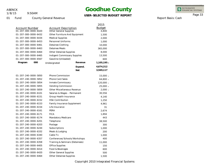1/8/15

01 Fund

9:50AM

Account Number<br>
01-207-000-0000-6420<br>
Other General Supplies

County General Revenue

01-207-000-0000-6432 Other Furniture And Equipment

Other General Supplies

## **Goodhue County**

#### **USER-SELECTED BUDGET REPORT**

INTEGRATED<br>FINANCIAL SYSTEMS

Page 33

2015 Budget

> 4,800 1,500

| ı |  |  |  |
|---|--|--|--|
|   |  |  |  |

Report Basis: Cash

| 01-207-000-0000-6434 | <b>Medical Supplies</b>            |            | 2,000       |
|----------------------|------------------------------------|------------|-------------|
| 01-207-000-0000-6453 | Personnel Uniforms                 |            | 1,000       |
| 01-207-000-0000-6461 | Detainee Clothing                  |            | 10,000      |
| 01-207-000-0000-6463 | Detainee Meals                     |            | 365,000     |
| 01-207-000-0000-6464 | Other Detainee Supplies            |            | 8,000       |
| 01-207-000-0000-6465 | Indigent Commissary Supplies       |            | 13,500      |
| 01-207-000-0000-6567 | Gasoline (Unleaded)                |            | 600         |
| 000<br>Program       | Undesignated                       | Revenue    | 1,105,195 - |
|                      |                                    | Expend.    | 4,674,312   |
|                      |                                    | <b>Net</b> | 3,569,117   |
| 01-207-240-0000-5850 | <b>Phone Commission</b>            |            | $15,000 -$  |
| 01-207-240-0000-5852 | <b>Phone Card Sales</b>            |            | 64,800 -    |
| 01-207-240-0000-5854 | Inmate Commissary                  |            | 120,000 -   |
| 01-207-240-0000-5855 | Vending Commission                 |            | $25,000 -$  |
| 01-207-240-0000-5859 | <b>Other Miscellaneous Revenue</b> |            | $2,000 -$   |
| 01-207-240-0000-6101 | Salaries & Wages - Permanent       |            | 30,556      |
| 01-207-240-0000-6151 | Group Health Insurance             |            | 4,140       |
| 01-207-240-0000-6152 | <b>HSA Contribution</b>            |            | 1,250       |
| 01-207-240-0000-6153 | Family Insurance Supplement        |            | 4,961       |
| 01-207-240-0000-6154 | Life Insurance                     |            | 31          |
| 01-207-240-0000-6161 | PERA                               |            | 2,674       |
| 01-207-240-0000-6171 | <b>FICA</b>                        |            | 1,894       |
| 01-207-240-0000-6174 | Mandatory Medicare                 |            | 443         |
| 01-207-240-0000-6201 | Telephone                          |            | 38,500      |
| 01-207-240-0000-6203 | Postage                            |            | 300         |
| 01-207-240-0000-6244 | Subscriptions                      |            | 1,000       |

01-207-240-0000-6332 Meals & Lodging 01-207-240-0000-6340 Cable Tv

01-207-240-0000-6405 Office Supplies 01-207-240-0000-6414 Food & Beverages 01-207-240-0000-6420 Other General Supplies 01-207-240-0000-6464 Other Detainee Supplies

01-207-240-0000-6357 Conferences/Schools/Workshops 01-207-240-0000-6358 Training & Seminars (Detainees)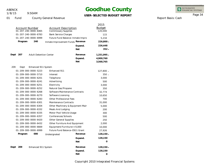1/8/15

### 9:50AM

### **Goodhue County**

### **USER-SELECTED BUDGET REPORT**

INTEGRATED<br>FINANCIAL SYSTEMS

Page 34

|             |                                               |                                                          |                                                                      | 2015                     |
|-------------|-----------------------------------------------|----------------------------------------------------------|----------------------------------------------------------------------|--------------------------|
|             | <b>Account Number</b><br>01-207-240-0000-6465 | <b>Account Description</b><br><b>Commissary Supplies</b> |                                                                      | <b>Budget</b><br>120,000 |
|             | 01-207-240-0000-6783                          | <b>Bank Service Charges</b>                              |                                                                      | 115                      |
|             | 01-207-240-0000-6999                          |                                                          |                                                                      | 5,234                    |
| Program     | 240                                           |                                                          | Future Fund Balance-Inmate Impro<br>Inmate Improvement Funds Revenue |                          |
|             |                                               |                                                          |                                                                      | 226,800 -                |
|             |                                               |                                                          | Expend.                                                              | 226,448                  |
|             |                                               |                                                          | <b>Net</b>                                                           | $352 -$                  |
| Dept<br>207 | <b>Adult Detention Center</b>                 |                                                          | Revenue                                                              | 1,331,995 -              |
|             |                                               |                                                          | Expend.                                                              | 4,900,760                |
|             |                                               |                                                          | <b>Net</b>                                                           | 3,568,765                |
| 209         | Enhanced 911 System                           |                                                          |                                                                      |                          |
| Dept        |                                               |                                                          |                                                                      |                          |
|             | 01-209-000-0000-5223                          | Enhanced 911                                             |                                                                      | 127,800 -                |
|             | 01-209-000-0000-5710                          | Interest                                                 |                                                                      | $350 -$                  |
|             | 01-209-000-0000-6201                          | Telephone                                                |                                                                      | 3,000                    |
|             | 01-209-000-0000-6241                          | Advertising                                              |                                                                      | 500                      |
|             | 01-209-000-0000-6251<br>01-209-000-0000-6252  | Electricity                                              |                                                                      | 3,000                    |
|             |                                               | Natural Gas/Propane                                      |                                                                      | 350                      |
|             | 01-209-000-0000-6268<br>01-209-000-0000-6270  | Software Maintenance Contracts                           |                                                                      | 32,774                   |
|             | 01-209-000-0000-6283                          | Software Licensing<br><b>Other Professional Fees</b>     |                                                                      | 10,650<br>700            |
|             | 01-209-000-0000-6301                          | Maintenance Contracts                                    |                                                                      | 31,000                   |
|             | 01-209-000-0000-6304                          |                                                          | Other Machinery & Equipment Mair                                     | 5,000                    |
|             | 01-209-000-0000-6332                          | Meals And Lodging                                        |                                                                      | 200                      |
|             | 01-209-000-0000-6335                          | Motor Pool Vehicle Usage                                 |                                                                      | 300                      |
|             | 01-209-000-0000-6357                          | Conferences/Schools                                      |                                                                      | 500                      |
|             | 01-209-000-0000-6420                          | <b>Other General Supplies</b>                            |                                                                      | 250                      |
|             | 01-209-000-0000-6432                          | Other Furniture And Equipment                            |                                                                      | 2,000                    |
|             | 01-209-000-0000-6669                          | Equipment/Furniture>=5,000                               |                                                                      | 10,000                   |
|             | 01-209-000-0000-6999                          | Future Fund Balance-E911 Grant                           |                                                                      | 27,926                   |
| Program     | 000                                           | Undesignated                                             | Revenue                                                              | $128,150 -$              |
|             |                                               |                                                          |                                                                      | 128,150                  |
|             |                                               |                                                          | Expend.                                                              | $\Omega$                 |
|             |                                               |                                                          | <b>Net</b>                                                           |                          |
| Dept<br>209 | Enhanced 911 System                           |                                                          | Revenue                                                              | 128,150 -                |
|             |                                               |                                                          | Expend.                                                              | 128,150                  |
|             |                                               |                                                          | <b>Net</b>                                                           | 0                        |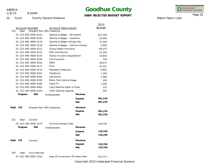1/8/15

9:50AM

# **Goodhue County**

### **USER-SELECTED BUDGET REPORT**

INTEGRATED<br>FINANCIAL SYSTEMS

Report Basis: Cash

Page 35

| Account Number                       | <b>Account Description</b>         |            | 2015<br><b>Budget</b> |
|--------------------------------------|------------------------------------|------------|-----------------------|
| 210<br>Dept                          | Dispatch Non-E911 Expenses         |            |                       |
| 01-210-000-0000-6101                 | Salaries & Wages - Permanent       |            | 619,304               |
| 01-210-000-0000-6104                 | Salaries & Wages - Overtime        |            | 20,000                |
| 01-210-000-0000-6114                 | Salaries & Wages-Holiday Pay       |            | 27,000                |
| 01-210-000-0000-6118                 | Salaries & Wages - Uniform Allowar |            | 9,900                 |
| 01-210-000-0000-6151                 | Group Health Insurance             |            | 66,237                |
| 01-210-000-0000-6152                 | <b>HSA Contribution</b>            |            | 12,500                |
| 01-210-000-0000-6153                 | Family Insurance Supplement        |            | 19,844                |
| 01-210-000-0000-6154                 | Life Insurance                     |            | 749                   |
| 01-210-000-0000-6161                 | PERA                               |            | 49,973                |
| 01-210-000-0000-6171                 | <b>FICA</b>                        |            | 41,311                |
| 01-210-000-0000-6174                 | Mandatory Medicare                 |            | 9,661                 |
| 01-210-000-0000-6201                 | Telephone                          |            | 1,300                 |
| 01-210-000-0000-6202                 | Cell phone                         |            | 1,500                 |
| 01-210-000-0000-6335                 | Motor Pool Vehicle Usage           |            | 200                   |
| 01-210-000-0000-6340                 | Cable TV                           |            | 1,000                 |
| 01-210-000-0000-6402                 | Copy Machine Paper & Toner         |            | 250                   |
| 01-210-000-0000-6420                 | <b>Other General Supplies</b>      |            | 500                   |
| 000<br>Program                       | Undesignated                       | Revenue    |                       |
|                                      |                                    | Expend.    | 881,229               |
|                                      |                                    | <b>Net</b> | 881,229               |
| 210<br>Dept                          | Dispatch Non-E911 Expenses         | Revenue    |                       |
|                                      |                                    | Expend.    | 881,229               |
|                                      |                                    | <b>Net</b> | 881,229               |
| 215<br>Dept<br>Coroner               |                                    |            |                       |
| 01-215-000-0000-6273                 | Coroner/Autopsy Fees               |            | 130,700               |
| Program<br>000                       | Undesignated                       | Revenue    |                       |
|                                      |                                    | Expend.    | 130,700               |
|                                      |                                    | <b>Net</b> | 130,700               |
| Dept<br>215<br>Coroner               |                                    | Revenue    |                       |
|                                      |                                    | Expend.    | 130,700               |
|                                      |                                    | <b>Net</b> | 130,700               |
| 255<br><b>Court Services</b><br>Dept |                                    |            |                       |
| 01-255-000-0000-5252                 | Dept of Corrections-PO Salary Rein |            | 191,275 -             |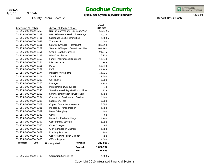1/8/15

9:50AM

## **Goodhue County**

### **USER-SELECTED BUDGET REPORT**

INTEGRATED<br>FINANCIAL SYSTEMS

Report Basis: Cash

Page 36

01 Fund County General Revenue

|                      |                                        |            | 2015          |
|----------------------|----------------------------------------|------------|---------------|
| Account Number       | Account Description                    |            | <b>Budget</b> |
| 01-255-000-0000-5253 | Dept of Corrections-Caseload/Wor       |            | 68,712 -      |
| 01-255-000-0000-5289 | MN DHS-Mental Health Screenings        |            | 19,022 -      |
| 01-255-000-0000-5481 | Substance Use Screening Fee            |            | $3,000 -$     |
| 01-255-000-0000-5947 | Transfers In                           |            | 30,000 -      |
| 01-255-000-0000-6101 | Salaries & Wages - Permanent           |            | 685,558       |
| 01-255-000-0000-6107 | Salaries & Wages - Department Hea      |            | 109,367       |
| 01-255-000-0000-6151 | Group Health Insurance                 |            | 91,075        |
| 01-255-000-0000-6152 | <b>HSA Contribution</b>                |            | 16,250        |
| 01-255-000-0000-6153 | Family Insurance Supplement            |            | 19,844        |
| 01-255-000-0000-6154 | Life Insurance                         |            | 749           |
| 01-255-000-0000-6161 | PERA                                   |            | 59,619        |
| 01-255-000-0000-6171 | <b>FICA</b>                            |            | 49,285        |
| 01-255-000-0000-6174 | Mandatory Medicare                     |            | 11,526        |
| 01-255-000-0000-6201 | Telephone                              |            | 2,500         |
| 01-255-000-0000-6202 | Cell Phone                             |            | 6,000         |
| 01-255-000-0000-6203 | Postage                                |            | 1,850         |
| 01-255-000-0000-6243 | Membership Dues & Fees                 |            | 40            |
| 01-255-000-0000-6245 | State Required Registration or Licer   |            | 329           |
| 01-255-000-0000-6268 | Software Maintenance Contracts         |            | 4,600         |
| 01-255-000-0000-6284 | <b>Contracted Services-MH Services</b> |            | 10,500        |
| 01-255-000-0000-6285 | Laboratory Fees                        |            | 2,800         |
| 01-255-000-0000-6302 | Copies/Copier Maintenance              |            | 3,500         |
| 01-255-000-0000-6331 | Mileage & Transportation               |            | 1,000         |
| 01-255-000-0000-6332 | Meals & Lodging                        |            | 500           |
| 01-255-000-0000-6333 | Other                                  |            | 50            |
| 01-255-000-0000-6335 | Motor Pool Vehicle Usage               |            | 5,100         |
| 01-255-000-0000-6357 | Conferences/Schools                    |            | 1,000         |
| 01-255-000-0000-6358 | Other Charges                          |            | 60            |
| 01-255-000-0000-6382 | Cjdn Connection Charges                |            | 1,200         |
| 01-255-000-0000-6401 | <b>Printing Services</b>               |            | 800           |
| 01-255-000-0000-6402 | Copy Machine Paper & Toner             |            | 600           |
| 01-255-000-0000-6405 | <b>Office Supplies</b>                 |            | 1,000         |
| 000<br>Program       | Undesignated                           | Revenue    | 312,009 -     |
|                      |                                        | Expend.    | 1,086,702     |
|                      |                                        | <b>Net</b> | 774,693       |
|                      |                                        |            |               |

01-255-250-0000-5480 Correction Service Fee

- 2,000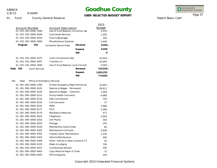1/8/15

### 9:50AM

## **Goodhue County**

### **USER-SELECTED BUDGET REPORT**

Copyright 2010 Integrated Financial Systems

INTEGRATED<br>FINANCIAL SYSTEMS

#### Page 37

|                                      |                                           | 2015          |
|--------------------------------------|-------------------------------------------|---------------|
| <b>Account Number</b>                | <b>Account Description</b>                | <b>Budget</b> |
| 01-255-250-0000-5949                 | Use of Fund Balance-Correction Ser        | $4,550 -$     |
| 01-255-250-0000-6284                 | <b>Contracted Services</b>                | 1,450         |
| 01-255-250-0000-6414                 | Food & Beverages                          | 100           |
| 01-255-250-0000-6850                 | Miscellaneous Expense                     | 5,000         |
| 250<br>Program                       | Revenue<br><b>Correction Service Fees</b> | $6,550 -$     |
|                                      | Expend.                                   | 6,550         |
|                                      | <b>Net</b>                                | $\Omega$      |
| 01-255-255-0000-5475                 | <b>Local Correctional Fees</b>            | $25,000 -$    |
| 01-255-255-0000-5947                 | Transfers In                              | 30,000        |
| 01-255-255-0000-5949                 | Use of Fund Balance-Local Correcti        | $5,000 -$     |
| Dept<br>255<br><b>Court Services</b> | Revenue                                   | 318,559 -     |
|                                      | Expend.                                   | 1,093,252     |
|                                      | <b>Net</b>                                | 774,693       |
| 281<br>Dept                          | Office of Emergency Services              |               |
| 01-281-000-0000-5395                 | 97.042 Emergency Mgmt Performar           | $32,697 -$    |
| 01-281-000-0000-6101                 | Salaries & Wages - Permanent              | 38,813        |
| 01-281-000-0000-6104                 | Salaries & Wages - Overtime               | 1,000         |
| 01-281-000-0000-6151                 | Group Health Insurance                    | 4,968         |
| 01-281-000-0000-6152                 | <b>HSA Contribution</b>                   | 750           |
| 01-281-000-0000-6154                 | Life Insurance                            | 37            |
| 01-281-000-0000-6161                 | PERA                                      | 2,986         |
| 01-281-000-0000-6171                 | <b>FICA</b>                               | 2,468         |
| 01-281-000-0000-6174                 | Mandatory Medicare                        | 577           |
| 01-281-000-0000-6201                 | Telephone                                 | 3,000         |
| 01-281-000-0000-6202                 | Cell Phone                                | 350           |
| 01-281-000-0000-6203                 | Postage                                   | 250           |
| 01-281-000-0000-6243                 | Membership Dues & Fees                    | 60            |
| 01-281-000-0000-6301                 | Maintenance Contracts                     | 9,938         |
| 01-281-000-0000-6302                 | Copies/Copier Maintenance                 | 1,550         |
| 01-281-000-0000-6303                 | Vehicle Maintenance                       | 400           |
| 01-281-000-0000-6309                 | Other-Vehicle or Boat License & Tit       | 20            |
| 01-281-000-0000-6332                 | Meals & Lodging                           | 700           |
| 01-281-000-0000-6357                 | Conferences/Schools                       | 350           |
| 01-281-000-0000-6402                 | Copy Machine Paper & Toner                | 75            |
| 01-281-000-0000-6405                 | <b>Office Supplies</b>                    | 350           |
|                                      |                                           |               |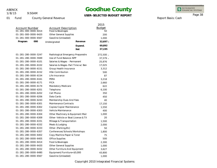1/8/15

9:50AM

## **Goodhue County**

### **USER-SELECTED BUDGET REPORT**

INTEGRATED<br>FINANCIAL SYSTEMS

Report Basis: Cash

Page 38

|                       |     |                               |                                     | 2015          |
|-----------------------|-----|-------------------------------|-------------------------------------|---------------|
| <b>Account Number</b> |     | <b>Account Description</b>    |                                     | <b>Budget</b> |
| 01-281-000-0000-6414  |     |                               | Food & Beverages                    |               |
| 01-281-000-0000-6420  |     | <b>Other General Supplies</b> |                                     | 200           |
| 01-281-000-0000-6567  |     | Gasoline (Unleaded)           |                                     | 1,000         |
| Program               | 000 | Undesignated                  | Revenue                             | $32,697 -$    |
|                       |     |                               | Expend.                             | 69,892        |
|                       |     |                               | <b>Net</b>                          | 37,195        |
| 01-281-280-0000-5247  |     |                               | Radiological Emergency Preparedne   | 272,500 -     |
| 01-281-280-0000-5949  |     | Use of Fund Balance-NPP       |                                     | $37,579 -$    |
| 01-281-280-0000-6101  |     | Salaries & Wages - Permanent  |                                     | 25,876        |
| 01-281-280-0000-6102  |     |                               | Salaries & Wages-Part Time w/ Ben   | 17,025        |
| 01-281-280-0000-6151  |     | Group Health Insurance        |                                     | 3,312         |
| 01-281-280-0000-6152  |     | <b>HSA Contribution</b>       |                                     | 500           |
| 01-281-280-0000-6154  |     | Life Insurance                |                                     | 87            |
| 01-281-280-0000-6161  |     | PERA                          |                                     | 3,218         |
| 01-281-280-0000-6171  |     | <b>FICA</b>                   |                                     | 2,660         |
| 01-281-280-0000-6174  |     | Mandatory Medicare            |                                     | 622           |
| 01-281-280-0000-6201  |     | Telephone                     |                                     | 6,100         |
| 01-281-280-0000-6202  |     | Cell Phone                    |                                     | 350           |
| 01-281-280-0000-6206  |     | Data Cards                    |                                     | 450           |
| 01-281-280-0000-6243  |     | Membership Dues And Fees      |                                     | 40            |
| 01-281-280-0000-6301  |     | <b>Maintenance Contracts</b>  |                                     | 17,150        |
| 01-281-280-0000-6302  |     | Copies/Copier Maintenance     |                                     | 1,550         |
| 01-281-280-0000-6303  |     | Vehicle Maintenance           |                                     | 400           |
| 01-281-280-0000-6304  |     |                               | Other Machinery & Equipment Mair    | 1,000         |
| 01-281-280-0000-6309  |     |                               | Other-Vehicle or Boat License & Tit | 20            |
| 01-281-280-0000-6331  |     | Mileage & Transportation      |                                     | 1,500         |
| 01-281-280-0000-6332  |     | Meals & Lodging               |                                     | 2,000         |
| 01-281-280-0000-6333  |     | Other-(Parking, Etc)          |                                     | 50            |
| 01-281-280-0000-6357  |     | Conferences/Schools/Workshops |                                     | 1,800         |
| 01-281-280-0000-6402  |     | Copy Machine Paper & Toner    |                                     | 75            |
| 01-281-280-0000-6405  |     | Office Supplies               |                                     | 500           |
| 01-281-280-0000-6414  |     | Food & Beverages              |                                     | 2,300         |
| 01-281-280-0000-6420  |     | <b>Other General Supplies</b> |                                     | 1,000         |
| 01-281-280-0000-6432  |     | Other Furniture And Equipment |                                     | 3,627         |
| 01-281-280-0000-6480  |     | Equipment/Furniture<\$5,000   |                                     | 43,800        |
| 01-281-280-0000-6567  |     | Gasoline (Unleaded)           |                                     | 1,000         |
|                       |     |                               |                                     |               |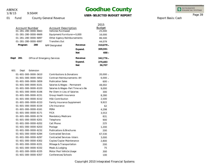9:50AM 1/8/15

## **Goodhue County**

**USER-SELECTED BUDGET REPORT**

INTEGRATED<br>FINANCIAL SYSTEMS

Report Basis: Cash

Page 39

|             | <b>Account Number</b><br>01-281-280-0000-6663 | <b>Account Description</b><br>Vehicles Purchased |            | 2015<br><b>Budget</b><br>25,000 |
|-------------|-----------------------------------------------|--------------------------------------------------|------------|---------------------------------|
|             | 01-281-280-0000-6669                          | Equipment/Furniture>=5,000                       |            | 16,000                          |
|             | 01-281-280-0000-6897                          | Other Agency Reimbursements                      |            | 86,500                          |
|             | 01-281-280-0000-6997                          | <b>Transfers Out</b>                             |            | 44,079                          |
| Program     | 280                                           | <b>NPP Designated</b>                            | Revenue    | $310,079 -$                     |
|             |                                               |                                                  | Expend.    | 309,591                         |
|             |                                               |                                                  | <b>Net</b> | 488 -                           |
|             |                                               |                                                  |            |                                 |
| Dept<br>281 |                                               | Office of Emergency Services                     | Revenue    | $342,776 -$                     |
|             |                                               |                                                  | Expend.    | 379,483                         |
|             |                                               |                                                  | <b>Net</b> | 36,707                          |
| 601<br>Dept | Extension                                     |                                                  |            |                                 |
|             | 01-601-000-0000-5610                          | <b>Contributions &amp; Donations</b>             |            | $20,000 -$                      |
|             | 01-601-000-0000-5852                          | Contract Reimbursements-4H                       |            | $6,000 -$                       |
|             | 01-601-000-0000-5859                          | <b>Publication Sales</b>                         |            | $600 -$                         |
|             | 01-601-000-0000-6101                          | Salaries & Wages - Permanent                     |            | 48,002                          |
|             | 01-601-000-0000-6103                          | Salaries & Wages-Part Time w/o Be                |            | 9,000                           |
|             | 01-601-000-0000-6106                          | Per Diem in Lieu of Salaries                     |            | 300                             |
|             | 01-601-000-0000-6151                          | Group Health Insurance                           |            | 8,280                           |
|             | 01-601-000-0000-6152                          | <b>HSA Contribution</b>                          |            | 2,500                           |
|             | 01-601-000-0000-6153                          | <b>Family Insurance Supplement</b>               |            | 9,922                           |
|             | 01-601-000-0000-6154                          | Life Insurance                                   |            | 62                              |
|             | 01-601-000-0000-6161                          | PERA                                             |            | 4,298                           |
|             | 01-601-000-0000-6171                          | <b>FICA</b>                                      |            | 3,553                           |
|             | 01-601-000-0000-6174                          | Mandatory Medicare                               |            | 831                             |
|             | 01-601-000-0000-6201                          | Telephone                                        |            | 900                             |
|             | 01-601-000-0000-6202                          | Cell Phone                                       |            | 225                             |
|             | 01-601-000-0000-6203                          | Postage                                          |            | 1,200                           |
|             | 01-601-000-0000-6232                          | <b>Publications &amp; Brochures</b>              |            | 200                             |
|             | 01-601-000-0000-6284                          | <b>Contracted Services</b>                       |            | 67,530                          |
|             | 01-601-000-0000-6297                          | <b>Contracted Services-Intern</b>                |            | 3,000                           |
|             | 01-601-000-0000-6302                          | Copies/Copier Maintenance                        |            | 2,800                           |
|             | 01-601-000-0000-6331                          | Mileage & Transportation                         |            | 200                             |
|             | 01-601-000-0000-6332                          | Meals & Lodging                                  |            | 75                              |
|             | 01-601-000-0000-6335                          | Motor Pool Vehicle Usage                         |            | 300                             |
|             | 01-601-000-0000-6357                          | Conferences/Schools                              |            | 100                             |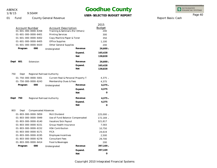9:50AM 1/8/15

# **Goodhue County**

### **USER-SELECTED BUDGET REPORT**

INTEGRATED<br>FINANCIAL SYSTEMS

Report Basis: Cash

Page 40

|                          |                                  |                                    | 2015          |
|--------------------------|----------------------------------|------------------------------------|---------------|
| <b>Account Number</b>    | <b>Account Description</b>       |                                    | <b>Budget</b> |
| 01-601-000-0000-6358     | Training & Seminars (For Others) |                                    | 200           |
| 01-601-000-0000-6401     | <b>Printing Services</b>         |                                    | 300           |
| 01-601-000-0000-6402     | Copy Machine Paper & Toner       |                                    | 350           |
| 01-601-000-0000-6405     | <b>Office Supplies</b>           |                                    | 1,100         |
| 01-601-000-0000-6420     | Other General Supplies           |                                    | 200           |
| Program<br>000           | Undesignated                     | Revenue                            | $26,600 -$    |
|                          |                                  | Expend.                            | 165,428       |
|                          |                                  | <b>Net</b>                         | 138,828       |
| Dept<br>601<br>Extension |                                  | Revenue                            | 26,600 -      |
|                          |                                  | Expend.                            | 165,428       |
|                          |                                  | <b>Net</b>                         | 138,828       |
| 750<br>Dept              | Regional Railroad Authority      |                                    |               |
| 01-750-000-0000-5001     |                                  | Current Real & Personal Property T | $4,375 -$     |
| 01-750-000-0000-6243     | Membership Dues & Fees           |                                    | 4,375         |
| Program<br>000           | Undesignated                     | Revenue                            | $4,375 -$     |
|                          |                                  | Expend.                            | 4,375         |
|                          |                                  | <b>Net</b>                         | 0             |
| Dept<br>750              | Regional Railroad Authority      | Revenue                            | $4,375 -$     |
|                          |                                  | Expend.                            | 4,375         |
|                          |                                  | <b>Net</b>                         | 0             |
| 803<br>Dept              | <b>Compensated Absences</b>      |                                    |               |
| 01-803-000-0000-5859     | Mcit Dividend                    |                                    | 225,000 -     |
| 01-803-000-0000-5949     | Use of Fund Balance-Compensated  |                                    | 172,169 -     |
| 01-803-000-0000-6140     | Vacation/Sick Payout             |                                    | 321,817       |
| 01-803-000-0000-6151     | Group Health Insurance           |                                    | 7,583         |
| 01-803-000-0000-6152     | <b>HSA Contribution</b>          |                                    | 10,750        |
| 01-803-000-0000-6171     | <b>FICA</b>                      |                                    | 24,619        |
| 01-803-000-0000-6195     | <b>Employee Incentives</b>       |                                    | 2,500         |
| 01-803-000-0000-6278     | <b>Consultant Fees</b>           |                                    | 29,700        |
| 01-803-000-0000-6414     | Food & Beverages                 |                                    | 200           |
| Program<br>000           | Undesignated                     | Revenue                            | 397,169 -     |
|                          |                                  | Expend.                            | 397,169       |
|                          |                                  | <b>Net</b>                         | O             |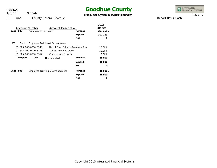1/8/15

### 9:50AM

## **Goodhue County**

### **USER-SELECTED BUDGET REPORT**

INTEGRATED<br>FINANCIAL SYSTEMS

Page 41

01 Fund County General Revenue

| Account Number<br>Account Description<br>803<br>Dept<br><b>Compensated Absences</b> | Revenue<br>Expend.<br><b>Net</b> | 2015<br><b>Budget</b><br>$397,169 -$<br>397,169<br>∩ |
|-------------------------------------------------------------------------------------|----------------------------------|------------------------------------------------------|
| 805<br>Employee Training & Developement<br>Dept                                     |                                  |                                                      |
| 01-805-000-0000-5949                                                                | Use of Fund Balance-Employee Trn | $15,000 -$                                           |
| 01-805-000-0000-6196<br>Tuition Reimbursement                                       |                                  | 10,000                                               |
| $01 - 805 - 000 - 0000 - 6357$<br>Conferences/Schools                               |                                  | 5,000                                                |
| 000<br>Program<br>Undesignated                                                      | Revenue                          | $15,000 -$                                           |
|                                                                                     | Expend.                          | 15,000                                               |
|                                                                                     | <b>Net</b>                       | O                                                    |
| 805<br>Employee Training & Developement<br>Dept                                     | Revenue                          | $15,000 -$                                           |
|                                                                                     | Expend.                          | 15,000                                               |
|                                                                                     | <b>Net</b>                       | Ω                                                    |

Report Basis: Cash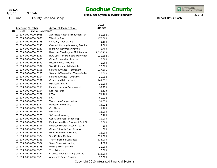1/8/15

9:50AM

## **Goodhue County**

**USER-SELECTED BUDGET REPORT**

INTEGRATED<br>FINANCIAL SYSTEMS

Report Basis: Cash

Page 42

03 Fund County Road and Bridge

|                                    |                                   | 2015          |
|------------------------------------|-----------------------------------|---------------|
| Account Number                     | <b>Account Description</b>        | <b>Budget</b> |
| 310<br>Dept<br>Highway Maintenance |                                   |               |
| 03-310-000-0000-5085               | Aggregate Material Production Tax | $52,500 -$    |
| 03-310-000-0000-5088               | Wheelage Tax                      | 473,000 -     |
| 03-310-000-0000-5145               | Driveway Applications             | $1,100 -$     |
| 03-310-000-0000-5146               | Over Width/Length Moving Permits  | $4,000 -$     |
| 03-310-000-0000-5147               | Right-Of-Way Utility Permits      | $2,700 -$     |
| 03-310-000-0000-5226               | Hwy User Tax-Regular Maintenance  | 2,336,274 -   |
| 03-310-000-0000-5227               | Hwy User Tax-Municipal Maintenar  | 232,604 -     |
| 03-310-000-0000-5480               | Other Charges For Services        | $3,000 -$     |
| 03-310-000-0000-5859               | Miscellaneous Revenue             | $2,000 -$     |
| 03-310-000-0000-5934               | Sale Of Supplies & Materials      | 20,000 -      |
| 03-310-000-0000-6101               | Salaries & Wages - Permanent      | 927,801       |
| 03-310-000-0000-6103               | Salaries & Wages-Part Time w/o Be | 28,000        |
| 03-310-000-0000-6104               | Salaries & Wages - Overtime       | 25,000        |
| 03-310-000-0000-6151               | Group Health Insurance            | 149,032       |
| 03-310-000-0000-6152               | <b>HSA Contribution</b>           | 35,000        |
| 03-310-000-0000-6153               | Family Insurance Supplement       | 99,220        |
| 03-310-000-0000-6154               | Life Insurance                    | 1,123         |
| 03-310-000-0000-6161               | PERA                              | 71,460        |
| 03-310-000-0000-6171               | <b>FICA</b>                       | 60,810        |
| 03-310-000-0000-6173               | Workmans Compensation             | 51,330        |
| 03-310-000-0000-6174               | Mandatory Medicare                | 14,222        |
| 03-310-000-0000-6202               | Cell Phone                        | 1,400         |
| 03-310-000-0000-6251               | Electricity                       | 11,000        |
| 03-310-000-0000-6270               | Software Licensing                | 2,100         |
| 03-310-000-0000-6278               | Consultant Fees-Bridge Insp       | 12,000        |
| 03-310-000-0000-6281               | Engineering-Hyd-Pavement Test Et  | 5,000         |
| 03-310-000-0000-6291               | Employee Drug & Alcohol Testing   | 500           |
| 03-310-000-0000-6309               | Other-Sidewalk Snow Removal       | 300           |
| 03-310-000-0000-6321               | Minor Maintenance Projects        | 15,000        |
| 03-310-000-0000-6322               | Seal Coating Contracts            | 621,000       |
| 03-310-000-0000-6323               | <b>Traffic Marking Contracts</b>  | 125,000       |
| 03-310-000-0000-6324               | Street Signals & Lighting         | 4,000         |
| 03-310-000-0000-6325               | Weed & Brush Spraying             | 28,000        |
| 03-310-000-0000-6326               | Tree Trimming                     | 6,000         |
| 03-310-000-0000-6327               | Crushed Rock Surfacing Contracts  | 115,000       |
| 03-310-000-0000-6328               | Aggregate Roads Grading           | 20,000        |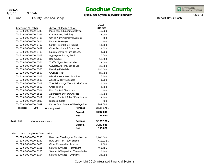1/8/15

03 Fund

9:50AM

County Road and Bridge

# **Goodhue County**

**USER-SELECTED BUDGET REPORT**

INTEGRATED<br>FINANCIAL SYSTEMS

Page 43

Report Basis: Cash

|      |                       |                             |                                |                                    | 2015          |
|------|-----------------------|-----------------------------|--------------------------------|------------------------------------|---------------|
|      | <b>Account Number</b> |                             | <b>Account Description</b>     |                                    | <b>Budget</b> |
|      |                       | 03-310-000-0000-6343        | Machinery & Equipment Rental   |                                    | 10,000        |
|      |                       | 03-310-000-0000-6357        | Conferences/Training           |                                    | 3,000         |
|      |                       | 03-310-000-0000-6405        | Office/Administrative Supplies |                                    | 300           |
|      |                       | 03-310-000-0000-6414        | Food & Beverages               |                                    | 500           |
|      |                       | 03-310-000-0000-6417        | Safety Materials & Training    |                                    | 11,200        |
|      |                       | 03-310-000-0000-6432        | Other Furniture & Equipment    |                                    | 1,650         |
|      |                       | 03-310-000-0000-6480        | Equipment/Furniture<\$5,000    |                                    | 4,500         |
|      |                       | 03-310-000-0000-6502        | Aggregates & Icing Sand        |                                    | 20,000        |
|      |                       | 03-310-000-0000-6503        | <b>Bituminous</b>              |                                    | 55,000        |
|      |                       | 03-310-000-0000-6504        | Traffic Signs, Posts & Misc    |                                    | 18,000        |
|      |                       | 03-310-000-0000-6505        | Culverts, Aprons, Bands Etc.   |                                    | 35,000        |
|      |                       | 03-310-000-0000-6506        | De-Icing Materials             |                                    | 250,000       |
|      |                       | 03-310-000-0000-6507        | <b>Crushed Rock</b>            |                                    | 80,000        |
|      |                       | 03-310-000-0000-6508        | Miscellaneous Road Supplies    |                                    | 6,500         |
|      |                       | 03-310-000-0000-6509        | Adopt-A-Hwy Expenses           |                                    | 1,200         |
|      |                       | 03-310-000-0000-6511        |                                | Tree Trimming-Weed/Brush Contro    | 6,000         |
|      |                       | 03-310-000-0000-6512        | Crack Filling                  |                                    | 1,000         |
|      |                       | 03-310-000-0000-6514        | <b>Dust Control Chemicals</b>  |                                    | 500           |
|      |                       | 03-310-000-0000-6515        | Addressing System Charges      |                                    | 12,000        |
|      |                       | 03-310-000-0000-6517        |                                | Erosion Control & Turf Establishme | 7,500         |
|      |                       | 03-310-000-0000-6839        | <b>Disposal Costs</b>          |                                    | 700           |
|      |                       | 03-310-000-0000-6999        |                                | Future Fund Balance-Wheelage Tax   | 289,000       |
|      | Program               | 000                         | Undesignated                   | Revenue                            | $3,127,178$ - |
|      |                       |                             |                                | Expend.                            | 3,242,848     |
|      |                       |                             |                                | <b>Net</b>                         | 115,670       |
|      |                       |                             |                                |                                    |               |
| Dept | 310                   | Highway Maintenance         |                                | Revenue                            | 3,127,178 -   |
|      |                       |                             |                                | Expend.                            | 3,242,848     |
|      |                       |                             |                                | <b>Net</b>                         | 115,670       |
| 320  | Dept                  | <b>Highway Construction</b> |                                |                                    |               |
|      |                       | 03-320-000-0000-5230        |                                | Hwy User Tax-Regular Constructio   | $3,200,000 -$ |
|      |                       | 03-320-000-0000-5232        | Hwy User Tax-Town Bridge       |                                    | 418,810 -     |
|      |                       | 03-320-000-0000-5480        | Other Charges For Services     |                                    | $2,000 -$     |
|      |                       | 03-320-000-0000-6101        | Salaries & Wages - Permanent   |                                    | 466,451       |
|      |                       | 03-320-000-0000-6103        |                                | Salaries & Wages-Part Time w/o Be  | 6,500         |
|      |                       | 03-320-000-0000-6104        | Salaries & Wages - Overtime    |                                    | 24,000        |
|      |                       |                             |                                |                                    |               |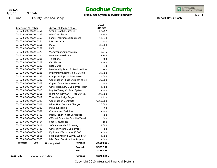1/8/15

9:50AM

## **Goodhue County**

### **USER-SELECTED BUDGET REPORT**

INTEGRATED<br>FINANCIAL SYSTEMS

Report Basis: Cash

Page 44

03 Fund

County Road and Bridge

|                                            |                                    |            | 2015          |
|--------------------------------------------|------------------------------------|------------|---------------|
| Account Number                             | <b>Account Description</b>         |            | <b>Budget</b> |
| 03-320-000-0000-6151                       | Group Health Insurance             |            | 57,957        |
| 03-320-000-0000-6152                       | <b>HSA Contribution</b>            |            | 11,250        |
| 03-320-000-0000-6153                       | Family Insurance Supplement        |            | 19,844        |
| 03-320-000-0000-6154                       | Life Insurance                     |            | 437           |
| 03-320-000-0000-6161                       | PERA                               |            | 36,784        |
| 03-320-000-0000-6171                       | <b>FICA</b>                        |            | 30,811        |
| 03-320-000-0000-6173                       | Workmans Compensation              |            | 2,576         |
| 03-320-000-0000-6174                       | Mandatory Medicare                 |            | 7,206         |
| 03-320-000-0000-6201                       | Telephone                          |            | 200           |
| 03-320-000-0000-6202                       | Cell Phone                         |            | 4,440         |
| 03-320-000-0000-6206                       | Data Cards                         |            | 840           |
| 03-320-000-0000-6243                       | Membership Dues/Professional Lice  |            | 190           |
| 03-320-000-0000-6281                       | Preliminary Engineering & Design   |            | 22,000        |
| 03-320-000-0000-6282                       | Computer Support & Software        |            | 15,000        |
| 03-320-000-0000-6287                       | Construction Phase Engineering & 1 |            | 35,000        |
| 03-320-000-0000-6302                       | Copies/Copier Maintenance          |            | 900           |
| 03-320-000-0000-6304                       | Other Machinery & Equipment Mair   |            | 1,600         |
| 03-320-000-0000-6310                       | Right-Of-Way Co Road System        |            | 7,500         |
| 03-320-000-0000-6311                       | Right-Of-Way CSAH Road System      |            | 200,000       |
| 03-320-000-0000-6319                       | Township Bridge Projects           |            | 418,810       |
| 03-320-000-0000-6320                       | <b>Construction Contracts</b>      |            | 4,563,000     |
| 03-320-000-0000-6321                       | Minor Non-Contract Charges         |            | 10,000        |
| 03-320-000-0000-6332                       | Meals & Lodging                    |            | 50            |
| 03-320-000-0000-6357                       | Conferences/Training               |            | 2,500         |
| 03-320-000-0000-6402                       | Paper/Toner/Inkjet Cartridges      |            | 800           |
| 03-320-000-0000-6405                       | Office & Computer Supplies/Small   |            | 600           |
| 03-320-000-0000-6414                       | Food & Beverages                   |            | 150           |
| 03-320-000-0000-6417                       | Safety Materials & Training        |            | 1,000         |
| 03-320-000-0000-6432                       | Other Furniture & Equipment        |            | 800           |
| 03-320-000-0000-6480                       | Equipment/Furniture<\$5,000        |            | 2,000         |
| 03-320-000-0000-6501                       | Field Engineering/Survey Supplies  |            | 4,000         |
| 03-320-000-0000-6508                       | Misc Road Construction Supplies    |            | 2,000         |
| 000<br>Program                             | Undesignated                       | Revenue    | $3,620,810 -$ |
|                                            |                                    | Expend.    | 5,957,196     |
|                                            |                                    | <b>Net</b> | 2,336,386     |
| Dept<br>320<br><b>Highway Construction</b> |                                    | Revenue    | $3,620,810 -$ |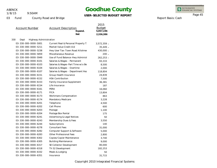03 Fund

330

1/8/15

9:50AM

## **Goodhue County**

**USER-SELECTED BUDGET REPORT**

INTEGRATED<br>FINANCIAL SYSTEMS

Page 45

Report Basis: Cash

County Road and Bridge

|                                |                                    | 2015          |
|--------------------------------|------------------------------------|---------------|
| Account Number                 | <b>Account Description</b>         | <b>Budget</b> |
|                                | Expend.                            | 5,957,196     |
|                                | <b>Net</b>                         | 2,336,386     |
| Dept<br>Highway Administration |                                    |               |
| 03-330-000-0000-5001           | Current Real & Personal Property T | 3,572,359 -   |
| 03-330-000-0000-5211           | Market Value Credit Aid            | 35,449 -      |
| 03-330-000-0000-5238           | Hwy User Tax-Town Road Allotmer    | 430,000 -     |
| 03-330-000-0000-5859           | Miscellaneous Revenue              | $200 -$       |
| 03-330-000-0000-5949           | Use of Fund Balance-Hwy Administ   | $262,253 -$   |
| 03-330-000-0000-6101           | Salaries & Wages - Permanent       | 93,333        |
| 03-330-000-0000-6103           | Salaries & Wages-Part Time w/o Be  | 8,500         |
| 03-330-000-0000-6104           | Salaries & Wages - Overtime        | 2,000         |
| 03-330-000-0000-6107           | Salaries & Wages - Department Hea  | 118,804       |
| 03-330-000-0000-6151           | Group Health Insurance             | 24,839        |
| 03-330-000-0000-6152           | <b>HSA Contribution</b>            | 7,500         |
| 03-330-000-0000-6153           | Family Insurance Supplement        | 36,381        |
| 03-330-000-0000-6154           | Life Insurance                     | 187           |
| 03-330-000-0000-6161           | PERA                               | 16,060        |
| 03-330-000-0000-6171           | <b>FICA</b>                        | 13,804        |
| 03-330-000-0000-6173           | Workmans Compensation              | 863           |
| 03-330-000-0000-6174           | Mandatory Medicare                 | 3,228         |
| 03-330-000-0000-6201           | Telephone                          | 4,500         |
| 03-330-000-0000-6202           | Cell Phone                         | 600           |
| 03-330-000-0000-6203           | Postage                            | 1,100         |
| 03-330-000-0000-6204           | Postage Box Rental                 | 175           |
| 03-330-000-0000-6241           | Advertising & Legal Notices        | 50            |
| 03-330-000-0000-6243           | Membership Dues & Fees             | 3,550         |
| 03-330-000-0000-6244           | Subscriptions                      | 140           |
| 03-330-000-0000-6278           | <b>Consultant Fees</b>             | 31,000        |
| 03-330-000-0000-6282           | Computer Support & Software        | 5,000         |
| 03-330-000-0000-6283           | Other Professional Fees            | 2,800         |
| 03-330-000-0000-6302           | Copies/Copier Maintenance          | 3,740         |
| 03-330-000-0000-6305           | <b>Building Maintenance</b>        | 9,000         |
| 03-330-000-0000-6317           | SE Collector Development           | 80,000        |
| 03-330-000-0000-6318           | Th 52 Development                  | 182,253       |
| 03-330-000-0000-6332           | Meals & Lodging                    | 50            |
| 03-330-000-0000-6351           | Insurance                          | 31,715        |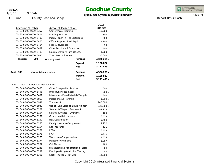03 Fund

1/8/15

9:50AM

County Road and Bridge

## **Goodhue County**

**USER-SELECTED BUDGET REPORT**

INTEGRATED<br>FINANCIAL SYSTEMS

Page 46

Report Basis: Cash

|      |                       |                        |                                      |            | 2015          |
|------|-----------------------|------------------------|--------------------------------------|------------|---------------|
|      | <b>Account Number</b> |                        | <b>Account Description</b>           |            | <b>Budget</b> |
|      |                       | 03-330-000-0000-6357   | Conferences/Training                 |            | 13,500        |
|      |                       | 03-330-000-0000-6401   | <b>Printing Services</b>             |            | 300           |
|      |                       | 03-330-000-0000-6402   | Paper/Toner/Ink Jet Cartridges       |            | 600           |
|      |                       | 03-330-000-0000-6405   | Office Supplies/Small Equip          |            | 1,200         |
|      |                       | 03-330-000-0000-6414   | Food & Beverages                     |            | 50            |
|      |                       | 03-330-000-0000-6432   | Other Furniture & Equipment          |            | 500           |
|      |                       | 03-330-000-0000-6480   | Equipment/Furniture<\$5,000          |            | 1,500         |
|      |                       | 03-330-000-0000-6845   | <b>Town Road Allotment</b>           |            | 430,000       |
|      | Program               | 000                    | Undesignated                         | Revenue    | $4,300,261 -$ |
|      |                       |                        |                                      | Expend.    | 1,128,822     |
|      |                       |                        |                                      | <b>Net</b> | $3,171,439 -$ |
| Dept | 330                   | Highway Administration |                                      | Revenue    | $4,300,261 -$ |
|      |                       |                        |                                      | Expend.    | 1,128,822     |
|      |                       |                        |                                      | <b>Net</b> | $3,171,439 -$ |
| 340  | Dept                  | Equipment Maintenance  |                                      |            |               |
|      |                       | 03-340-000-0000-5480   | Other Charges For Services           |            | $600 -$       |
|      |                       | 03-340-000-0000-5496   | Intracounty Fees-Labor               |            | $800 -$       |
|      |                       | 03-340-000-0000-5497   | Intracounty Fees-Materials/Supplie   |            | $300 -$       |
|      |                       | 03-340-000-0000-5859   | Miscellaneous Revenue                |            | $1,800 -$     |
|      |                       | 03-340-000-0000-5947   | Transfers In                         |            | 240,000 -     |
|      |                       | 03-340-000-0000-5949   | Use of Fund Balance-Equip Mainter    |            | 233,000 -     |
|      |                       | 03-340-000-0000-6101   | Salaries & Wages - Permanent         |            | 87,278        |
|      |                       | 03-340-000-0000-6104   | Salaries & Wages - Overtime          |            | 100           |
|      |                       | 03-340-000-0000-6151   | Group Health Insurance               |            | 16,559        |
|      |                       | 03-340-000-0000-6152   | <b>HSA Contribution</b>              |            | 3,750         |
|      |                       | 03-340-000-0000-6153   | Family Insurance Supplement          |            | 9,922         |
|      |                       | 03-340-000-0000-6154   | Life Insurance                       |            | 125           |
|      |                       | 03-340-000-0000-6161   | PERA                                 |            | 6,553         |
|      |                       | 03-340-000-0000-6171   | <b>FICA</b>                          |            | 5,471         |
|      |                       | 03-340-000-0000-6173   | Workmans Compensation                |            | 1,555         |
|      |                       | 03-340-000-0000-6174   | Mandatory Medicare                   |            | 1,267         |
|      |                       | 03-340-000-0000-6202   | Cell Phone                           |            | 480           |
|      |                       | 03-340-000-0000-6245   | State Required Registration or Licer |            | 50            |
|      |                       | 03-340-000-0000-6291   | Employee Drug & Alcohol Testing      |            | 40            |
|      |                       | 03-340-000-0000-6303   | Labor-Trucks & Pick Ups              |            | 14,000        |
|      |                       |                        |                                      |            |               |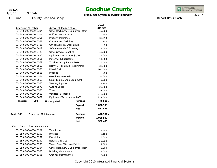1/8/15

9:50AM

# **Goodhue County**

### **USER-SELECTED BUDGET REPORT**

INTEGRATED<br>FINANCIAL SYSTEMS

Report Basis: Cash

Page 47

| 03 | Fund | County Road and Bridge |  |
|----|------|------------------------|--|
|----|------|------------------------|--|

|                                      |                                  |            | 2015          |
|--------------------------------------|----------------------------------|------------|---------------|
| <b>Account Number</b>                | <b>Account Description</b>       |            | <b>Budget</b> |
| 03-340-000-0000-6304                 | Other Machinery & Equipment Mair |            | 15,000        |
| 03-340-000-0000-6307                 | <b>Uniform Maintenance</b>       |            | 400           |
| 03-340-000-0000-6351                 | Property Insurance               |            | 35,593        |
| 03-340-000-0000-6357                 | Conferences/Training             |            | 250           |
| 03-340-000-0000-6405                 | Office Supplies/Small Equip      |            | 50            |
| 03-340-000-0000-6417                 | Safety Materials & Training      |            | 1,000         |
| 03-340-000-0000-6420                 | <b>Other General Supplies</b>    |            | 10,000        |
| 03-340-000-0000-6480                 | Equipment/Furniture<\$5,000      |            | 3,000         |
| 03-340-000-0000-6561                 | Motor Oil & Lubricants           |            | 11,000        |
| 03-340-000-0000-6562                 | Truck & Pickup Repair Parts      |            | 36,000        |
| 03-340-000-0000-6563                 | Heavy & Misc Equip Repair Parts  |            | 30,000        |
| 03-340-000-0000-6565                 | Diesel Fuel                      |            | 200,000       |
| 03-340-000-0000-6566                 | Propane                          |            | 350           |
| 03-340-000-0000-6567                 | Gasoline (Unleaded)              |            | 35,000        |
| 03-340-000-0000-6569                 | Small Tools & Shop Equipment     |            | 3,000         |
| 03-340-000-0000-6570                 | <b>Welding Supplies</b>          |            | 1,200         |
| 03-340-000-0000-6572                 | <b>Cutting Edges</b>             |            | 25,000        |
| 03-340-000-0000-6575                 | <b>Tires</b>                     |            | 32,000        |
| 03-340-000-0000-6663                 | <b>Vehicles Purchased</b>        |            | 246,000       |
| 03-340-000-0000-6669                 | Equipment/Furniture>=5,000       |            | 227,000       |
| 000<br>Program                       | Undesignated                     | Revenue    | 476,500 -     |
|                                      |                                  | Expend.    | 1,058,993     |
|                                      |                                  | <b>Net</b> | 582,493       |
| Dept<br>340<br>Equipment Maintenance |                                  | Revenue    | 476,500 -     |
|                                      |                                  | Expend.    | 1,058,993     |
|                                      |                                  | <b>Net</b> | 582,493       |
| 350<br>Shop Maintenance<br>Dept      |                                  |            |               |
| 03-350-000-0000-6201                 | Telephone                        |            | 3,500         |
| 03-350-000-0000-6209                 | Internet                         |            | 2,160         |
| 03-350-000-0000-6251                 | Electricity                      |            | 25,000        |
| 03-350-000-0000-6252                 | Natural Gas & Lp                 |            | 30,000        |
| 03-350-000-0000-6253                 | Water/Sewer/Garbage Pick Up      |            | 7,000         |
| 03-350-000-0000-6304                 | Other Machinery & Equipment Mair |            | 9,000         |
| 03-350-000-0000-6305                 | <b>Building Maintenance</b>      |            | 21,000        |
| 03-350-000-0000-6306                 | Grounds Maintenance              |            | 7,000         |
|                                      |                                  |            |               |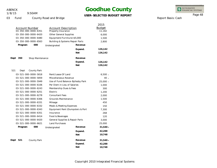9:50AM 1/8/15

# **Goodhue County**

### **USER-SELECTED BUDGET REPORT**

INTEGRATED<br>FINANCIAL SYSTEMS

Report Basis: Cash

Page 48

03 Fund County Road and Bridge

|                                                         |                                 |                                   | 2015          |
|---------------------------------------------------------|---------------------------------|-----------------------------------|---------------|
| <b>Account Number</b><br>$03 - 350 - 000 - 0000 - 6351$ | <b>Account Description</b>      |                                   | <b>Budget</b> |
|                                                         | Property Insurance              |                                   | 11,182        |
| 03-350-000-0000-6420                                    | <b>Other General Supplies</b>   |                                   | 6,000         |
| 03-350-000-0000-6480                                    | Equipment/Furniture<\$5,000     |                                   | 1,500         |
| 03-350-000-0000-6563                                    | Building & Systems Repair Parts |                                   | 2,800         |
| Program<br>000                                          | Undesignated                    | Revenue                           |               |
|                                                         |                                 | Expend.                           | 126,142       |
|                                                         |                                 | <b>Net</b>                        | 126,142       |
| Dept<br>350<br>Shop Maintenance                         |                                 | Revenue                           |               |
|                                                         |                                 | Expend.                           | 126,142       |
|                                                         |                                 | <b>Net</b>                        | 126,142       |
| 521<br>Dept<br>County Park                              |                                 |                                   |               |
| 03-521-000-0000-5818                                    | Rent/Lease Of Land              |                                   | $6,500 -$     |
| 03-521-000-0000-5859                                    | Miscellaneous Revenue           |                                   | $40 -$        |
| 03-521-000-0000-5949                                    |                                 | Use of Fund Balance-Byllesby Park | 25,000 -      |
| 03-521-000-0000-6106                                    | Per Diem in Lieu of Salaries    |                                   | 1,000         |
| 03-521-000-0000-6243                                    | Membership Dues & Fees          |                                   | 300           |
| 03-521-000-0000-6251                                    | Electric                        |                                   | 1,200         |
| 03-521-000-0000-6278                                    | <b>Consultant Fees</b>          |                                   | 2,000         |
| 03-521-000-0000-6306                                    | <b>Grounds Maintenance</b>      |                                   | 1,500         |
| 03-521-000-0000-6331                                    | Mileage                         |                                   | 450           |
| 03-521-000-0000-6332                                    | Meals & Meeting Expenses        |                                   | 150           |
| 03-521-000-0000-6343                                    |                                 | Equipment Rent (Dumpsters & Port  | 7,300         |
| 03-521-000-0000-6351                                    | Insurance                       |                                   | 268           |
| 03-521-000-0000-6414                                    | Food & Beverages                |                                   | 120           |
| 03-521-000-0000-6420                                    | General Supplies & Repair Parts |                                   | 3,000         |
| 03-521-000-0000-6621                                    | <b>Land Purchases</b>           |                                   | 25,000        |
| Program<br>000                                          | Undesignated                    | Revenue                           | $31,540 -$    |
|                                                         |                                 | Expend.                           | 42,288        |
|                                                         |                                 | <b>Net</b>                        | 10,748        |
| Dept<br>521<br>County Park                              |                                 | Revenue                           | $31,540 -$    |
|                                                         |                                 | Expend.                           | 42,288        |
|                                                         |                                 | <b>Net</b>                        | 10,748        |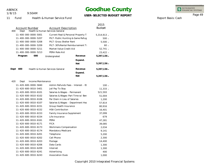1/8/15

9:50AM

# **Goodhue County**

**USER-SELECTED BUDGET REPORT**

INTEGRATED<br>FINANCIAL SYSTEMS

Report Basis: Cash

Page 49

11 Fund Health & Human Service Fund

|                                   |                                                               |            | 2015          |
|-----------------------------------|---------------------------------------------------------------|------------|---------------|
| <b>Account Number</b><br>400      | <b>Account Description</b><br>Health & Human Services General |            | <b>Budget</b> |
| Dept<br>11-400-000-0000-5001      | Current Real & Personal Property T.                           |            | 5,314,913 -   |
| 11-400-000-0000-5207              | PILT-Public Hunting & Game Refug                              |            | $500 -$       |
| 11-400-000-0000-5208              | <b>PILT-Gross Shelter Rent</b>                                |            | $5,500 -$     |
| 11-400-000-0000-5209              | PILT-30% Rental Reimbursement Ta                              |            | 60 –          |
| 11-400-000-0000-5211              | Market Value Credit Aid                                       |            | $52,741 -$    |
| 11-400-000-0000-5213              | PERA Rate Aid                                                 |            | $23,422 -$    |
| Program<br>000                    | Undesignated                                                  | Revenue    | 5,397,136 -   |
|                                   |                                                               | Expend.    |               |
|                                   |                                                               | <b>Net</b> | $5,397,136 -$ |
|                                   |                                                               |            |               |
| Dept<br>400                       | Health & Human Services General                               | Revenue    | $5,397,136 -$ |
|                                   |                                                               | Expend.    |               |
|                                   |                                                               | <b>Net</b> | $5,397,136 -$ |
| 420<br>Income Maintenance<br>Dept |                                                               |            |               |
| 11-420-600-0000-5840              | Admin Refunds Fees - Interest - Et                            |            | $100 -$       |
| 11-420-600-0010-5401              | Jail Pay To Stay                                              |            | $11,333 -$    |
| 11-420-600-0010-6101              | Salaries & Wages - Permanent                                  |            | 521,593       |
| 11-420-600-0010-6102              | Salaries & Wages-Part Time w/ Ben                             |            | 51,004        |
| 11-420-600-0010-6106              | Per Diem in Lieu of Salaries                                  |            | 1,200         |
| 11-420-600-0010-6107              | Salaries & Wages - Department Hea                             |            | 57,814        |
| 11-420-600-0010-6151              | Group Health Insurance                                        |            | 80,916        |
| 11-420-600-0010-6152              | <b>HSA Contribution</b>                                       |            | 16,401        |
| 11-420-600-0010-6153              | Family Insurance Supplement                                   |            | 37,099        |
| 11-420-600-0010-6154              | Life Insurance                                                |            | 679           |
| 11-420-600-0010-6161              | PERA                                                          |            | 47,281        |
| 11-420-600-0010-6171              | <b>FICA</b>                                                   |            | 39,085        |
| 11-420-600-0010-6173              | Workmans Compensation                                         |            | 2,034         |
| 11-420-600-0010-6174              | Mandatory Medicare                                            |            | 9,141         |
| 11-420-600-0010-6201              | Telephone                                                     |            | 5,200         |
| 11-420-600-0010-6202              | Cell Phone                                                    |            | 2,300         |
| 11-420-600-0010-6203              | Postage                                                       |            | 14,400        |
| 11-420-600-0010-6206              | Data Cards                                                    |            | 1,300         |
| 11-420-600-0010-6209              | Internet                                                      |            | 1,300         |
| 11-420-600-0010-6241              | Advertising                                                   |            | 400           |
| 11-420-600-0010-6243              | <b>Association Dues</b>                                       |            | 1,000         |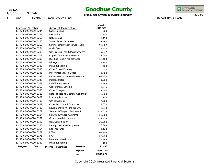1/8/15

11 Fund

9:50AM

Health & Human Service Fund

## **Goodhue County**

**USER-SELECTED BUDGET REPORT**

2015

INTEGRATED<br>FINANCIAL SYSTEMS

Page 50

Report Basis: Cash

| Account Number<br>11-420-600-0010-6244 | <b>Account Description</b><br>Subscriptions |         |
|----------------------------------------|---------------------------------------------|---------|
| 11-420-600-0010-6251                   | Electricity                                 |         |
| 11-420-600-0010-6252                   | Natural Gas                                 |         |
| 11-420-600-0010-6253                   | Water/Sewer Dumpster                        |         |
| 11-420-600-0010-6268                   | Software Maintenance Contracts              |         |
| 11-420-600-0010-6274                   | <b>Audit Fees</b>                           |         |
| 11-420-600-0010-6283                   | Oth Profess, Tech & Merit Services          |         |
| 11-420-600-0010-6302                   | Copies/Copier Maintenance                   |         |
| 11-420-600-0010-6305                   | <b>Building Repair/Maintenance</b>          |         |
| 11-420-600-0010-6331                   | Mileage                                     |         |
| 11-420-600-0010-6332                   | Meals & Lodging                             |         |
| 11-420-600-0010-6333                   | Other Travel Expense                        |         |
| 11-420-600-0010-6335                   | Motor Pool Vehicle Usage                    |         |
| 11-420-600-0010-6342                   | Rent/Lease Income Maintenance               |         |
| 11-420-600-0010-6345                   | Postage Meter                               |         |
| 11-420-600-0010-6351                   | Liability Insurance                         |         |
| 11-420-600-0010-6357                   | Conferences/Schools                         |         |
| 11-420-600-0010-6358                   | Other Charges                               |         |
| 11-420-600-0010-6382                   | Data Processing Charges Goodhue             |         |
| 11-420-600-0010-6401                   | <b>Printing Services</b>                    |         |
| 11-420-600-0010-6405                   | Office Supplies                             |         |
| 11-420-600-0010-6432                   | Other Furniture & Equipment                 |         |
| 11-420-600-0010-6480                   | Equipment/Furniture<\$5,000                 |         |
| 11-420-600-0020-6101                   | Salaries & Wages - Permanent                |         |
| 11-420-600-0020-6104                   | Salaries & Wages-Overtime                   |         |
| 11-420-600-0020-6151                   | Group Health Insurance                      |         |
| 11-420-600-0020-6152                   | <b>HSA Contribution</b>                     |         |
| 11-420-600-0020-6153                   | Family Insurance Supplement                 |         |
| 11-420-600-0020-6154                   | Life Insurance                              |         |
| 11-420-600-0020-6161                   | PERA                                        |         |
| 11-420-600-0020-6171                   | <b>FICA</b>                                 |         |
| 11-420-600-0020-6174                   | Mandatory Medicare                          |         |
| 11-420-600-0020-6332                   | Meals & Lodging                             |         |
| 600<br>Program                         | Income Maintenance                          | Revenue |
|                                        |                                             |         |

| <b>Account Description</b>         |            | <b>Budget</b> |
|------------------------------------|------------|---------------|
| Subscriptions                      |            | 200           |
| Electricity                        |            | 10,500        |
| <b>Natural Gas</b>                 |            | 3,150         |
| Water/Sewer Dumpster               |            | 2,590         |
| Software Maintenance Contracts     |            | 90,862        |
| <b>Audit Fees</b>                  |            | 4,450         |
| Oth Profess, Tech & Merit Services |            | 19,817        |
| Copies/Copier Maintenance          |            | 7,000         |
| Building Repair/Maintenance        |            | 36,403        |
| Mileage                            |            | 1,200         |
| Meals & Lodging                    |            | 400           |
| Other Travel Expense               |            | 50            |
| Motor Pool Vehicle Usage           |            | 1,600         |
| Rent/Lease Income Maintenance      |            | 64,400        |
| Postage Meter                      |            | 1,200         |
| Liability Insurance                |            | 9,446         |
| Conferences/Schools                |            | 3,376         |
| Other Charges                      |            | 2,000         |
| Data Processing Charges Goodhue    |            | 16,600        |
| <b>Printing Services</b>           |            | 200           |
| Office Supplies                    |            | 7,600         |
| Other Furniture & Equipment        |            | 1,050         |
| Equipment/Furniture<\$5,000        |            | 2,330         |
| Salaries & Wages - Permanent       |            | 924,076       |
| Salaries & Wages-Overtime          |            | 50,000        |
| Group Health Insurance             |            | 132,473       |
| <b>HSA Contribution</b>            |            | 26,250        |
| Family Insurance Supplement        |            | 76,069        |
| Life Insurance                     |            | 1,123         |
| PERA                               |            | 69,306        |
| <b>FICA</b>                        |            | 57,293        |
| Mandatory Medicare                 |            | 13,399        |
| Meals & Lodging                    |            | 150           |
| าcome Maintenance                  | Revenue    | 11,433        |
|                                    | Expend.    | 2,526,710     |
|                                    | <b>Net</b> | 2,515,277     |

**-**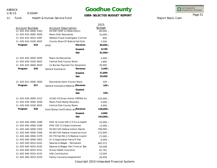1/8/15

9:50AM

## **Goodhue County**

**USER-SELECTED BUDGET REPORT**

INTEGRATED<br>FINANCIAL SYSTEMS

Report Basis: Cash

Page 51

11 Fund Health & Human Service Fund

| <b>Account Number</b><br>11-420-610-0000-5353 |     | <b>Account Description</b><br>93.558 TANF Co Wide Admin             |                                                                      | 2015<br><b>Budget</b><br>80,000 - |
|-----------------------------------------------|-----|---------------------------------------------------------------------|----------------------------------------------------------------------|-----------------------------------|
| 11-420-610-0000-5830                          |     | Maxis Afdc Recoveries                                               |                                                                      | $10,000 -$                        |
| 11-420-610-0010-6387                          |     |                                                                     | Welfare Fraud Investigator Contrac                                   | 600                               |
| 11-420-610-0100-6025                          |     |                                                                     | County Share Of State & Fed Disb                                     | 7,500                             |
| Program                                       | 610 | <b>AFDC</b>                                                         | Revenue                                                              | $90,000 -$                        |
|                                               |     |                                                                     |                                                                      | 8,100                             |
|                                               |     |                                                                     | Expend.                                                              | 81,900 -                          |
|                                               |     |                                                                     | <b>Net</b>                                                           |                                   |
| 11-420-620-0000-5830                          |     | Maxis Ga Recoveries                                                 |                                                                      | $2,400 -$                         |
| 11-420-620-0100-6025                          |     | Central Disb County Share                                           |                                                                      | 1,800                             |
| 11-420-620-0600-6020                          |     |                                                                     | Co Burials Payment For Recipients                                    | 30,000                            |
| Program                                       | 620 | <b>General Assistance</b>                                           | Revenue                                                              | $2,400 -$                         |
|                                               |     |                                                                     | Expend.                                                              | 31,800                            |
|                                               |     |                                                                     | <b>Net</b>                                                           | 29,400                            |
|                                               |     |                                                                     |                                                                      |                                   |
| 11-420-621-0000-5830                          | 621 | Recoveries Gamc County Share<br>General Assistance Medical (Revenue |                                                                      | $100 -$                           |
| Program                                       |     |                                                                     |                                                                      | $100 -$                           |
|                                               |     |                                                                     | Expend.                                                              |                                   |
|                                               |     |                                                                     | <b>Net</b>                                                           | $100 -$                           |
| 11-420-630-0000-5312                          |     |                                                                     | 10.561 FS Direct Admin FSPFNS Aic                                    | 243,000 -                         |
| 11-420-630-0000-5830                          |     |                                                                     | Maxis Food Stamp Recovery                                            |                                   |
| 11-420-630-0100-6025                          |     | Central Disb County Share                                           |                                                                      | 4,000                             |
| Program                                       | 630 | Food Stamp Certification and Revenue                                |                                                                      | 248,000 -                         |
|                                               |     |                                                                     | Expend.                                                              | 4,000                             |
|                                               |     |                                                                     | <b>Net</b>                                                           | 244,000 -                         |
|                                               |     |                                                                     |                                                                      | $35,000 -$                        |
| 11-420-640-0000-5289                          |     |                                                                     | DHS-St Incent MA C/S Ins & Health                                    |                                   |
| 11-420-640-0000-5290                          |     |                                                                     | DHS-IVD C/S State Incentives                                         |                                   |
| 11-420-640-0000-5355                          |     |                                                                     | 93.563 IVD Federal Admin Reimb<br>93.563 IVD Federal Incentive Incom |                                   |
| 11-420-640-0000-5356                          |     |                                                                     | 93.778 Fed MA C/S Medical Incentiv                                   | 115,000 -                         |
| 11-420-640-0000-5379<br>11-420-640-0000-5401  |     |                                                                     |                                                                      | $21,000 -$                        |
| 11-420-640-0010-6101                          |     | IV-D Application Fee & Pi Fee<br>Salaries & Wages - Permanent       |                                                                      | $6,500 -$                         |
| 11-420-640-0010-6102                          |     |                                                                     |                                                                      | 482,513                           |
| 11-420-640-0010-6151                          |     |                                                                     | Salaries & Wages-Part Time w/ Ben                                    | 50,408                            |
| 11-420-640-0010-6152                          |     | Group Health Insurance<br><b>HSA Contribution</b>                   |                                                                      | 81,761<br>13,594                  |
| 11-420-640-0010-6153                          |     | Family Insurance Supplement                                         |                                                                      | 26,459                            |
|                                               |     |                                                                     |                                                                      |                                   |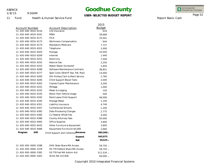1/8/15

9:50AM

## **Goodhue County**

### **USER-SELECTED BUDGET REPORT**

INTEGRATED<br>FINANCIAL SYSTEMS

Report Basis: Cash

Page 52

11 Fund

Health & Human Service Fund

|                                    | 2015                                 |
|------------------------------------|--------------------------------------|
| Account Description                | <b>Budget</b>                        |
| Life Insurance                     | 624                                  |
| PERA                               | 39,969                               |
| <b>FICA</b>                        | 33,041                               |
| Workmans Compensation              | 644                                  |
| Mandatory Medicare                 | 7,727                                |
| Telephone                          | 2,000                                |
| Postage                            | 10,050                               |
| Internet                           | 1,440                                |
| Electricity                        | 7,500                                |
| Natural Gas                        | 2,250                                |
| Water/Sewer Dumpster               | 1,850                                |
| Software Maintenance Contracts     | 38,851                               |
| Spec Costs (Sheriff Sop, Pat, Rop) | 14,000                               |
| Oth Profess, Tech & Merit Service  | 2,760                                |
| Child Support Blood Tests          | 2,000                                |
| Copies/Copier Maintenance          | 5,200                                |
| Mileage                            | 1,000                                |
| Meals & Lodging                    | 150                                  |
| Motor Pool Vehicle Usage           | 500                                  |
| Rent/Lease Child Support           | 46,000                               |
| Postage Meter                      | 1,100                                |
| Liability Insurance                | 4,749                                |
| Conferences/Schools                | 1,200                                |
| Data Processing Charges            | 2,775                                |
| Cs Federal Offset Fee              | 4,000                                |
| County Attorney Fees               | 50,000                               |
| Office Supplies                    | 3,600                                |
| Other Furniture & Equipment        | 3,600                                |
| Equipment/Furniture<\$5,000        | 2,660                                |
|                                    | 985,500 -                            |
| Expend.                            | 945,975                              |
| <b>Net</b>                         | $39,525 -$                           |
| DHS-State Share MA Access          | 58,750 -                             |
| 93.778 Federal Share MA Access     | 58,750 -                             |
| 93.778 Fed MA Admin Aid            | 511,534 -                            |
| <b>SCHA MA ACCESS</b>              | 60,000 -                             |
|                                    | Child Support and Collection Revenue |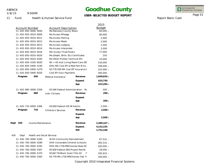11 Fund

1/8/15

9:50AM

Health & Human Service Fund

# **Goodhue County**

**USER-SELECTED BUDGET REPORT**

INTEGRATED<br>FINANCIAL SYSTEMS

Page 53 Report Basis: Cash

|                                               |                      |                                                        |                                     |            | 2015<br><b>Budget</b> |
|-----------------------------------------------|----------------------|--------------------------------------------------------|-------------------------------------|------------|-----------------------|
| <b>Account Number</b><br>11-420-650-0000-5830 |                      | <b>Account Description</b><br>Ma Recovery County Share |                                     | 60,000 -   |                       |
|                                               | 11-420-650-0010-6009 |                                                        | Ma Access Mileage                   |            | 80,000                |
|                                               | 11-420-650-0010-6011 |                                                        | Ma Access Parking                   |            | 2,000                 |
|                                               | 11-420-650-0010-6012 |                                                        | Ma Access Meals                     |            | 2,000                 |
|                                               | 11-420-650-0010-6013 |                                                        | Ma Access Lodging                   |            | 2,500                 |
|                                               | 11-420-650-0010-6014 |                                                        | Ma Access Interpreter               |            | 2,000                 |
|                                               | 11-420-650-0010-6016 |                                                        | <b>MA Access Three Rivers</b>       |            | 77,000                |
|                                               | 11-420-650-0010-6020 |                                                        | Ma (Death, Birth, Etc) Certificates |            | 250                   |
|                                               | 11-420-650-0010-6283 |                                                        | Ma Other Profess Technical Ehr      |            | 10,000                |
|                                               | 11-420-650-0100-6020 |                                                        | Nh < 65 Asst Living/Resid Care (9C  |            | 150,000               |
|                                               | 11-420-650-0400-5240 |                                                        | DHS-MA Cost Eff & Med Part B Ins    |            | 198,000 -             |
|                                               | 11-420-650-0400-5379 |                                                        | 93.778 IGR MA Cost Eff Insurance F  |            | 102,000 -             |
|                                               | 11-420-650-0400-6020 |                                                        | Cost Eff Insur Payments             |            | 300,000               |
|                                               | Program              | 650                                                    | <b>Medical Assistance</b>           | Revenue    | 1,049,034 -           |
|                                               |                      |                                                        |                                     | Expend.    | 625,750               |
|                                               |                      |                                                        |                                     | <b>Net</b> | 423,284 -             |
|                                               | 11-420-680-0000-5358 |                                                        | 93.566 Federal Administration - Re  |            | $200 -$               |
|                                               | Program              | 680                                                    | Indo-Chinese                        | Revenue    | $200 -$               |
|                                               |                      |                                                        |                                     | Expend.    |                       |
|                                               |                      |                                                        |                                     | <b>Net</b> | $200 -$               |
|                                               | 11-420-710-0000-5366 |                                                        | 93.658 Federal IVE IM Admin         |            | $2,500 -$             |
|                                               | Program              | 710                                                    | <b>Children's Services</b>          | Revenue    | $2,500 -$             |
|                                               |                      |                                                        |                                     | Expend.    |                       |
|                                               |                      |                                                        |                                     | <b>Net</b> | $2,500 -$             |
| Dept                                          | 420                  | Income Maintenance                                     |                                     | Revenue    | 2,389,167 -           |
|                                               |                      |                                                        |                                     | Expend.    | 4,142,335             |
|                                               |                      |                                                        |                                     | <b>Net</b> | 1,753,168             |
| 430                                           | Dept                 |                                                        | <b>Health and Social Services</b>   |            |                       |
|                                               | 11-430-700-0000-5200 |                                                        | <b>SCHA Community Reinvestment</b>  |            | $87,532 -$            |
|                                               | 11-430-700-0000-5289 |                                                        | DHS-Vulnerable Children & Adults    |            | $365,510 -$           |
|                                               | 11-430-700-0000-5292 |                                                        | DHS-MA LTSS MNChoices/State S5      |            | 160,000 -             |
|                                               | 11-430-700-0000-5367 |                                                        | 93.658 Federal SSIS Project Reimb   |            | 28,000 -              |
|                                               | 11-430-700-0000-5370 |                                                        | 93.667 SS Block Grant Title XX      | F          | 195,933 -             |
|                                               | 11-430-700-0000-5383 |                                                        | 93.778 MA LTSS MNChoices-Fed F      |            | 160,000 -             |
|                                               |                      |                                                        |                                     |            |                       |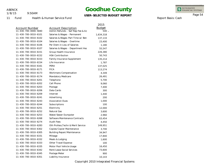1/8/15

9:50AM

## **Goodhue County**

**USER-SELECTED BUDGET REPORT**

2015 Budget INTEGRATED<br>FINANCIAL SYSTEMS

Report Basis: Cash

Page 54

11 Fund Health & Human Service Fund

| Account Number<br>11-430-700-0000-5840 | Account Description<br>Admin Refunds - Swf Rep F |
|----------------------------------------|--------------------------------------------------|
| 11-430-700-0010-6101                   | Salaries & Wages - Permane                       |
| 11-430-700-0010-6102                   | Salaries & Wages-Part Time                       |
| 11-430-700-0010-6104                   | Salaries & Wages - Overtime                      |
| 11-430-700-0010-6106                   | Per Diem in Lieu of Salaries                     |
| 11-430-700-0010-6107                   | Salaries & Wages - Departm                       |
| 11-430-700-0010-6151                   | Group Health Insurance                           |
| 11-430-700-0010-6152                   | <b>HSA Contribution</b>                          |
| 11-430-700-0010-6153                   | Family Insurance Supplemer                       |

| 11-430-700-0000-5840 | Admin Refunds - Swf Rep Fee & Ac   | $500 -$   |
|----------------------|------------------------------------|-----------|
| 11-430-700-0010-6101 | Salaries & Wages - Permanent       | 1,634,318 |
| 11-430-700-0010-6102 | Salaries & Wages-Part Time w/ Ben  | 137,133   |
| 11-430-700-0010-6104 | Salaries & Wages - Overtime        | 23,400    |
| 11-430-700-0010-6106 | Per Diem in Lieu of Salaries       | 1,180     |
| 11-430-700-0010-6107 | Salaries & Wages - Department Hea  | 55,547    |
| 11-430-700-0010-6151 | Group Health Insurance             | 226,380   |
| 11-430-700-0010-6152 | <b>HSA Contribution</b>            | 50,743    |
| 11-430-700-0010-6153 | Family Insurance Supplement        | 135,214   |
| 11-430-700-0010-6154 | Life Insurance                     | 1,787     |
| 11-430-700-0010-6161 | PERA                               | 137,025   |
| 11-430-700-0010-6171 | <b>FICA</b>                        | 113,274   |
| 11-430-700-0010-6173 | Workmans Compensation              | 4,349     |
| 11-430-700-0010-6174 | Mandatory Medicare                 | 26,491    |
| 11-430-700-0010-6201 | Telephone                          | 5,700     |
| 11-430-700-0010-6202 | Cell Phone                         | 9,060     |
| 11-430-700-0010-6203 | Postage                            | 7,400     |
| 11-430-700-0010-6206 | Data Cards                         | 300       |
| 11-430-700-0010-6209 | Internet                           | 1,440     |
| 11-430-700-0010-6241 | Advertising                        | 200       |
| 11-430-700-0010-6243 | <b>Association Dues</b>            | 1,000     |
| 11-430-700-0010-6244 | Subscriptions                      | 100       |
| 11-430-700-0010-6251 | Electricity                        | 12,000    |
| 11-430-700-0010-6252 | Natural Gas                        | 3,600     |
| 11-430-700-0010-6253 | Water/Sewer Dumpster               | 2,960     |
| 11-430-700-0010-6268 | Software Maintenance Contracts     | 63,454    |
| 11-430-700-0010-6274 | <b>Audit Fees</b>                  | 4,450     |
| 11-430-700-0010-6283 | Oth Profess, Techn & Merit Service | 149,951   |
| 11-430-700-0010-6302 | Copies/Copier Maintenance          | 3,700     |
| 11-430-700-0010-6305 | Building Repair/Maintenance        | 34,947    |
| 11-430-700-0010-6331 | Mileage                            | 17,840    |
| 11-430-700-0010-6332 | Meals & Lodging                    | 1,600     |
| 11-430-700-0010-6333 | Other Travel Expense               | 100       |
| 11-430-700-0010-6335 | Motor Pool Vehicle Usage           | 16,450    |
| 11-430-700-0010-6342 | Rent/Lease Social Services         | 73,600    |
| 11-430-700-0010-6345 | Postage Meter                      | 900       |
| 11-430-700-0010-6351 | Liability Insurance                | 10,143    |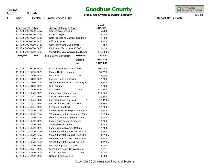1/8/15

9:50AM

## **Goodhue County**

**USER-SELECTED BUDGET REPORT**

INTEGRATED<br>FINANCIAL SYSTEMS

Report Basis: Cash

Page 55

11 Fund Health & Human Service Fund

|                       |                                     |  |                | 2015          |
|-----------------------|-------------------------------------|--|----------------|---------------|
| <b>Account Number</b> | <b>Account Description</b>          |  |                | <b>Budget</b> |
| 11-430-700-0010-6357  | Conferences/Schools                 |  | 3,500          |               |
| 11-430-700-0010-6358  | Other Charges                       |  |                | 2,000         |
| 11-430-700-0010-6382  | Data Processing Charges Goodhue     |  |                | 10,600        |
| 11-430-700-0010-6405  | Office Supplies                     |  |                | 7,500         |
| 11-430-700-0010-6432  | Other Furniture & Equipment         |  |                | 467           |
| 11-430-700-0010-6480  | Equipment/Furniture<\$5,000         |  |                | 5,513         |
| 11-430-700-3810-5380  | 93.778 MA Non-Waivered SSTS Adr     |  |                | 176,000 -     |
| 700<br>Program        | Social Services Program             |  | Revenue        | 1,173,475 -   |
|                       |                                     |  | Expend.        | 2,997,316     |
|                       |                                     |  | <b>Net</b>     | 1,823,841     |
| 11-430-710-0000-5401  | Out-Of-Home Placement Fees          |  |                | 100,000 -     |
| 11-430-710-3110-6020  | Mental Health Screenings            |  |                | 31,630        |
| 11-430-710-3410-5401  | <b>Ehm Fees</b>                     |  | M1             | $7,000 -$     |
| 11-430-710-3410-6020  | Electric Home Monitoring            |  |                | 12,000        |
| 11-430-710-3460-5372  | 93.674 Federal Grants - Self Regula |  |                | $5,800 -$     |
| 11-430-710-3460-6020  | Self-Regular                        |  |                | 5,800         |
| 11-430-710-3620-5832  | <b>Fcss Gced</b>                    |  | M <sub>3</sub> | 119,140 -     |
| 11-430-710-3620-6020  | <b>Family Based Counseling</b>      |  |                | 171,526       |
| 11-430-710-3621-6021  | SS Sex Offender Therapy             |  |                | 22,300        |
| 11-430-710-3623-5832  | Early Childhood Sw Gced             |  | Ν              | 26,190 -      |
| 11-430-710-3623-6020  | Early Childhood Social Worker       |  |                | 45,750        |
| 11-430-710-3624-6020  | Fernbrook Contract                  |  |                | 20,000        |
| 11-430-710-3640-5289  | DHS-Alternative Response State 27   |  |                | 4,609 -       |
| 11-430-710-3640-5352  | 93.556 Alternative Response IVB2 4  |  |                | $7,510 -$     |
| 11-430-710-3640-5364  | 93.645 Alternative Response IVB1 2  |  |                | $4,950 -$     |
| 11-430-710-3640-6020  | <b>Family Assessment Response</b>   |  |                | 17,069        |
| 11-430-710-3650-6020  | <b>Supervised Visitation</b>        |  |                | 3,200         |
| 11-430-710-3660-6020  | Family Group Decision Making        |  |                | 12,500        |
| 11-430-710-3670-5289  | DHS-Parental Support Outreach St    |  |                | $4,250 -$     |
| 11-430-710-3670-5352  | 93.556 Parental Support IVB2 F08    |  |                | $4,250 -$     |
| 11-430-710-3670-5361  | 93.590 Children's Trust Funds F05   |  |                | $4,250 -$     |
| 11-430-710-3670-5364  | 93.645 Parental Support IVB1 F08    |  |                | $4,250 -$     |
| 11-430-710-3670-6020  | Parental Support Outreach           |  |                | 17,000        |
| 11-430-710-3671-6020  | SCHA Community Reinvestment         |  |                | 5,071         |
| 11-430-710-3710-5401  | <b>Crisis Care Fees</b>             |  | M1             | $2,000 -$     |
| 11-430-710-3710-6020  | Regular Crisis Care-Ss              |  |                | 4,500         |
|                       |                                     |  |                |               |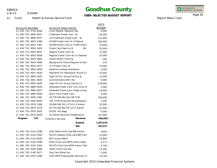1/8/15

11 Fund

9:50AM

Health & Human Service Fund

11-430-720-3370-5289

### **Goodhue County**

**USER-SELECTED BUDGET REPORT**

INTEGRATED<br>FINANCIAL SYSTEMS

Page 56

Report Basis: Cash

|                       |                                       |                                   | 2015          |
|-----------------------|---------------------------------------|-----------------------------------|---------------|
| <b>Account Number</b> | <b>Account Description</b>            |                                   | <b>Budget</b> |
| 11-430-710-3710-6056  | Crisis Shelter-Retainer Fee           |                                   | 8,000         |
| 11-430-710-3800-6057  | Treatment Foster Care -Ss             |                                   | 56,300        |
| 11-430-710-3800-6077  | Ive Treatment Foster Care - Ss        |                                   | 115,000       |
| 11-430-710-3810-5366  | 93.658 Foster Care IV-E Federal       |                                   | $100,000 -$   |
| 11-430-710-3810-5367  | 93.658 Foster Care IV-E SSTS Admi     |                                   | 70,000 -      |
| 11-430-710-3810-5402  | Foster Care Fees (Iv-E)               | M1                                | 25,000 -      |
| 11-430-710-3810-6057  | Regular Foster Care-Ss                |                                   | 75,000        |
| 11-430-710-3810-6058  | Regular Foster Care-Ss-Cs Expense     |                                   | 15,000        |
| 11-430-710-3810-6063  | Foster Parent Training                |                                   | 500           |
| 11-430-710-3810-6064  | Background Check/Daycare & Foste      |                                   | 370           |
| 11-430-710-3810-6077  | Iv-E Foster Care-Ss                   |                                   | 70,000        |
| 11-430-710-3820-6020  | Relative Custody Assistance           |                                   | 2,000         |
| 11-430-710-3831-6020  | Payments For Recipients-Rule 8 Cs     |                                   | 70,000        |
| 11-430-710-3850-6020  | Dept Of Corr Group Facility Ss        |                                   | 12,000        |
| 11-430-710-3851-6020  | Committments/Mcf-Rw                   |                                   | 5,000         |
| 11-430-710-3852-6020  | Dept Of Corr Group Facility Cs        |                                   | 279,000       |
| 11-430-710-3880-6020  | Extended Foster Care-Ind Living 18    |                                   | 3,000         |
| 11-430-710-3880-6077  |                                       | Extended Foster Care-Indep Living |               |
| 11-430-710-3890-6020  | Short Term Foster Care                |                                   | 4,000         |
| 11-430-710-3930-5381  | 93.778 IGR MA Fed CW/TCM              |                                   | 100,000 -     |
| 11-430-710-3930-6020  | <b>CW-TCM Fernbrook/Miscellaneous</b> |                                   | 1,500         |
| 11-430-710-3970-5366  | 93.658 IGR FSC LCTS IV-E Admin        |                                   | 55,000 -      |
| 11-430-710-3970-5379  | 93.778 IGR MA FSC LCTC Admin          |                                   | 52,000 -      |
| 11-430-710-3970-5832  | GCFSC No Seagr                        |                                   | $4,300 -$     |
| 11-430-710-3970-6020  | Gc Family Services Collaborative      |                                   | 107,000       |
| 710<br>Program        | <b>Children's Services</b>            | Revenue                           | 700,499 -     |
|                       |                                       | Expend.                           | 1,202,016     |
|                       |                                       | <b>Net</b>                        | 501,517       |
|                       |                                       |                                   |               |
| 11-430-720-3110-5290  | DHS-State Child Care BSF Admin        |                                   | $9,000 -$     |
| 11-430-720-3110-5362  | 93.575 Federal Child Care BSF Adm     |                                   | $13,000 -$    |
| 11-430-720-3110-6026  | <b>Bsf County Match</b>               |                                   | 23,800        |
| 11-430-720-3120-5289  | DHS-Child Care MFIP Admin State       |                                   | $4,273 -$     |
| 11-430-720-3120-5362  | 93.575 Child Care MFIP Admin Fede     |                                   | $9,700 -$     |
| 11-430-720-3140-6069  | Other Child Care Fee                  |                                   | 12,000        |
| 11-430-720-3140-6077  | Day Care Other/Ive                    |                                   | 5,000         |

DHS-MFIP Employment Services TA

12,000 5,000 19,706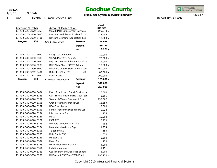1/8/15

9:50AM

## **Goodhue County**

**USER-SELECTED BUDGET REPORT**

INTEGRATED<br>FINANCIAL SYSTEMS

Report Basis: Cash

Page 57

11 Fund Health & Human Service Fund

|                      |                                                         |                                      |               | 2015        |
|----------------------|---------------------------------------------------------|--------------------------------------|---------------|-------------|
| Account Number       |                                                         | <b>Account Description</b>           | <b>Budget</b> |             |
|                      | 11-430-720-3370-5353<br>93.558 MFIP Employment Services |                                      |               | 199,249 -   |
| 11-430-720-3370-6020 |                                                         | Pmts For Recipients-Stride/Mfip Er   |               | 218,955     |
| 11-430-720-3980-5401 |                                                         | Daycare Licensing Application Fee    |               | $10,000 -$  |
| Program              | 720                                                     | Child Care/Stride                    | Revenue       | 264,928 -   |
|                      |                                                         |                                      | Expend.       | 259,755     |
|                      |                                                         |                                      | <b>Net</b>    | $5,173 -$   |
| 11-430-730-3021-6020 |                                                         | Drug Tests-RS Eden                   |               | 10,000      |
| 11-430-730-3050-5380 |                                                         | 93.778 MA/SSTS Rule 25               | F             | 70,000 -    |
| 11-430-730-3050-6020 |                                                         | Payments For Recipients Rule 25 As   |               | 2,000       |
| 11-430-730-3590-5289 |                                                         | DHS-State Share CCDTF Admin          |               | 10,000 -    |
| 11-430-730-3590-6020 |                                                         | Purchase Of Serv State Of Mn Ccdtf   |               | 160,000     |
| 11-430-730-3712-5401 |                                                         | Detox Fees/Rule 25                   | M9            | 85,000 -    |
| 11-430-730-3712-6020 |                                                         | Detox Costs                          |               | 200,000     |
| Program              | 730                                                     | Chemical Dependency                  | Revenue       | $165,000 -$ |
|                      |                                                         |                                      | Expend.       | 372,000     |
|                      |                                                         |                                      | <b>Net</b>    | 207,000     |
| 11-430-740-0010-5404 |                                                         | Psych Evaulations Court Services M   |               | 10,500 -    |
| 11-430-740-0010-6283 |                                                         | Oth Profess, Techn Merit & Ebill Ser |               | 46,665      |
| 11-430-740-0020-6101 |                                                         | Salaries & Wages Permanent Csp       |               | 133,387     |
| 11-430-740-0020-6151 |                                                         | Group Health Insurance Csp           |               | 16,559      |
| 11-430-740-0020-6152 |                                                         | <b>HSA Contribution</b>              |               | 2,500       |
| 11-430-740-0020-6153 |                                                         | Family Insurance Supplement Csp      |               | 9,922       |
| 11-430-740-0020-6154 |                                                         | Life Insurance Csp                   |               | 125         |
| 11-430-740-0020-6161 |                                                         | PERA                                 |               | 10,004      |
| 11-430-740-0020-6171 |                                                         | <b>FICA CSP</b>                      |               | 8,270       |
| 11-430-740-0020-6173 |                                                         | Workers Compensation Csp             |               | 463         |
| 11-430-740-0020-6174 |                                                         | Mandatory Medicare Csp               |               | 1,934       |
| 11-430-740-0020-6201 |                                                         | Telephone CSP                        |               | 150         |
| 11-430-740-0020-6206 |                                                         | Data Cards CSP                       |               | 650         |
| 11-430-740-0020-6331 |                                                         | Mileage Csp                          |               | 2,500       |
| 11-430-740-0020-6332 |                                                         | Meals Csp                            |               | 120         |
| 11-430-740-0020-6335 |                                                         | Motor Pool Vehicle Usage             |               | 4,000       |
| 11-430-740-0020-6351 |                                                         | Liability Insurance                  |               | 1,471       |
| 11-430-740-0020-6363 |                                                         | Csp Program and Activities Expense   |               | 5,200       |
| 11-430-740-3030-5289 |                                                         | DHS-Adult CSP/Rule 78/IMD Alt        |               | 190,750 -   |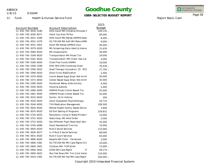1/8/15

9:50AM

## **Goodhue County**

**USER-SELECTED BUDGET REPORT**

INTEGRATED<br>FINANCIAL SYSTEMS

Report Basis: Cash

Page 58

11 Fund

Health & Human Service Fund

|                      |                                      | 2015          |
|----------------------|--------------------------------------|---------------|
| Account Number       | <b>Account Description</b>           | <b>Budget</b> |
| 11-430-740-3030-5290 | DHS-Adult MH Initiative Olmsted S    | 189,130 -     |
| 11-430-740-3030-6071 | Adult Csp Rule 78 Pos                | 80,000        |
| 11-430-740-3031-5289 | DHS-Adult MH Rehab ARMHS State       | $8,000 -$     |
| 11-430-740-3031-5379 | 93.778 IGR MA Adlt MH Reha ARMI      | $8,000 -$     |
| 11-430-740-3031-5401 | Adult Mh Rehab ARMHS Insur           | 44,000 -      |
| 11-430-740-3070-6020 | Mh Screenings Early Ident & Interve  | 31,630        |
| 11-430-740-3080-6020 | Mh Assessments                       | 56,000        |
| 11-430-740-3160-6020 | Transportation Mh Proact Txx         | 18,000        |
| 11-430-740-3161-6020 | Transportation-MH Client-Gas Car     | 4,000         |
| 11-430-740-3180-6020 | Client Flex Funds ADMHI              | 16,000        |
| 11-430-740-3300-5289 | DHS-MH/CHN Combined Grant            | 76,439 -      |
| 11-430-740-3300-5832 | Gced Therapy Counselors .25 M15      | 27,750 -      |
| 11-430-740-3360-6020 | <b>Adult Crisis Stabilization</b>    | 2,500         |
| 11-430-740-3370-6050 | Comm Based Supp Empl-Not Armh        | 30,000        |
| 11-430-740-3371-6050 | Center Based Supp Empl-Not Armh      | 35,000        |
| 11-430-740-3390-6020 | Fernbrook Behav Aide Activity        | 4,000         |
| 11-430-740-3430-6020 | Housing Subsidy                      | 5,000         |
| 11-430-740-3460-6050 | ARMHS Proact Comm Based Txx          | 45,000        |
| 11-430-740-3461-6050 | <b>ARMHS Proact Center Based Txx</b> | 55,000        |
| 11-430-740-3510-6020 | Zymhc-24 Hr Hotline                  | 200           |
| 11-430-740-3520-6020 | Adult Outpatient Psychotherapy       | 54,714        |
| 11-430-740-3540-6050 | <b>TXX Medication Management</b>     | 108,500       |
| 11-430-740-3620-6020 | Mental Health Family-Based Service   | 3,900         |
| 11-430-740-3670-6020 | Ed Dist Setting IV Programs          | 229,832       |
| 11-430-740-3720-6020 | Recipients-Living In State/Private F | 10,000        |
| 11-430-740-3721-6020 | State Hosp-Mh Hold Order             | 5,000         |
| 11-430-740-3722-6020 | Sex Offender Prgm State Oper Serv    | 35,000        |
| 11-430-740-3740-6096 | <b>Adult Residential Trm/Irts</b>    | 10,000        |
| 11-430-740-3830-6020 | <b>Rule 5 Social Services</b>        | 115,000       |
| 11-430-740-3830-6077 | Iv-E Rule 5 Social Services          | 68,000        |
| 11-430-740-3831-6020 | <b>Rule 5 Court Services</b>         | 65,000        |
| 11-430-740-3890-6020 | Respite MH Child - Fernbrook         | 2,000         |
| 11-430-740-3900-5381 | 93.778 IGR MA MH Case Mgmt/Chi       | 20,000 -      |
| 11-430-740-3900-5401 | Children MH-TCM SCHA                 | 13,000 -      |
| 11-430-740-3900-5832 | <b>GCED MH Case Mgmt</b><br>M        | 58,170 -      |
| 11-430-740-3900-6025 | Non Fed Share Mh-Tcm Cont Vend,      | 120,000       |
| 11-430-740-3910-5381 | 93.778 IGR MA Fed MH Case Mgmt       | 200,000 -     |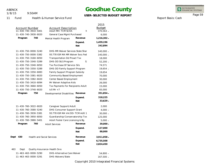1/8/15

9:50AM

## **Goodhue County**

**USER-SELECTED BUDGET REPORT**

INTEGRATED<br>FINANCIAL SYSTEMS

Report Basis: Cash

Page 59

11 Fund Health & Human Service Fund

|      | <b>Account Number</b> | <b>Account Description</b>               |             | 2015<br><b>Budget</b> |
|------|-----------------------|------------------------------------------|-------------|-----------------------|
|      | 11-430-740-3910-5401  | Adult MH-TCM SCHA                        | Ν           | 370,563 -             |
|      | 11-430-740-3930-6020  | General Case Mgmt Purchased              |             | 6,000                 |
|      | Program<br>740        | Mental Health Program                    | Revenue     | 1,216,302 -           |
|      |                       |                                          | Expend.     | 1,459,196             |
|      |                       |                                          | <b>Net</b>  | 242,894               |
|      | 11-430-750-0000-5240  | DHS-MR Waiver Services State Shar        |             | 140,000 -             |
|      | 11-430-750-0000-5382  | 93.778 IGR MA MR Waiver Svcs Fed         |             | 140,000 -             |
|      | 11-430-750-3160-6050  | <b>Transportation Dd Proact Txx</b>      |             | 18,000                |
|      | 11-430-750-3340-5289  | DHS-DD SILS Program                      | $S^{\cdot}$ | $52,200 -$            |
|      | 11-430-750-3340-6050  | Txx Purchase Of Service-Sils             |             | 74,571                |
|      | 11-430-750-3350-5289  | DHS-DD Family Support Program            |             | 19,654 -              |
|      | 11-430-750-3350-6083  | Family Support Program Subsidy           |             | 19,654                |
|      | 11-430-750-3381-6020  | Community Based Employment               |             | 70,000                |
|      | 11-430-750-3382-6020  | Center Based Employment                  |             | 30,000                |
|      | 11-430-750-3410-6094  | Mr Waiver Adaptive Aids                  |             | 26,000                |
|      | 11-430-750-3660-6050  | <b>Txx Payments For Recipients Adult</b> |             | 15,000                |
|      | 11-430-750-3740-6020  | $lcf/Mr + 7$                             |             | 65,000                |
|      | 750<br>Program        | Developmental Disabilities               | Revenue     | 351,854 -             |
|      |                       |                                          | Expend.     | 318,225               |
|      |                       |                                          | <b>Net</b>  | $33,629 -$            |
|      | 11-430-760-3022-6020  | Caregiver Support/Adult                  |             | 2,000                 |
|      | 11-430-760-3580-5240  | DHS-Consumer Support Grant               |             | $4,000 -$             |
|      | 11-430-760-3930-5381  | 93.778 IGR MA VA/DD-TCM Adlt 1           |             | $30,000 -$            |
|      | 11-430-760-3950-6050  | Guardianship/Conservatorship Txx         |             | 125,000               |
|      | 11-430-760-3980-5401  | Adult Foster Care Licensing & Bg         |             | $5,000 -$             |
|      | Program<br>760        | <b>Adult Services</b>                    | Revenue     | 39,000 -              |
|      |                       |                                          | Expend.     | 127,000               |
|      |                       |                                          | <b>Net</b>  | 88,000                |
| Dept | 430                   | <b>Health and Social Services</b>        | Revenue     | 3,911,058 -           |
|      |                       |                                          | Expend.     | 6,735,508             |
|      |                       |                                          | <b>Net</b>  | 2,824,450             |
| 463  | Dept                  | Quality Assurance-Health Srvs            |             |                       |
|      | 11-463-463-0000-5290  | DHS-Alternative Care Waiver              |             | 54,800 -              |
|      | 11-463-463-0000-5291  | DHS-Waivers/State                        |             | 167,500 -             |
|      |                       |                                          |             |                       |

#### Copyright 2010 Integrated Financial Systems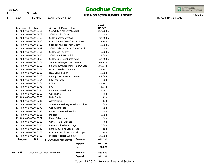1/8/15

11 Fund

9:50AM

## **Goodhue County**

**USER-SELECTED BUDGET REPORT**

- - -

2015

INTEGRATED<br>FINANCIAL SYSTEMS

Page 60

Report Basis: Cash

Health & Human Service Fund

| 11-463-463-0000-5381<br>93.778 IGR Waivers/Federal<br>167,500 -<br>11-463-463-0000-5402<br><b>SCHA Ability Care</b><br>80,000 -<br>11-463-463-0000-5403<br><b>SCHA Community Well</b><br>$35,000 -$<br>11-463-463-0000-5410<br><b>Consultation Fees/Contract Fees</b><br>$2,700 -$<br>11-463-463-0000-5428<br>Spenddown Fees From Client<br>$10,000 -$<br>11-463-463-0000-5429<br>SCHA/Elderly Waiver/Care Coordin<br>230,000 -<br>11-463-463-0000-5431<br><b>SCHA/Nrs Facility</b><br>40,000 -<br>SCHA/MA & PHN Clinic<br>11-463-463-0000-5435<br>SCHA/CCC Reimbursement<br>11-463-463-0000-5859<br>45,000 -<br>11-463-463-0000-6101<br>Salaries & Wages - Permanent<br>462,720<br>11-463-463-0000-6102<br>Salaries & Wages-Part Time w/ Ben<br>202,570<br>11-463-463-0000-6151<br>Group Health Insurance<br>71,701<br><b>HSA Contribution</b><br>11-463-463-0000-6152<br>16,200<br>11-463-463-0000-6153<br>Family Insurance Supplement<br>42,665<br>11-463-463-0000-6154<br>Life Insurance<br>680<br>11-463-463-0000-6161<br>PERA<br>49,897 |           |
|-----------------------------------------------------------------------------------------------------------------------------------------------------------------------------------------------------------------------------------------------------------------------------------------------------------------------------------------------------------------------------------------------------------------------------------------------------------------------------------------------------------------------------------------------------------------------------------------------------------------------------------------------------------------------------------------------------------------------------------------------------------------------------------------------------------------------------------------------------------------------------------------------------------------------------------------------------------------------------------------------------------------------------------------------|-----------|
|                                                                                                                                                                                                                                                                                                                                                                                                                                                                                                                                                                                                                                                                                                                                                                                                                                                                                                                                                                                                                                               |           |
|                                                                                                                                                                                                                                                                                                                                                                                                                                                                                                                                                                                                                                                                                                                                                                                                                                                                                                                                                                                                                                               |           |
|                                                                                                                                                                                                                                                                                                                                                                                                                                                                                                                                                                                                                                                                                                                                                                                                                                                                                                                                                                                                                                               |           |
|                                                                                                                                                                                                                                                                                                                                                                                                                                                                                                                                                                                                                                                                                                                                                                                                                                                                                                                                                                                                                                               |           |
|                                                                                                                                                                                                                                                                                                                                                                                                                                                                                                                                                                                                                                                                                                                                                                                                                                                                                                                                                                                                                                               |           |
|                                                                                                                                                                                                                                                                                                                                                                                                                                                                                                                                                                                                                                                                                                                                                                                                                                                                                                                                                                                                                                               |           |
|                                                                                                                                                                                                                                                                                                                                                                                                                                                                                                                                                                                                                                                                                                                                                                                                                                                                                                                                                                                                                                               |           |
|                                                                                                                                                                                                                                                                                                                                                                                                                                                                                                                                                                                                                                                                                                                                                                                                                                                                                                                                                                                                                                               | $1,000 -$ |
|                                                                                                                                                                                                                                                                                                                                                                                                                                                                                                                                                                                                                                                                                                                                                                                                                                                                                                                                                                                                                                               |           |
|                                                                                                                                                                                                                                                                                                                                                                                                                                                                                                                                                                                                                                                                                                                                                                                                                                                                                                                                                                                                                                               |           |
|                                                                                                                                                                                                                                                                                                                                                                                                                                                                                                                                                                                                                                                                                                                                                                                                                                                                                                                                                                                                                                               |           |
|                                                                                                                                                                                                                                                                                                                                                                                                                                                                                                                                                                                                                                                                                                                                                                                                                                                                                                                                                                                                                                               |           |
|                                                                                                                                                                                                                                                                                                                                                                                                                                                                                                                                                                                                                                                                                                                                                                                                                                                                                                                                                                                                                                               |           |
|                                                                                                                                                                                                                                                                                                                                                                                                                                                                                                                                                                                                                                                                                                                                                                                                                                                                                                                                                                                                                                               |           |
|                                                                                                                                                                                                                                                                                                                                                                                                                                                                                                                                                                                                                                                                                                                                                                                                                                                                                                                                                                                                                                               |           |
|                                                                                                                                                                                                                                                                                                                                                                                                                                                                                                                                                                                                                                                                                                                                                                                                                                                                                                                                                                                                                                               |           |
| <b>FICA</b><br>11-463-463-0000-6171<br>41,248                                                                                                                                                                                                                                                                                                                                                                                                                                                                                                                                                                                                                                                                                                                                                                                                                                                                                                                                                                                                 |           |
| 11-463-463-0000-6174<br>Mandatory Medicare<br>9,647                                                                                                                                                                                                                                                                                                                                                                                                                                                                                                                                                                                                                                                                                                                                                                                                                                                                                                                                                                                           |           |
| 11-463-463-0000-6202<br>Cell Phone<br>790                                                                                                                                                                                                                                                                                                                                                                                                                                                                                                                                                                                                                                                                                                                                                                                                                                                                                                                                                                                                     |           |
| Data Cards<br>11-463-463-0000-6206<br>950                                                                                                                                                                                                                                                                                                                                                                                                                                                                                                                                                                                                                                                                                                                                                                                                                                                                                                                                                                                                     |           |
| 11-463-463-0000-6241<br>Advertising<br>110                                                                                                                                                                                                                                                                                                                                                                                                                                                                                                                                                                                                                                                                                                                                                                                                                                                                                                                                                                                                    |           |
| 11-463-463-0000-6245<br>State Required Registration or Licer<br>600                                                                                                                                                                                                                                                                                                                                                                                                                                                                                                                                                                                                                                                                                                                                                                                                                                                                                                                                                                           |           |
| <b>Consultant Fees</b><br>11-463-463-0000-6278<br>200                                                                                                                                                                                                                                                                                                                                                                                                                                                                                                                                                                                                                                                                                                                                                                                                                                                                                                                                                                                         |           |
| Other Contracted Vendor<br>11-463-463-0000-6297<br>600                                                                                                                                                                                                                                                                                                                                                                                                                                                                                                                                                                                                                                                                                                                                                                                                                                                                                                                                                                                        |           |
| 11-463-463-0000-6331<br>Mileage<br>5,000                                                                                                                                                                                                                                                                                                                                                                                                                                                                                                                                                                                                                                                                                                                                                                                                                                                                                                                                                                                                      |           |
| 11-463-463-0000-6332<br>Meals & Lodging<br>600                                                                                                                                                                                                                                                                                                                                                                                                                                                                                                                                                                                                                                                                                                                                                                                                                                                                                                                                                                                                |           |
| 11-463-463-0000-6333<br>Other Travel Expense                                                                                                                                                                                                                                                                                                                                                                                                                                                                                                                                                                                                                                                                                                                                                                                                                                                                                                                                                                                                  | 50        |
| 11-463-463-0000-6335<br>Motor Pool Vehicle Usage<br>5,000                                                                                                                                                                                                                                                                                                                                                                                                                                                                                                                                                                                                                                                                                                                                                                                                                                                                                                                                                                                     |           |
| 11-463-463-0000-6342<br>Land & Building Lease/Rent<br>100                                                                                                                                                                                                                                                                                                                                                                                                                                                                                                                                                                                                                                                                                                                                                                                                                                                                                                                                                                                     |           |
| 11-463-463-0000-6357<br>Conferences/Schools/Workshops<br>800                                                                                                                                                                                                                                                                                                                                                                                                                                                                                                                                                                                                                                                                                                                                                                                                                                                                                                                                                                                  |           |
| 11-463-463-0000-6433<br><b>Billable Medical Supplies</b><br>20,000                                                                                                                                                                                                                                                                                                                                                                                                                                                                                                                                                                                                                                                                                                                                                                                                                                                                                                                                                                            |           |
| 463<br>Program<br>Revenue<br>833,500 -<br>LTCC/Waiver Management                                                                                                                                                                                                                                                                                                                                                                                                                                                                                                                                                                                                                                                                                                                                                                                                                                                                                                                                                                              |           |
| 932,128                                                                                                                                                                                                                                                                                                                                                                                                                                                                                                                                                                                                                                                                                                                                                                                                                                                                                                                                                                                                                                       |           |
| Expend.<br><b>Net</b><br>98,628                                                                                                                                                                                                                                                                                                                                                                                                                                                                                                                                                                                                                                                                                                                                                                                                                                                                                                                                                                                                               |           |
|                                                                                                                                                                                                                                                                                                                                                                                                                                                                                                                                                                                                                                                                                                                                                                                                                                                                                                                                                                                                                                               |           |
| Revenue<br>Dept<br>463<br>Quality Assurance-Health Srvs<br>833,500 -                                                                                                                                                                                                                                                                                                                                                                                                                                                                                                                                                                                                                                                                                                                                                                                                                                                                                                                                                                          |           |
| Expend.<br>932,128                                                                                                                                                                                                                                                                                                                                                                                                                                                                                                                                                                                                                                                                                                                                                                                                                                                                                                                                                                                                                            |           |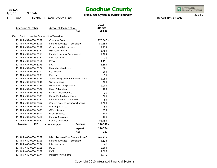11 Fund

1/8/15

9:50AM

Health & Human Service Fund

# **Goodhue County**

### **USER-SELECTED BUDGET REPORT**

INTEGRATED<br>FINANCIAL SYSTEMS

Page 61

Report Basis: Cash

|     | <b>Account Number</b> |                      | <b>Account Description</b>    | <b>Net</b>                      | 2015<br><b>Budget</b><br>98,628 |
|-----|-----------------------|----------------------|-------------------------------|---------------------------------|---------------------------------|
| 466 | Dept                  |                      | Healthy Communities/Behaviors |                                 |                                 |
|     |                       | 11-466-437-0000-5201 | Clearway Grant                |                                 | 176,947 -                       |
|     |                       | 11-466-437-0000-6101 | Salaries & Wages - Permanent  |                                 | 59,353                          |
|     |                       | 11-466-437-0000-6151 | Group Health Insurance        |                                 | 9,935                           |
|     |                       | 11-466-437-0000-6152 | <b>HSA Contribution</b>       |                                 | 1,750                           |
|     |                       | 11-466-437-0000-6153 | Family Insurance Supplement   |                                 | 1,984                           |
|     |                       | 11-466-437-0000-6154 | Life Insurance                |                                 | 75                              |
|     |                       | 11-466-437-0000-6161 | PERA                          |                                 | 4,451                           |
|     |                       | 11-466-437-0000-6171 | <b>FICA</b>                   |                                 | 3,680                           |
|     |                       | 11-466-437-0000-6174 | Mandatory Medicare            |                                 | 861                             |
|     |                       | 11-466-437-0000-6202 | Cell Phone                    |                                 | 360                             |
|     |                       | 11-466-437-0000-6203 | Postage                       |                                 | 50                              |
|     |                       | 11-466-437-0000-6241 |                               | Advertising/Communications Mark | 3,050                           |
|     |                       | 11-466-437-0000-6244 | Subscriptions                 |                                 | 200                             |
|     |                       | 11-466-437-0000-6331 | Mileage & Transportation      |                                 | 2,000                           |
|     |                       | 11-466-437-0000-6332 | Meals & Lodging               |                                 | 100                             |
|     |                       | 11-466-437-0000-6333 | Other Travel Expense          |                                 | 15                              |
|     |                       | 11-466-437-0000-6335 | Motor Pool Vehicle Usage      |                                 | 600                             |
|     |                       | 11-466-437-0000-6342 | Land & Building Lease/Rent    |                                 | 50                              |
|     |                       | 11-466-437-0000-6357 |                               | Conferences/Schools/Workshops   | 1,800                           |
|     |                       | 11-466-437-0000-6401 | <b>Printing Services</b>      |                                 | 50                              |
|     |                       | 11-466-437-0000-6405 | <b>Office Supplies</b>        |                                 | 250                             |
|     |                       | 11-466-437-0000-6407 | <b>Grant Supplies</b>         |                                 | 300                             |
|     |                       | 11-466-437-0000-6414 | Food & Beverages              |                                 | 400                             |
|     |                       | 11-466-437-0000-6850 | County Allocation             |                                 | 85,450                          |
|     | Program               | 437                  | Clearway Grant                | Revenue                         | 176,947 -                       |
|     |                       |                      |                               | Expend.                         | 176,764                         |
|     |                       |                      |                               | <b>Net</b>                      | $183 -$                         |
|     |                       | 11-466-440-0000-5281 |                               | MDH-Tobacco Free Communities G  | 161,778 -                       |
|     |                       | 11-466-440-0000-6101 | Salaries & Wages - Permanent  |                                 | 74,129                          |
|     |                       | 11-466-440-0000-6154 | Life Insurance                |                                 | 62                              |
|     |                       | 11-466-440-0000-6161 | PERA                          |                                 | 5,560                           |
|     |                       | 11-466-440-0000-6171 | <b>FICA</b>                   |                                 | 4,596                           |
|     |                       | 11-466-440-0000-6174 | Mandatory Medicare            |                                 | 1,075                           |
|     |                       |                      |                               |                                 |                                 |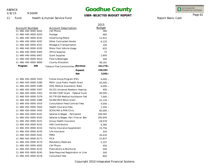1/8/15

11 Fund

9:50AM

## **Goodhue County**

### **USER-SELECTED BUDGET REPORT**

INTEGRATED<br>FINANCIAL SYSTEMS

Page 62

Report Basis: Cash

Health & Human Service Fund

|                      |                                        | 2015          |
|----------------------|----------------------------------------|---------------|
| Account Number       | <b>Account Description</b>             | <b>Budget</b> |
| 11-466-440-0000-6202 | Cell Phone                             | 360           |
| 11-466-440-0000-6203 | Postage                                | 485           |
| 11-466-440-0000-6241 | Advertising/Media                      | 12,915        |
| 11-466-440-0000-6297 | <b>Other Contracted Vendor</b>         | 6,120         |
| 11-466-440-0000-6331 | Mileage & Transportation               | 100           |
| 11-466-440-0000-6335 | Motor Pool Vehicle Usage               | 625           |
| 11-466-440-0000-6405 | Office Supplies                        | 75            |
| 11-466-440-0000-6407 | <b>Grant Supplies</b>                  | 1,600         |
| 11-466-440-0000-6414 | Food & Beverages                       | 300           |
| 11-466-440-0000-6850 | County Allocation                      | 48,181        |
| 440<br>Program       | Tobacco Free Communities (Revenue      | $161,778 -$   |
|                      | Expend.                                | 156,183       |
|                      | <b>Net</b>                             | $5,595 -$     |
| 11-466-450-0000-5203 | Follow Along Program (FSC)             | $6,000 -$     |
| 11-466-450-0000-5280 | <b>MDH-Local Public Health Grant</b>   | 45,000 -      |
| 11-466-450-0000-5289 | DHS-Medical Assistance-State           | $6,000 -$     |
| 11-466-450-0000-5347 | 93.251 Universal Newborn Hearing       | $400 -$       |
| 11-466-450-0000-5353 | 93.558 TANF Grant - Federal Funds      | 40,000 -      |
| 11-466-450-0000-5379 | 93.778 IGR Medical Assistance-Fed      | $7,000 -$     |
| 11-466-450-0000-5389 | 93.994 MCH Block Grant                 | 41,134 -      |
| 11-466-450-0000-5410 | <b>Consultation Fees/Contract Fees</b> | $4,500 -$     |
| 11-466-450-0000-5424 | <b>Health Insurance Fees</b>           | $1,200 -$     |
| 11-466-450-0000-5435 | SCHA/MA & PHN Clinic                   | $60,000 -$    |
| 11-466-450-0000-6101 | Salaries & Wages - Permanent           | 166,565       |
| 11-466-450-0000-6102 | Salaries & Wages-Part Time w/ Ben      | 185,644       |
| 11-466-450-0000-6151 | Group Health Insurance                 | 28,978        |
| 11-466-450-0000-6152 | <b>HSA Contribution</b>                | 6,360         |
| 11-466-450-0000-6153 | Family Insurance Supplement            | 15,756        |
| 11-466-450-0000-6154 | Life Insurance                         | 320           |
| 11-466-450-0000-6161 | PERA                                   | 26,416        |
| 11-466-450-0000-6171 | <b>FICA</b>                            | 21,837        |
| 11-466-450-0000-6174 | Mandatory Medicare                     | 5,107         |
| 11-466-450-0000-6202 | Cell Phone                             | 450           |
| 11-466-450-0000-6232 | <b>Publications &amp; Brochures</b>    | 500           |
| 11-466-450-0000-6245 | State Required Registration or Licer   | 300           |
| 11-466-450-0000-6278 | <b>Consultant Fees</b>                 | 800           |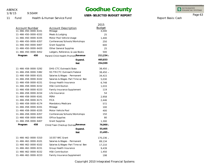1/8/15

9:50AM

# **Goodhue County**

### **USER-SELECTED BUDGET REPORT**

INTEGRATED<br>FINANCIAL SYSTEMS

Report Basis: Cash

Page 63

11 Fund Health & Human Service Fund

|                       |                                    | 2015          |
|-----------------------|------------------------------------|---------------|
| <b>Account Number</b> | <b>Account Description</b>         | <b>Budget</b> |
| 11-466-450-0000-6331  | Mileage                            | 4,000         |
| 11-466-450-0000-6332  | Meals & Lodging                    | 25            |
| 11-466-450-0000-6335  | Motor Pool Vehicle Usage           | 1,400         |
| 11-466-450-0000-6357  | Conferences/Schools/Workshops      | 250           |
| 11-466-450-0000-6407  | <b>Grant Supplies</b>              | 600           |
| 11-466-450-0000-6420  | <b>Other General Supplies</b>      | 25            |
| 11-466-450-0000-6452  | Ledgers, Reference, & Law Books    | 500           |
| 450<br>Program        | Parent/Child Health PromotiRevenue | 211,234 -     |
|                       | Expend.                            | 465,833       |
|                       | <b>Net</b>                         | 254,599       |
| 11-466-458-0000-5292  | DHS-CTC Outreach/State             | $38,450 -$    |
| 11-466-458-0000-5382  | 93.778 CTC Outreach/Federal        | $38,450 -$    |
| 11-466-458-0000-6101  | Salaries & Wages - Permanent       | 34,415        |
| 11-466-458-0000-6102  | Salaries & Wages-Part Time w/ Ben  | 5,030         |
| 11-466-458-0000-6151  | Group Health Insurance             | 6,748         |
| 11-466-458-0000-6152  | <b>HSA Contribution</b>            | 1,033         |
| 11-466-458-0000-6153  | <b>Family Insurance Supplement</b> | 119           |
| 11-466-458-0000-6154  | Life Insurance                     | 54            |
| 11-466-458-0000-6161  | PERA                               | 2,958         |
| 11-466-458-0000-6171  | <b>FICA</b>                        | 2,446         |
| 11-466-458-0000-6174  | Mandatory Medicare                 | 572           |
| 11-466-458-0000-6331  | Mileage                            | 100           |
| 11-466-458-0000-6335  | Motor Vehicle Pool                 | 400           |
| 11-466-458-0000-6357  | Conferences/Schools/Workshops      | 150           |
| 11-466-458-0000-6405  | Office Supplies                    | 80            |
| 11-466-458-0000-6407  | <b>Grant Supplies</b>              | 1,300         |
| 458<br>Program        | Child/Teen Checkup Outread Revenue | 76,900 -      |
|                       | Expend.                            | 55,405        |
|                       | <b>Net</b>                         | $21,495 -$    |
| 11-466-462-0000-5310  | 10.557 WIC Grant                   | 170,236 -     |
| 11-466-462-0000-6101  | Salaries & Wages - Permanent       | 89,134        |
| 11-466-462-0000-6102  | Salaries & Wages-Part Time w/ Ben  | 17,210        |
| 11-466-462-0000-6151  | Group Health Insurance             | 9,439         |
| 11-466-462-0000-6152  | <b>HSA Contribution</b>            | 1,450         |
| 11-466-462-0000-6153  | Family Insurance Supplement        | 198           |
|                       |                                    |               |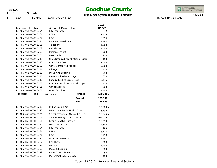1/8/15

11 Fund

9:50AM

Health & Human Service Fund

## **Goodhue County**

### **USER-SELECTED BUDGET REPORT**

INTEGRATED<br>FINANCIAL SYSTEMS

Page 64

Report Basis: Cash

|                                                  |                                              |                                      | 2015                |
|--------------------------------------------------|----------------------------------------------|--------------------------------------|---------------------|
| <b>Account Number</b><br>11-466-462-0000-6154    | <b>Account Description</b><br>Life Insurance |                                      | <b>Budget</b><br>72 |
| 11-466-462-0000-6161                             | PERA                                         |                                      | 7,976               |
| 11-466-462-0000-6171                             | <b>FICA</b>                                  |                                      | 6,594               |
| 11-466-462-0000-6174                             | Mandatory Medicare                           |                                      | 1,542               |
| 11-466-462-0000-6201                             | Telephone                                    |                                      | 1,500               |
| 11-466-462-0000-6202                             | Cell Phone                                   |                                      | 1,000               |
| 11-466-462-0000-6203                             | Postage/Freight                              |                                      | 500                 |
| 11-466-462-0000-6206                             | Data Cards                                   |                                      | 100                 |
| 11-466-462-0000-6245                             | State Required Registration or Licer         |                                      | 100                 |
| 11-466-462-0000-6278                             | <b>Consultant Fees</b>                       |                                      | 3,000               |
| 11-466-462-0000-6297                             | <b>Other Contracted Vendor</b>               |                                      | 5,000               |
| 11-466-462-0000-6331                             | Mileage                                      |                                      | 400                 |
| 11-466-462-0000-6332                             | Meals And Lodging                            |                                      | 250                 |
| 11-466-462-0000-6335<br>Motor Pool Vehicle Usage |                                              |                                      | 850                 |
| 11-466-462-0000-6342                             | Land & Building Lease/Rent                   |                                      | 6,475               |
| 11-466-462-0000-6357                             | Conferences/Schools/Workshops                |                                      | 500                 |
| 11-466-462-0000-6405                             | Office Supplies                              |                                      | 200                 |
| 11-466-462-0000-6407                             | <b>Grant Supplies</b>                        |                                      | 1,900               |
| 462<br>Program                                   | <b>WIC Grant</b>                             | Revenue                              | 170,236 -           |
|                                                  |                                              | Expend.                              | 155,390             |
|                                                  |                                              | <b>Net</b>                           | 14,846 -            |
| 11-466-466-0000-5218                             | Indian Casino Aid                            |                                      | 19,000 -            |
| 11-466-466-0000-5280                             |                                              | <b>MDH-Local Public Health Grant</b> |                     |
| 11-466-466-0000-5336                             |                                              | 20.600 TZD Grant (Toward Zero De     |                     |
| 11-466-466-0000-6101                             | Salaries & Wages - Permanent                 |                                      | 109,006             |
| 11-466-466-0000-6151                             | Group Health Insurance                       |                                      | 16,559              |
| 11-466-466-0000-6152                             | <b>HSA Contribution</b>                      |                                      | 2,500               |
| 11-466-466-0000-6154                             | Life Insurance                               |                                      | 125                 |
| 11-466-466-0000-6161                             | PERA                                         |                                      | 8,175               |
| 11-466-466-0000-6171                             | <b>FICA</b>                                  |                                      | 6,758               |
| 11-466-466-0000-6174                             | Mandatory Medicare                           |                                      | 1,581               |
| 11-466-466-0000-6202                             | Cell Phone                                   |                                      | 360                 |
| 11-466-466-0000-6331                             | Mileage                                      |                                      | 1,200               |
| 11-466-466-0000-6332                             | Meals & Lodging                              |                                      |                     |
| 11-466-466-0000-6333                             |                                              | Other Travel Expenses                |                     |
| 11-466-466-0000-6335                             | Motor Pool Vehicle Usage                     |                                      | 400                 |
|                                                  |                                              |                                      |                     |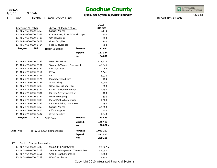1/8/15

9:50AM

## **Goodhue County**

### **USER-SELECTED BUDGET REPORT**

INTEGRATED<br>FINANCIAL SYSTEMS

Report Basis: Cash

Page 65

11 Fund Health & Human Service Fund

|                                                  |                                                    |                                    |                                   | 2015          |
|--------------------------------------------------|----------------------------------------------------|------------------------------------|-----------------------------------|---------------|
| Account Number<br><b>Account Description</b>     |                                                    |                                    | <b>Budget</b>                     |               |
| 11-466-466-0000-6353<br>Special Project          |                                                    |                                    | 8,140                             |               |
| 11-466-466-0000-6357                             |                                                    |                                    | Conferences/Schools/Workshops     |               |
| 11-466-466-0000-6405                             |                                                    | Office Supplies                    |                                   | 280           |
| 11-466-466-0000-6407                             |                                                    | <b>Grant Supplies</b>              |                                   | 800           |
| 11-466-466-0000-6414                             |                                                    | Food & Beverages                   |                                   | 300           |
| Program                                          | 466                                                | <b>Health Education</b>            | Revenue                           | $72,637 -$    |
|                                                  |                                                    |                                    | Expend.                           | 157,334       |
|                                                  |                                                    |                                    | <b>Net</b>                        | 84,697        |
| 11-466-472-0000-5282                             |                                                    | <b>MDH-SHIP Grant</b>              |                                   | 173,475 -     |
| 11-466-472-0000-6101                             |                                                    | Salaries & Wages - Permanent       |                                   | 48,546        |
| 11-466-472-0000-6154                             |                                                    | Life Insurance                     |                                   | 62            |
| 11-466-472-0000-6161                             |                                                    | PERA                               |                                   | 3.641         |
| 11-466-472-0000-6171                             |                                                    | <b>FICA</b>                        |                                   | 3,010         |
| 11-466-472-0000-6174                             |                                                    |                                    | Mandatory Medicare                |               |
| 11-466-472-0000-6241<br>Advertising              |                                                    |                                    |                                   | 1,000         |
| 11-466-472-0000-6283<br>Other Professional Fees  |                                                    |                                    | 900                               |               |
| 11-466-472-0000-6297<br>Other Contracted Vendor  |                                                    | 39,250                             |                                   |               |
| 11-466-472-0000-6331<br>Mileage & Transportation |                                                    | 400                                |                                   |               |
| 11-466-472-0000-6332<br>Meals & Lodging          |                                                    | 500                                |                                   |               |
| 11-466-472-0000-6335<br>Motor Pool Vehicle Usage |                                                    |                                    | 1,600                             |               |
|                                                  | 11-466-472-0000-6342<br>Land & Building Lease/Rent |                                    | 250                               |               |
| 11-466-472-0000-6353<br>11-466-472-0000-6405     |                                                    | Special Project<br>Office Supplies |                                   | 43,800<br>400 |
|                                                  |                                                    |                                    |                                   |               |
| Program                                          | 472                                                | <b>SHIP Grant</b>                  | Revenue                           | $173,475 -$   |
|                                                  |                                                    |                                    | Expend.                           | 145,403       |
|                                                  |                                                    |                                    | <b>Net</b>                        | 28,072 -      |
| Dept<br>466                                      |                                                    | Healthy Communities/Behaviors      | Revenue                           | $1,043,207 -$ |
|                                                  |                                                    |                                    | Expend.                           | 1,312,312     |
|                                                  |                                                    |                                    | <b>Net</b>                        | 269,105       |
| 467<br>Dept                                      | Disaster Preparedness                              |                                    |                                   |               |
| 11-467-467-0000-5346<br>93.069 PHEP (EP Grant)   |                                                    |                                    | 27,827 -                          |               |
| 11-467-467-0000-6102                             |                                                    |                                    | Salaries & Wages-Part Time w/ Ben |               |
| 11-467-467-0000-6151                             |                                                    |                                    | Group Health Insurance            |               |
| 11-467-467-0000-6152                             |                                                    | <b>HSA Contribution</b>            |                                   |               |
|                                                  |                                                    |                                    |                                   |               |

Copyright 2010 Integrated Financial Systems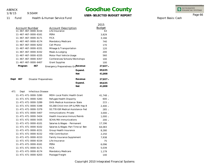1/8/15

9:50AM

### **Goodhue County**

#### **USER-SELECTED BUDGET REPORT**

INTEGRATED<br>FINANCIAL SYSTEMS

Report Basis: Cash

Page 66

11 Fund Health & Human Service Fund

|                                          |                                      | 2015          |
|------------------------------------------|--------------------------------------|---------------|
| Account Number                           | <b>Account Description</b>           | <b>Budget</b> |
| 11-467-467-0000-6154                     | Life Insurance                       | 63            |
| 11-467-467-0000-6161<br>PERA             |                                      | 3,829         |
| <b>FICA</b><br>11-467-467-0000-6171      |                                      | 3,166         |
| 11-467-467-0000-6174                     | Mandatory Medicare                   | 740           |
| 11-467-467-0000-6202                     | Cell Phone                           | 170           |
| 11-467-467-0000-6331                     | Mileage & Transportation             | 120           |
| 11-467-467-0000-6332                     | Meals & Lodging                      | 200           |
| 11-467-467-0000-6335                     | Motor Pool Vehicle Usage             | 560           |
| 11-467-467-0000-6357                     | Conferences/Schools/Workshops        | 100           |
| 11-467-467-0000-6407                     | <b>Grant Supplies</b>                | 100           |
| Program<br>467                           | Emergency Preparedness GraRevenue    | $27,827 -$    |
|                                          | Expend.                              | 69,635        |
|                                          | <b>Net</b>                           | 41,808        |
| Dept<br>467<br>Disaster Preparedness     | Revenue                              | 27,827 -      |
|                                          | Expend.                              | 69,635        |
|                                          | <b>Net</b>                           | 41,808        |
| 471<br><b>Infectious Disease</b><br>Dept |                                      |               |
| 11-471-471-0000-5280                     | <b>MDH-Local Public Health Grant</b> | 41,748 -      |
| 11-471-471-0000-5283                     | Refugee Health Disparity             | $600 -$       |
| 11-471-471-0000-5289                     | DHS-Medical Assistance-State         | $215 -$       |
| 11-471-471-0000-5348                     | 93.268 Child Imm (IPI & PERI Hep B   | $2,400 -$     |
| 11-471-471-0000-5379                     | 93.778 IGR Medical Assistance-Fed    | $285 -$       |
| 11-471-471-0000-5407                     | Immunizations-Private                | $3,000 -$     |
| 11-471-471-0000-5424                     | Health Insurance Immun/Reimb         | $1,000 -$     |
| 11-471-471-0000-5435                     | SCHA/MA Immunizations                | $200 -$       |
| 11-471-471-0000-6101                     | Salaries & Wages - Permanent         | 17,196        |
| 11-471-471-0000-6102                     | Salaries & Wages-Part Time w/ Ben    | 64,083        |
| 11-471-471-0000-6151                     | Group Health Insurance               | 8,280         |
| 11-471-471-0000-6152                     | <b>HSA Contribution</b>              | 2,250         |
| 11-471-471-0000-6153                     | Family Insurance Supplement          | 7,938         |
| 11-471-471-0000-6154                     | Life Insurance                       | 75            |
| PERA<br>11-471-471-0000-6161             |                                      | 6,096         |
| 11-471-471-0000-6171<br><b>FICA</b>      |                                      | 5,039         |
| 11-471-471-0000-6174                     | Mandatory Medicare                   | 1,179         |
| 11-471-471-0000-6203                     | Postage/Freight                      | 140           |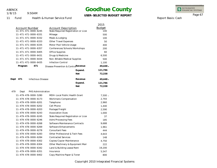1/8/15

9:50AM

## **Goodhue County**

#### **USER-SELECTED BUDGET REPORT**

**-**

**-**

INTEGRATED<br>FINANCIAL SYSTEMS

Report Basis: Cash

#### Page 67

11 Fund Health & Human Service Fund

|                                          | 2015                                        |            |
|------------------------------------------|---------------------------------------------|------------|
| <b>Account Number</b>                    | <b>Budget</b><br><b>Account Description</b> |            |
| $11 - 471 - 471 - 0000 - 6245$           | State Required Registration or Licer        | 100        |
| 11-471-471-0000-6331<br>Mileage          |                                             | 500        |
| 11-471-471-0000-6332                     | Meals & Lodging                             | 100        |
| 11-471-471-0000-6333                     | Other Travel Expenses                       | 50         |
| 11-471-471-0000-6335                     | Motor Pool Vehicle Usage                    | 400        |
| 11-471-471-0000-6357                     | Conferences/Schools/Workshops               | 200        |
| 11-471-471-0000-6405                     | Office Supplies                             | 60         |
| 11-471-471-0000-6431                     | Drugs & Medicine                            | 6,500      |
| 11-471-471-0000-6434                     | Non-Billable Medical Supplies               | 500        |
| 11-471-471-0000-6435                     | <b>Infection Control</b>                    | 1,100      |
| 471<br>Program                           | Disease Prevention & ControRevenue          | 49,448 -   |
|                                          | 121,786<br>Expend.                          |            |
|                                          | <b>Net</b>                                  | 72,338     |
| Dept<br>471<br><b>Infectious Disease</b> | Revenue                                     | $49,448 -$ |
|                                          | Expend.<br>121,786                          |            |
|                                          | <b>Net</b>                                  | 72,338     |
| 479<br>PHS Administration<br>Dept        |                                             |            |
| 11-479-478-0000-5280                     | MDH-Local Public Health Grant               | $7,500 -$  |
| 11-479-478-0000-6173                     | Workmans Compensation                       | 2,793      |
| 11-479-478-0000-6201<br>Telephone        |                                             | 2,960      |
| Cell Phone<br>11-479-478-0000-6202       |                                             | 1,440      |
| 11-479-478-0000-6203                     | Postage/Freight                             | 2,590      |
| 11-479-478-0000-6243                     | <b>Association Dues</b>                     | 1,000      |
| 11-479-478-0000-6245                     | State Required Registration or Licer        | 37         |
| 11-479-478-0000-6246                     | Adm/Processing Fees                         | 185        |
| 11-479-478-0000-6268                     | Software Maintenance Contracts              | 9,688      |
| 11-479-478-0000-6269                     | Software Enhancements                       | 1,961      |
| 11-479-478-0000-6278                     | <b>Consultant Fees</b>                      | 444        |
| 11-479-478-0000-6283                     | Other Professional & Tech Fees              | 4,643      |
| 11-479-478-0000-6284                     | <b>Contracted Services</b>                  | 148        |
| 11-479-478-0000-6302                     | Copies/Copier Maintenance                   | 4,750      |
| 11-479-478-0000-6304                     | Other Machinery & Equipment Mair            | 222        |
| 11-479-478-0000-6342                     | Land & Building Lease/Rent<br>19,200        |            |
| 11-479-478-0000-6351<br>Insurance        |                                             | 5,547      |
| 11-479-478-0000-6402                     | Copy Machine Paper & Toner                  | 800        |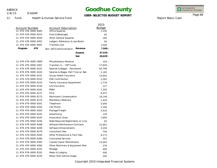1/8/15

9:50AM

### **Goodhue County**

### **USER-SELECTED BUDGET REPORT**

INTEGRATED<br>FINANCIAL SYSTEMS

Report Basis: Cash

Page 68

11 Fund **Health** 

|  | า & Human Service Fund |  |
|--|------------------------|--|
|  |                        |  |

|                       |                                      |            | 2015          |
|-----------------------|--------------------------------------|------------|---------------|
| <b>Account Number</b> | <b>Account Description</b>           |            | <b>Budget</b> |
| 11-479-478-0000-6405  | <b>Office Supplies</b>               |            | 1,250         |
| 11-479-478-0000-6414  | Food & Beverages                     |            | 92            |
| 11-479-478-0000-6420  | <b>Other General Supplies</b>        |            | 185           |
| 11-479-478-0000-6452  | Ledgers, Reference, & Law Books      |            | 93            |
| 11-479-478-0000-6997  | <b>Transfers Out</b>                 |            | 7,500         |
| 478<br>Program        | Non-SSTS Administration              | Revenue    | $7,500 -$     |
|                       |                                      | Expend.    | 67,528        |
|                       |                                      | <b>Net</b> | 60,028        |
| 11-479-479-0000-5859  | Miscellaneous Revenue                |            | $150 -$       |
| 11-479-479-0000-5947  | Transfers In - CEP Funds             |            | 17,630 -      |
| 11-479-479-0000-6101  | Salaries & Wages - Permanent         |            | 92,748        |
| 11-479-479-0000-6102  | Salaries & Wages-Part Time w/Ben     |            | 5,183         |
| 11-479-479-0000-6151  | Group Health Insurance               |            | 14,655        |
| 11-479-479-0000-6152  | <b>HSA Contribution</b>              |            | 2,563         |
| 11-479-479-0000-6153  | <b>Family Insurance Supplement</b>   |            | 2,778         |
| 11-479-479-0000-6154  | Life Insurance                       |            | 127           |
| 11-479-479-0000-6161  | PERA                                 |            | 7,345         |
| 11-479-479-0000-6171  | <b>FICA</b>                          |            | 6,072         |
| 11-479-479-0000-6173  | Workmans Compensation                |            | 19,149        |
| 11-479-479-0000-6174  | Mandatory Medicare                   |            | 1,420         |
| 11-479-479-0000-6201  | Telephone                            |            | 5,040         |
| 11-479-479-0000-6202  | Cell Phone                           |            | 2,160         |
| 11-479-479-0000-6203  | Postage/Freight                      |            | 4,410         |
| 11-479-479-0000-6241  | Advertising                          |            | 126           |
| 11-479-479-0000-6243  | <b>Association Dues</b>              |            | 1,800         |
| 11-479-479-0000-6245  | State Required Registration or Licer |            | 63            |
| 11-479-479-0000-6268  | Software Maintenance Contracts       |            | 22,901        |
| 11-479-479-0000-6269  | Software Enhancements                |            | 3,339         |
| 11-479-479-0000-6278  | <b>Consultant Fees</b>               |            | 756           |
| 11-479-479-0000-6283  | Other Professional & Tech Fees       |            | 8,173         |
| 11-479-479-0000-6284  | <b>Contracted Services</b>           |            | 252           |
| 11-479-479-0000-6302  | Copies/Copier Maintenance            |            | 13,045        |
| 11-479-479-0000-6304  | Other Machinery & Equipment Mair     |            | 378           |
| 11-479-479-0000-6331  | Mileage                              |            | 400           |
| 11-479-479-0000-6332  | Meals & Lodging                      |            | 500           |
| 11-479-479-0000-6335  | Motor Pool Vehicle Usage             |            | 200           |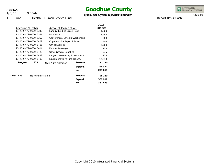1/8/15

9:50AM

## **Goodhue County**

**USER-SELECTED BUDGET REPORT**

INTEGRATED<br>FINANCIAL SYSTEMS

Report Basis: Cash

Page 69

11 Fund Health & Human Service Fund

|             |                |                      |                                 |         | 2015          |
|-------------|----------------|----------------------|---------------------------------|---------|---------------|
|             | Account Number |                      | Account Description             |         | <b>Budget</b> |
|             |                | 11-479-479-0000-6342 | Land & Building Lease/Rent      |         | 44,800        |
|             |                | 11-479-479-0000-6351 | Insurance                       |         | 12,943        |
|             |                | 11-479-479-0000-6357 | Conferences/Schools/Workshops   |         | 800           |
|             |                | 11-479-479-0000-6402 | Copy Machine Paper & Toner      |         | 504           |
|             |                | 11-479-479-0000-6405 | Office Supplies                 |         | 2,500         |
|             |                | 11-479-479-0000-6414 | Food & Beverages                |         | 158           |
|             |                | 11-479-479-0000-6420 | Other General Supplies          |         | 315           |
|             |                | 11-479-479-0000-6452 | Ledgers, Reference, & Law Books |         | 158           |
|             |                | 11-479-479-0000-6480 | Equipment/Furniture<\$5,000     |         | 17,630        |
|             | Program        | 479                  | <b>SSTS Administration</b>      | Revenue | 17,780 -      |
|             |                |                      |                                 | Expend. | 295,391       |
|             |                |                      |                                 | Net     | 277,611       |
| Dept<br>479 |                | PHS Administration   |                                 | Revenue | 25,280 -      |
|             |                |                      |                                 | Expend. | 362,919       |
|             |                |                      |                                 | Net     | 337,639       |
|             |                |                      |                                 |         |               |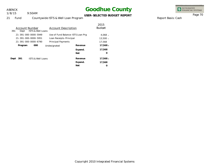9:50AM 1/8/15

### **Goodhue County**

INTEGRATED<br>FINANCIAL SYSTEMS

Page 70

#### **USER-SELECTED BUDGET REPORT**

Report Basis: Cash

21 Fund Countywide ISTS & Well Loan Program

| 391  | Account Number<br>Dept | <b>ISTS &amp; Well Loans</b> | Account Description               |            | 2015<br><b>Budget</b> |
|------|------------------------|------------------------------|-----------------------------------|------------|-----------------------|
|      |                        | 21-391-000-0000-5949         | Use of Fund Balance-ISTS Loan Prg |            | $4.068 -$             |
|      |                        | 21-391-000-0000-5951         | Loan Receipts-Principal           |            | $13,500 -$            |
|      |                        | 21-391-000-0000-6790         | <b>Principal Payments</b>         |            | 17,568                |
|      | Program                | 000                          | Undesignated                      | Revenue    | $17,568 -$            |
|      |                        |                              |                                   | Expend.    | 17,568                |
|      |                        |                              |                                   | Net        | Ω                     |
| Dept | 391                    | <b>ISTS &amp; Well Loans</b> |                                   | Revenue    | 17,568 -              |
|      |                        |                              |                                   | Expend.    | 17,568                |
|      |                        |                              |                                   | <b>Net</b> | O                     |
|      |                        |                              |                                   |            |                       |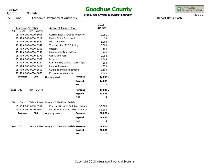1/8/15

9:50AM

### **Goodhue County**

**USER-SELECTED BUDGET REPORT**

INTEGRATED<br>FINANCIAL SYSTEMS

25 Fund Economic Development Authority

|      |                       |                      |                                                  |            | 2015          |
|------|-----------------------|----------------------|--------------------------------------------------|------------|---------------|
|      | <b>Account Number</b> |                      | <b>Account Description</b>                       |            | <b>Budget</b> |
| 700  | Dept                  | <b>EDA-General</b>   |                                                  |            |               |
|      |                       | 25-700-000-0000-5001 | Current Real & Personal Property T.              |            | $2,866 -$     |
|      |                       | 25-700-000-0000-5211 | Market Value Credit Aid                          |            | $28 -$        |
|      |                       | 25-700-000-0000-5859 | <b>MCIT Dividend</b>                             |            | $1,000 -$     |
|      |                       | 25-700-000-0000-5947 | Transfers In-1916 Building                       |            | $10,000 -$    |
|      |                       | 25-700-000-0000-6203 | Postage                                          |            | 100           |
|      |                       | 25-700-000-0000-6243 | Membership Dues & Fees                           |            | 200           |
|      |                       | 25-700-000-0000-6278 | <b>Consultant Fees</b>                           |            | 5,000         |
|      |                       | 25-700-000-0000-6351 | Insurance                                        |            | 1,844         |
|      |                       | 25-700-000-0000-6357 | Conferences/Schools/Workshops                    |            | 500           |
|      |                       | 25-700-000-0000-6414 | Food & Beverages                                 |            | 650           |
|      |                       | 25-700-000-0000-6850 | <b>Outside Funding Allotments</b>                |            | 2,100         |
|      |                       | 25-700-000-0000-6855 | <b>Economic Abatements</b>                       |            | 3,500         |
|      | Program               | 000                  | Undesignated                                     | Revenue    | 13,894 -      |
|      |                       |                      |                                                  | Expend.    | 13,894        |
|      |                       |                      |                                                  | Net        | O             |
| Dept | 700                   | <b>EDA-General</b>   |                                                  | Revenue    | 13,894 -      |
|      |                       |                      |                                                  | Expend.    | 13,894        |
|      |                       |                      |                                                  | <b>Net</b> | O             |
| 710  | Dept                  |                      | EDA-MIF Loan Program (2010 Flood Relief)         |            |               |
|      |                       | 25-710-000-0000-5951 | Principal Receipts (MIF Loan Progra              |            | 58,800 -      |
|      |                       | 25-710-000-0000-6999 | Future Fund Balance-MIF Loan Proc                |            | 58,800        |
|      | Program               | 000                  | Undesignated                                     | Revenue    | 58,800 -      |
|      |                       |                      |                                                  | Expend.    | 58,800        |
|      |                       |                      |                                                  | <b>Net</b> | 0             |
| Dept | 710                   |                      | EDA-MIF Loan Program (2010 Flood Relief) Revenue |            | 58,800 -      |
|      |                       |                      |                                                  | Expend.    | 58,800        |
|      |                       |                      |                                                  | <b>Net</b> | 0             |

Report Basis: Cash

Page 71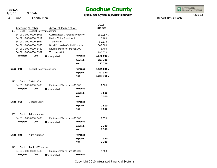9:50AM 1/8/15

## **Goodhue County**

**USER-SELECTED BUDGET REPORT**

INTEGRATED<br>FINANCIAL SYSTEMS

34 Fund Capital Plan

|      |                |                                |                                       |            | 2015          |
|------|----------------|--------------------------------|---------------------------------------|------------|---------------|
|      | Account Number |                                | <b>Account Description</b>            |            | <b>Budget</b> |
| 001  | Dept           | <b>General Government Misc</b> |                                       |            |               |
|      |                | 34-001-000-0000-5001           | Current Real & Personal Property T.   |            | 652,987 -     |
|      |                | 34-001-000-0000-5211           | Market Value Credit Aid               |            | $6,480 -$     |
|      |                | 34-001-000-0000-5947           | Transfers In                          |            | 50,579 -      |
|      |                | 34-001-000-0000-5950           | <b>Bond Proceeds-Capital Projects</b> |            | 865,000 -     |
|      |                | 34-001-000-0000-6480           | Equipment/Furniture<\$5,000           |            | 6,700         |
|      |                | 34-001-000-0000-6997           | <b>Transfers Out</b>                  |            | 290,630       |
|      | Program        | 000                            | Undesignated                          | Revenue    | 1,575,046 -   |
|      |                |                                |                                       | Expend.    | 297,330       |
|      |                |                                |                                       | <b>Net</b> | 1,277,716 -   |
| Dept | 001            | <b>General Government Misc</b> |                                       | Revenue    | 1,575,046 -   |
|      |                |                                |                                       | Expend.    | 297,330       |
|      |                |                                |                                       | <b>Net</b> | 1,277,716 -   |
| 011  | Dept           | District Court                 |                                       |            |               |
|      |                | 34-011-000-0000-6480           | Equipment/Furniture<\$5,000           |            | 7,500         |
|      | Program        | 000                            |                                       | Revenue    |               |
|      |                |                                | Undesignated                          |            |               |
|      |                |                                |                                       | Expend.    | 7,500         |
|      |                |                                |                                       | <b>Net</b> | 7,500         |
| Dept | 011            | <b>District Court</b>          |                                       | Revenue    |               |
|      |                |                                |                                       | Expend.    | 7,500         |
|      |                |                                |                                       | <b>Net</b> | 7,500         |
| 031  | Dept           | Administation                  |                                       |            |               |
|      |                | 34-031-000-0000-6480           | Equipment/Furniture<\$5,000           |            | 2,330         |
|      | Program        | 000                            | Undesignated                          | Revenue    |               |
|      |                |                                |                                       | Expend.    | 2,330         |
|      |                |                                |                                       | <b>Net</b> | 2,330         |
| Dept | 031            | Administation                  |                                       | Revenue    |               |
|      |                |                                |                                       | Expend.    | 2,330         |
|      |                |                                |                                       | <b>Net</b> | 2,330         |
| 041  | Dept           | Auditor/Treasurer              |                                       |            |               |
|      |                | 34-041-000-0000-6480           | Equipment/Furniture<\$5,000           |            | 6,600         |
|      | Program        | 000                            |                                       | Revenue    |               |
|      |                |                                | Undesignated                          |            |               |

Report Basis: Cash

Page 72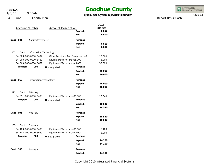9:50AM 1/8/15

# **Goodhue County**

#### **USER-SELECTED BUDGET REPORT**

INTEGRATED<br>FINANCIAL SYSTEMS

Report Basis: Cash

Page 73

34 Fund Capital Plan

| <b>Account Number</b>                                                                  | <b>Account Description</b>                                                | Expend.<br><b>Net</b>                        | 2015<br><b>Budget</b><br>6,600<br>6,600 |
|----------------------------------------------------------------------------------------|---------------------------------------------------------------------------|----------------------------------------------|-----------------------------------------|
| Dept<br>Auditor/Treasurer<br>041                                                       |                                                                           | Revenue<br>Expend.<br>Net                    | 6,600<br>6,600                          |
| 063<br>Dept                                                                            | Information Technology                                                    |                                              |                                         |
| 34-063-000-0000-6432<br>34-063-000-0000-6480<br>34-063-000-0000-6669<br>000<br>Program | Equipment/Furniture<\$5,000<br>Equipment/Furniture>=5,000<br>Undesignated | Other Furniture And Equipment <\$<br>Revenue | 10,000<br>1,000<br>35,000               |
|                                                                                        |                                                                           | Expend.<br><b>Net</b>                        | 46,000<br>46,000                        |
| Dept<br>063                                                                            | Information Technology                                                    | Revenue<br>Expend.<br>Net                    | 46,000<br>46,000                        |
| 091<br>Dept<br>Attorney                                                                |                                                                           |                                              |                                         |
| 34-091-000-0000-6480                                                                   | Equipment/Furniture<\$5,000                                               |                                              | 18,540                                  |
| Program<br>000                                                                         | Undesignated                                                              | Revenue                                      |                                         |
|                                                                                        |                                                                           | Expend.<br><b>Net</b>                        | 18,540<br>18,540                        |
| Dept<br>091<br>Attorney                                                                |                                                                           | Revenue<br>Expend.<br><b>Net</b>             | 18,540<br>18,540                        |
| 103<br>Surveyor<br>Dept                                                                |                                                                           |                                              |                                         |
| 34-103-000-0000-6480<br>34-103-000-0000-6669<br>Program<br>000                         | Equipment/Furniture<\$5,000<br>Equipment/Furniture>=5,000<br>Undesignated | Revenue<br>Expend.<br><b>Net</b>             | 6,100<br>8,000<br>14,100<br>14,100      |
| Dept<br>103<br>Surveyor                                                                |                                                                           | Revenue                                      |                                         |
|                                                                                        |                                                                           | Expend.                                      | 14,100                                  |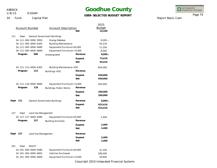9:50AM 1/8/15

# **Goodhue County**

#### **USER-SELECTED BUDGET REPORT**

**- 8,000**

**73,416 65,416**

**650,000 650,000**

650,000

**200,000 200,000**

200,000

**923,416 915,416**

**- 8,000**

2015 Budget

**14,100**

54,216 11,200 8,000

8,000 -

INTEGRATED<br>FINANCIAL SYSTEMS

Report Basis: Cash

Page 74

34 F

|      | Fund                  | Capital Plan         |                                     | UJLIT-,    |
|------|-----------------------|----------------------|-------------------------------------|------------|
|      | <b>Account Number</b> |                      | <b>Account Description</b>          | <b>Net</b> |
| 111  | Dept                  |                      | <b>General Government Buildings</b> |            |
|      |                       | 34-111-000-0000-5859 | <b>Energy Rebates</b>               |            |
|      |                       | 34-111-000-0000-6305 | <b>Building Maintenance</b>         |            |
|      |                       | 34-111-000-0000-6480 | Equipment/Furniture<\$5,000         |            |
|      |                       | 34-111-000-0000-6669 | Equipment/Furniture>=5,000          |            |
|      | Program               | 000                  | Undesignated                        | Revenue    |
|      |                       |                      |                                     | Expend.    |
|      |                       |                      |                                     | <b>Net</b> |
|      |                       | 34-111-113-0000-6305 | <b>Building Maintenance-ADC</b>     |            |
|      | Program               | 113                  | Buildings-ADC                       | Revenue    |
|      |                       |                      |                                     | Expend.    |
|      |                       |                      |                                     | <b>Net</b> |
|      |                       | 34-111-118-0000-6669 | Equipment/Furniture>=5,000          |            |
|      | Program               | 118                  | Buildings-Public Works              | Revenue    |
|      |                       |                      |                                     | Expend.    |
|      |                       |                      |                                     | <b>Net</b> |
| Dept | 111                   |                      | <b>General Government Buildings</b> | Revenue    |
|      |                       |                      |                                     | Expend.    |
|      |                       |                      |                                     | <b>Net</b> |
|      |                       |                      |                                     |            |

| 127  | Dept    | Land Use Management            |                             |         |         |
|------|---------|--------------------------------|-----------------------------|---------|---------|
|      |         | 34-127-127-0000-6480           | Equipment/Furniture<\$5,000 |         | 2,400   |
|      | Program | 127                            | <b>Building Activities</b>  | Revenue |         |
|      |         |                                |                             | Expend. | 2,400   |
|      |         |                                |                             | Net     | 2,400   |
| Dept | 127     | Land Use Management            |                             | Revenue |         |
|      |         |                                |                             | Expend. | 2,400   |
|      |         |                                |                             | Net     | 2,400   |
| 201  | Dept    | Sheriff                        |                             |         |         |
|      |         | 34-201-000-0000-6480           | Equipment/Furniture<\$5,000 |         | 31,200  |
|      |         | $34 - 201 - 000 - 0000 - 6663$ | <b>Vehicles Purchased</b>   |         | 189,000 |
|      |         | $34 - 201 - 000 - 0000 - 6669$ | Equipment/Furniture>=5,000  |         | 18,800  |
|      |         |                                |                             |         |         |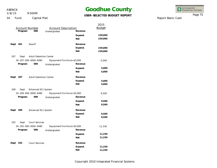9:50AM 1/8/15

### **Goodhue County**

**USER-SELECTED BUDGET REPORT**

INTEGRATED<br>FINANCIAL SYSTEMS

Report Basis: Cash

Page 75

34 Fund Capital Plan

|          |                       |                               |                             |            | 2015          |
|----------|-----------------------|-------------------------------|-----------------------------|------------|---------------|
|          | <b>Account Number</b> |                               | <b>Account Description</b>  |            | <b>Budget</b> |
|          | Program               | 000                           | Undesignated                | Revenue    |               |
|          |                       |                               |                             | Expend.    | 239,000       |
|          |                       |                               |                             | <b>Net</b> | 239,000       |
| Dept 201 |                       | Sheriff                       |                             | Revenue    |               |
|          |                       |                               |                             | Expend.    | 239,000       |
|          |                       |                               |                             | <b>Net</b> | 239,000       |
| 207      | Dept                  | <b>Adult Detention Center</b> |                             |            |               |
|          |                       | 34-207-000-0000-6480          | Equipment/Furniture<\$5,000 |            | 5,000         |
|          | Program               | 000                           | Undesignated                | Revenue    |               |
|          |                       |                               |                             | Expend.    | 5,000         |
|          |                       |                               |                             | <b>Net</b> | 5,000         |
| Dept     | 207                   | <b>Adult Detention Center</b> |                             | Revenue    |               |
|          |                       |                               |                             | Expend.    | 5,000         |
|          |                       |                               |                             | <b>Net</b> | 5,000         |
| 209      | Dept                  | Enhanced 911 System           |                             |            |               |
|          |                       | 34-209-000-0000-6480          | Equipment/Furniture<\$5,000 |            | 9,500         |
|          | Program               | 000                           | Undesignated                | Revenue    |               |
|          |                       |                               |                             | Expend.    | 9,500         |
|          |                       |                               |                             | <b>Net</b> | 9,500         |
| Dept     | 209                   | Enhanced 911 System           |                             | Revenue    |               |
|          |                       |                               |                             | Expend.    | 9,500         |
|          |                       |                               |                             | <b>Net</b> | 9,500         |
| 255      | Dept                  | Court Services                |                             |            |               |
|          |                       | 34-255-000-0000-6480          | Equipment/Furniture<\$5,000 |            | 11,330        |
|          | Program               | 000                           | Undesignated                | Revenue    |               |
|          |                       |                               |                             | Expend.    | 11,330        |
|          |                       |                               |                             | <b>Net</b> | 11,330        |
| Dept     | 255                   | <b>Court Services</b>         |                             | Revenue    |               |
|          |                       |                               |                             | Expend.    | 11,330        |
|          |                       |                               |                             | <b>Net</b> | 11,330        |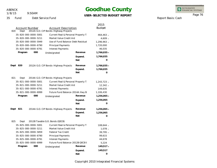9:50AM 1/8/15

### **Goodhue County**

**USER-SELECTED BUDGET REPORT**

INTEGRATED<br>FINANCIAL SYSTEMS

Page 76

Report Basis: Cash

35 Fund Debt Service Fund

| <b>Account Number</b><br>820<br>Dept                                                                                                                                          | <b>Account Description</b><br>2012A G.O. CIP Bonds-Highway Projects                                                                                                                                                                 |                                  | 2015<br><b>Budget</b>                                                                        |
|-------------------------------------------------------------------------------------------------------------------------------------------------------------------------------|-------------------------------------------------------------------------------------------------------------------------------------------------------------------------------------------------------------------------------------|----------------------------------|----------------------------------------------------------------------------------------------|
| 35-820-000-0000-5001<br>35-820-000-0000-5211<br>35-820-000-0000-5949<br>35-820-000-0000-6790<br>35-820-000-0000-6791<br>Program<br>000                                        | Current Real & Personal Property T<br>Market Value Credit Aid<br>Use of Fund Balance-Debt Residual<br><b>Principal Payments</b><br>Interest Payments<br>Undesignated                                                                | Revenue                          | $464,463 -$<br>4,609 -<br>1,296,963 -<br>1,720,000<br>46,035<br>1,766,035 -                  |
|                                                                                                                                                                               |                                                                                                                                                                                                                                     | Expend.<br><b>Net</b>            | 1,766,035<br>$\Omega$                                                                        |
| Dept<br>820                                                                                                                                                                   | 2012A G.O. CIP Bonds-Highway Projects                                                                                                                                                                                               | Revenue<br>Expend.<br><b>Net</b> | 1,766,035 -<br>1,766,035<br>0                                                                |
| 821<br>Dept<br>35-821-000-0000-5001<br>35-821-000-0000-5211<br>35-821-000-0000-6791<br>35-821-000-0000-6999<br>000<br>Program                                                 | 2014A G.O. CIP Bonds-Highway Projects<br>Current Real & Personal Property T<br>Market Value Credit Aid<br>Interest Payments<br>Future Fund Balance-2014A Hwy B<br>Undesignated                                                      | Revenue<br>Expend.<br>Net        | 1,243,723 -<br>12,342 -<br>149,635<br>1,106,430<br>1,256,065 -<br>1,256,065<br>0             |
| Dept<br>821                                                                                                                                                                   | 2014A G.O. CIP Bonds-Highway Projects                                                                                                                                                                                               | Revenue<br>Expend.<br><b>Net</b> | 1,256,065 -<br>1,256,065<br>$\Omega$                                                         |
| 825<br>Dept<br>35-825-000-0000-5001<br>35-825-000-0000-5211<br>35-825-000-0000-5859<br>35-825-000-0000-6790<br>35-825-000-0000-6791<br>35-825-000-0000-6999<br>000<br>Program | 2012B Taxable G.O. Bonds (QECB)<br>Current Real & Personal Property T<br>Market Value Credit Aid<br><b>Federal Tax Credit</b><br>Principal Payments<br><b>Interest Payments</b><br>Future Fund Balance-2012B QECB E<br>Undesignated | Revenue<br>Expend.<br><b>Net</b> | 108,644 -<br>$1,078 -$<br>39,795 -<br>99,615<br>44,678<br>5,224<br>149,517 -<br>149,517<br>O |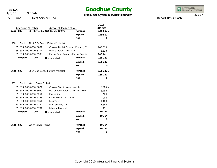1/8/15

#### 9:50AM

### **Goodhue County**

#### **USER-SELECTED BUDGET REPORT**

INTEGRATED<br>FINANCIAL SYSTEMS

Page 77

35 Fund Debt Service Fund

|                                                           |                                     |            | 2015          |
|-----------------------------------------------------------|-------------------------------------|------------|---------------|
| <b>Account Number</b>                                     | <b>Account Description</b>          |            | <b>Budget</b> |
| Dept 825                                                  | 2012B Taxable G.O. Bonds (QECB)     | Revenue    | $149,517 -$   |
|                                                           |                                     | Expend.    | 149,517       |
|                                                           |                                     | <b>Net</b> | Ω             |
| 830<br>Dept                                               | 2014 G.O. Bonds (Future Projects)   |            |               |
| 35-830-000-0000-5001                                      | Current Real & Personal Property T. |            | $163,518 -$   |
| 35-830-000-0000-5211                                      | Market Value Credit Aid             |            | $1,623 -$     |
| 35-830-000-0000-6999                                      | Future Fund Balance-Future Bondir   |            | 165,141       |
| 000<br>Program                                            | Undesignated                        | Revenue    | $165,141 -$   |
|                                                           |                                     | Expend.    | 165,141       |
|                                                           |                                     | <b>Net</b> | O             |
|                                                           |                                     |            |               |
| 830<br>Dept                                               | 2014 G.O. Bonds (Future Projects)   | Revenue    | $165,141 -$   |
|                                                           |                                     | Expend.    | 165,141       |
|                                                           |                                     | <b>Net</b> | 0             |
| 839<br>Dept<br>Welch Sewer Project                        |                                     |            |               |
| 35-839-000-0000-5021                                      | <b>Current Special Assessments</b>  |            | $6,285 -$     |
| Use of Fund Balance-1997B Welch !<br>35-839-000-0000-5949 |                                     |            | $4,469 -$     |
| Electricity<br>35-839-000-0000-6251                       |                                     | 500        |               |
| 35-839-000-0000-6283                                      | Other Professional Fees             |            | 900           |
| 35-839-000-0000-6351                                      | Insurance                           |            | 1,100         |
| 35-839-000-0000-6790                                      | Principal Payments                  |            | 7,843         |
| 35-839-000-0000-6791                                      | <b>Interest Payments</b>            |            | 411           |
| Program<br>000                                            | Undesignated                        | Revenue    | $10,754 -$    |
|                                                           |                                     | Expend.    | 10,754        |
|                                                           |                                     | <b>Net</b> | $\circ$       |
| 839<br>Welch Sewer Project<br>Dept                        |                                     | Revenue    | $10,754 -$    |
|                                                           |                                     | Expend.    | 10,754        |
|                                                           |                                     | <b>Net</b> | O             |

Report Basis: Cash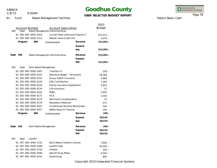ABENCK 1/8/15

9:50AM

### **Goodhue County**

**USER-SELECTED BUDGET REPORT**



Report Basis: Cash

Page 78

61 Fund Waste Management Facilities

|                                                       |                                    |                             | 2015        |
|-------------------------------------------------------|------------------------------------|-----------------------------|-------------|
| <b>Account Number</b><br><b>Account Description</b>   |                                    | <b>Budget</b>               |             |
| 390<br>Dept                                           | Waste Management Administrative    |                             |             |
| 61-390-000-0000-5001                                  | Current Real & Personal Property T |                             | $310,313 -$ |
| 61-390-000-0000-5211                                  | Market Value Credit Aid            |                             | $3,079 -$   |
| Program<br>000                                        | Undesignated                       | Revenue                     | $313,392 -$ |
|                                                       |                                    | Expend.                     |             |
|                                                       |                                    | <b>Net</b>                  | $313,392 -$ |
|                                                       |                                    |                             |             |
| 390<br>Dept                                           | Waste Management Administrative    | Revenue                     | 313,392 -   |
|                                                       |                                    | Expend.                     |             |
|                                                       |                                    | <b>Net</b>                  | 313,392 -   |
| 392<br>Dept<br>Solid Waste Management                 |                                    |                             |             |
| 61-392-000-0000-5947                                  | Transfers In                       |                             | $100 -$     |
| 61-392-000-0000-6101                                  | Salaries & Wages - Permanent       |                             | 39,360      |
| 61-392-000-0000-6151                                  | Group Health Insurance             |                             | 4,968       |
| 61-392-000-0000-6152                                  | <b>HSA Contribution</b>            |                             | 1,500       |
| 61-392-000-0000-6153                                  |                                    | Family Insurance Supplement |             |
| 61-392-000-0000-6154<br>Life Insurance                |                                    | 37                          |             |
| 61-392-000-0000-6161                                  | PERA                               |                             |             |
| 61-392-000-0000-6171                                  | <b>FICA</b>                        |                             | 2,440       |
| 61-392-000-0000-6173<br>Workmans Compensation         |                                    | 79                          |             |
| 61-392-000-0000-6174<br>Mandatory Medicare            |                                    | 571                         |             |
| 61-392-000-0000-6357<br>Conferences/Schools/Workshops |                                    |                             | 500         |
| 61-392-000-0000-6417                                  | Safety Equip & Training            |                             | 150         |
| Program<br>000                                        | Undesignated                       | Revenue                     | $100 -$     |
|                                                       |                                    | Expend.                     | 58,510      |
|                                                       |                                    | Net                         | 58,410      |
|                                                       |                                    |                             |             |
| Dept<br>392<br>Solid Waste Management                 |                                    | Revenue                     | $100 -$     |
|                                                       |                                    | Expend.                     | 58,510      |
|                                                       |                                    | <b>Net</b>                  | 58,410      |
| 397<br>Dept<br>Landfill                               |                                    |                             |             |
| 61-397-000-0000-5131                                  | Solid Waste Collector License      |                             | 7,600 -     |
| 61-397-000-0000-5480                                  | Landfill Fees                      |                             | 45,000 -    |
| 61-397-000-0000-5710                                  | Interest                           |                             | $330 -$     |
| 61-397-000-0000-5936                                  | Sale Of Scrap Metal                |                             |             |
| 61-397-000-0000-6241                                  | Advertising                        |                             |             |

Copyright 2010 Integrated Financial Systems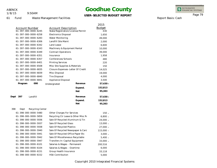1/8/15

9:50AM

### **Goodhue County**

#### **USER-SELECTED BUDGET REPORT**

INTEGRATED<br>FINANCIAL SYSTEMS

Page 79

Report Basis: Cash

Waste Management Facilities

61 Fund

|                                 |                                     |                                   | 2015          |  |
|---------------------------------|-------------------------------------|-----------------------------------|---------------|--|
| <b>Account Number</b>           | <b>Account Description</b>          |                                   | <b>Budget</b> |  |
| 61-397-000-0000-6245            |                                     | State/Registration/License/Permit |               |  |
| 61-397-000-0000-6258            |                                     | <b>Electronics Disposal</b>       |               |  |
| 61-397-000-0000-6283            | Water Monitoring                    |                                   |               |  |
| 61-397-000-0000-6306            | Landfill Site Maint                 |                                   | 2,000         |  |
| 61-397-000-0000-6342            | Land Lease                          |                                   | 6,600         |  |
| 61-397-000-0000-6343            | Machinery & Equipment Rental        |                                   | 10,000        |  |
| 61-397-000-0000-6349            | <b>Contract Operations</b>          |                                   | 39,000        |  |
| 61-397-000-0000-6351            | Insurance                           |                                   | 1,958         |  |
| 61-397-000-0000-6357            | Conferences/Schools                 |                                   | 480           |  |
| 61-397-000-0000-6401            | <b>Printing Services</b>            |                                   | 220           |  |
| 61-397-000-0000-6508            | Misc Site Supplies & Materials      |                                   | 150           |  |
| 61-397-000-0000-6835            | Closure Expenses-Letter Of Credit   |                                   | 14,025        |  |
| 61-397-000-0000-6839            | Misc Disposal                       |                                   | 19,000        |  |
| 61-397-000-0000-6840            | <b>Tire Disposal</b>                |                                   | 4,000         |  |
| 61-397-000-0000-6841            | Appliance Disposal                  |                                   | 3,500         |  |
| 000<br>Program                  | Undesignated                        | Revenue                           | $57,430 -$    |  |
|                                 |                                     | Expend.                           | 152,813       |  |
|                                 |                                     | <b>Net</b>                        | 95,383        |  |
| Landfill<br>Dept<br>397         |                                     | Revenue                           | 57,430 -      |  |
|                                 |                                     | Expend.                           | 152,813       |  |
|                                 |                                     | <b>Net</b>                        | 95,383        |  |
| 398<br>Recycling Center<br>Dept |                                     |                                   |               |  |
| 61-398-000-0000-5480            | Other Charges For Services          |                                   | $150 -$       |  |
| 61-398-000-0000-5859            | Recycling Ctr Lease & Other Misc Re |                                   | $6,800 -$     |  |
| 61-398-000-0000-5936            |                                     | Sale Of Recycled Aluminum & Tin   |               |  |
| 61-398-000-0000-5937            | Sale Of Recycled Glass              |                                   | $13,000 -$    |  |
| 61-398-000-0000-5938            | Sale Of Recycled Plastics           |                                   | 27,000 -      |  |
| 61-398-000-0000-5940            |                                     | Sale Of Recycled Newspaper & Carc |               |  |
| 61-398-000-0000-5941            | Sale Of Recycled Office Paper Etc   |                                   | $3,000 -$     |  |
| 61-398-000-0000-5942            | Sale Of Miscellaneous Recyclable    |                                   | $5,400 -$     |  |
| 61-398-000-0000-5947            | Transfers In-Capital Equipment      |                                   | $33,000 -$    |  |
| 61-398-000-0000-6101            | Salaries & Wages - Permanent        |                                   | 200,516       |  |
| 61-398-000-0000-6104            | Salaries & Wages - Overtime         |                                   | 6,000         |  |
| 61-398-000-0000-6151            |                                     | Group Health Insurance            |               |  |

61-398-000-0000-6152 HSA Contribution

5,000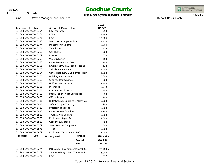1/8/15

61 Fund

9:50AM

Waste Management Facilities

### **Goodhue County**

#### **USER-SELECTED BUDGET REPORT**

INTEGRATED<br>FINANCIAL SYSTEMS

Page 80

Report Basis: Cash

| <b>Account Number</b> |     | <b>Account Description</b>        |                                  | 2015<br><b>Budget</b> |  |
|-----------------------|-----|-----------------------------------|----------------------------------|-----------------------|--|
| 61-398-000-0000-6154  |     | Life Insurance                    |                                  |                       |  |
| 61-398-000-0000-6161  |     | PERA                              |                                  |                       |  |
| 61-398-000-0000-6171  |     | <b>FICA</b>                       |                                  | 12,804                |  |
| 61-398-000-0000-6173  |     | Workmans Compensation             |                                  | 1,520                 |  |
| 61-398-000-0000-6174  |     | Mandatory Medicare                |                                  | 2,994                 |  |
| 61-398-000-0000-6201  |     | Telephone                         |                                  | 425                   |  |
| 61-398-000-0000-6202  |     | Cell Phone                        |                                  | 200                   |  |
| 61-398-000-0000-6209  |     | Internet                          |                                  | 550                   |  |
| 61-398-000-0000-6253  |     | Water & Sewer                     |                                  | 700                   |  |
| 61-398-000-0000-6283  |     | Other Professional Fees           |                                  | 200                   |  |
| 61-398-000-0000-6291  |     |                                   | Employee Drug & Alcohol Testing  | 120                   |  |
| 61-398-000-0000-6303  |     | Vehicle Maintenance               |                                  | 1,000                 |  |
| 61-398-000-0000-6304  |     |                                   | Other Machinery & Equipment Mair | 1,500                 |  |
| 61-398-000-0000-6305  |     | <b>Building Maintenance</b>       |                                  | 5,000                 |  |
| 61-398-000-0000-6306  |     | Grounds Maintenance               |                                  | 800                   |  |
| 61-398-000-0000-6307  |     | Uniform Maintenance               |                                  | 2,400                 |  |
| 61-398-000-0000-6351  |     | Insurance                         |                                  |                       |  |
| 61-398-000-0000-6357  |     |                                   | Conferences/Schools              |                       |  |
| 61-398-000-0000-6402  |     | Paper/Toner/Inkjet Cartridges     |                                  | 50                    |  |
| 61-398-000-0000-6405  |     | <b>Office Supplies</b>            |                                  | 100                   |  |
| 61-398-000-0000-6411  |     | Bldg/Grounds Supplies & Materials |                                  | 3,200                 |  |
| 61-398-000-0000-6417  |     | Safety Equip & Training           |                                  | 900                   |  |
| 61-398-000-0000-6418  |     |                                   | Processing Supplies              |                       |  |
| 61-398-000-0000-6420  |     |                                   | <b>Other General Supplies</b>    |                       |  |
| 61-398-000-0000-6562  |     |                                   | Truck & Pick Up Parts            |                       |  |
| 61-398-000-0000-6563  |     |                                   | <b>Equipment Repair Parts</b>    |                       |  |
| 61-398-000-0000-6567  |     |                                   | Gasoline (Unleaded)              |                       |  |
| 61-398-000-0000-6569  |     | Small Tools & Equipment           |                                  | 500                   |  |
| 61-398-000-0000-6575  |     | Tires                             |                                  | 3,000                 |  |
| 61-398-000-0000-6669  |     | Equipment/Furniture>=5,000        |                                  | 33,000                |  |
| Program               | 000 | Undesignated                      | Revenue                          | 227,350 -             |  |
|                       |     |                                   | Expend.                          | 352,585               |  |
|                       |     |                                   | <b>Net</b>                       | 125,235               |  |
| 61-398-192-0000-5274  |     |                                   | MN Dept of Environmental Asst-SC | 79,700 -              |  |
| 61-398-192-0000-6103  |     | Salaries & Wages-Part Time w/o Be |                                  | 6,000                 |  |
| 61-398-192-0000-6171  |     | <b>FICA</b>                       |                                  | 372                   |  |

372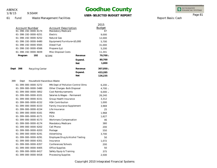1/8/15

9:50AM

## **Goodhue County**

#### **USER-SELECTED BUDGET REPORT**

INTEGRATED<br>FINANCIAL SYSTEMS

Report Basis: Cash

Page 81

61 Fund Waste Management Facilities

|                                                     |                                    | 2015                   |
|-----------------------------------------------------|------------------------------------|------------------------|
| <b>Account Number</b>                               | <b>Account Description</b>         |                        |
| 61-398-192-0000-6174                                | Mandatory Medicare                 | 87                     |
| 61-398-192-0000-6251<br>Electric                    |                                    | 9,000                  |
| 61-398-192-0000-6252<br>Natural Gas                 |                                    | 12,000                 |
| 61-398-192-0000-6480                                | Equipment/Furniture<\$5,000        | 5,700                  |
| 61-398-192-0000-6565<br>Diesel Fuel                 |                                    | 31,000                 |
| 61-398-192-0000-6566<br>Propane (Lp)                |                                    | 5,200                  |
| 61-398-192-0000-6839                                | Misc Disposal Costs                | 11,341                 |
| 192<br>Program<br><b>SCORE</b>                      | Revenue                            | 79,700 -               |
|                                                     | Expend.                            | 80,700                 |
|                                                     | <b>Net</b>                         | 1,000                  |
| Dept<br>398<br>Recycling Center                     | Revenue                            | 307,050 -              |
|                                                     | Expend.                            | 433,285                |
|                                                     | <b>Net</b>                         | 126,235                |
|                                                     |                                    |                        |
| 399<br>Household Hazardous Waste<br>Dept            |                                    | $6,200 -$              |
| 61-399-000-0000-5272                                | MN Dept of Pollution Control Olms  |                        |
| 61-399-000-0000-5480<br>Other Charges-Bulb Disposal |                                    | $4,700 -$<br>$6,000 -$ |
| 61-399-000-0000-5852                                | Cost Reimbursements                |                        |
| 61-399-000-0000-6101                                | Salaries & Wages - Permanent       | 26,240                 |
| 61-399-000-0000-6151                                | Group Health Insurance             | 3,312                  |
| 61-399-000-0000-6152                                | <b>HSA Contribution</b>            | 1,000                  |
| 61-399-000-0000-6153                                | <b>Family Insurance Supplement</b> | 3,969                  |
| 61-399-000-0000-6154<br>Life Insurance              |                                    | 25                     |
| 61-399-000-0000-6161<br>PERA                        |                                    | 1,968                  |
| <b>FICA</b><br>61-399-000-0000-6171                 |                                    | 1,627                  |
| 61-399-000-0000-6173                                | Workmans Compensation              | 46                     |
| 61-399-000-0000-6174                                | Mandatory Medicare                 | 380                    |
| 61-399-000-0000-6202<br>Cell Phone                  |                                    | 200                    |
| 61-399-000-0000-6203<br>Postage                     |                                    | 550                    |
| 61-399-000-0000-6241<br>Advertising                 |                                    | 3,700                  |
| 61-399-000-0000-6291                                | Employee Drug & Alcohol Testing    | 50                     |
| 61-399-000-0000-6351<br>Insurance                   |                                    | 1,072                  |
| 61-399-000-0000-6357                                | Conferences/Schools                | 200                    |
| 61-399-000-0000-6405<br>Office Supplies             |                                    | 50                     |
| 61-399-000-0000-6417                                | Safety Equip & Training            | 375                    |
| 61-399-000-0000-6418<br>Processing Supplies         |                                    | 2,500                  |